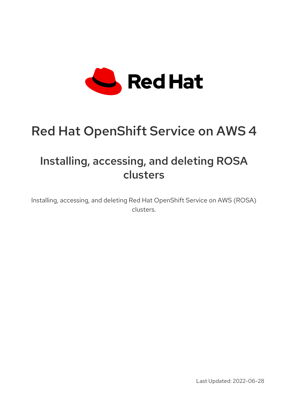

# Red Hat OpenShift Service on AWS 4

# Installing, accessing, and deleting ROSA clusters

Installing, accessing, and deleting Red Hat OpenShift Service on AWS (ROSA) clusters.

Last Updated: 2022-06-28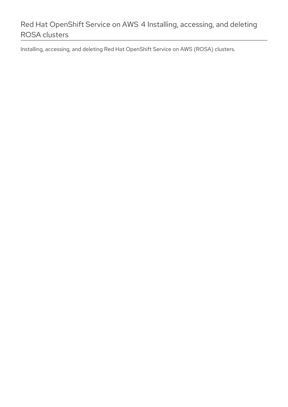# Red Hat OpenShift Service on AWS 4 Installing, accessing, and deleting ROSA clusters

Installing, accessing, and deleting Red Hat OpenShift Service on AWS (ROSA) clusters.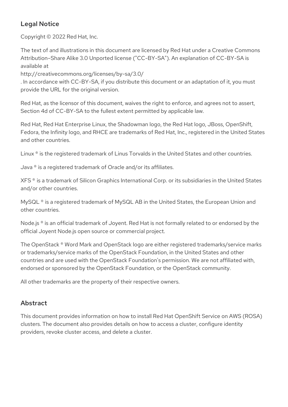# Legal Notice

Copyright © 2022 Red Hat, Inc.

The text of and illustrations in this document are licensed by Red Hat under a Creative Commons Attribution–Share Alike 3.0 Unported license ("CC-BY-SA"). An explanation of CC-BY-SA is available at

http://creativecommons.org/licenses/by-sa/3.0/

. In accordance with CC-BY-SA, if you distribute this document or an adaptation of it, you must provide the URL for the original version.

Red Hat, as the licensor of this document, waives the right to enforce, and agrees not to assert, Section 4d of CC-BY-SA to the fullest extent permitted by applicable law.

Red Hat, Red Hat Enterprise Linux, the Shadowman logo, the Red Hat logo, JBoss, OpenShift, Fedora, the Infinity logo, and RHCE are trademarks of Red Hat, Inc., registered in the United States and other countries.

Linux ® is the registered trademark of Linus Torvalds in the United States and other countries.

Java ® is a registered trademark of Oracle and/or its affiliates.

XFS ® is a trademark of Silicon Graphics International Corp. or its subsidiaries in the United States and/or other countries.

MySQL<sup>®</sup> is a registered trademark of MySQL AB in the United States, the European Union and other countries.

Node.js ® is an official trademark of Joyent. Red Hat is not formally related to or endorsed by the official Joyent Node.js open source or commercial project.

The OpenStack ® Word Mark and OpenStack logo are either registered trademarks/service marks or trademarks/service marks of the OpenStack Foundation, in the United States and other countries and are used with the OpenStack Foundation's permission. We are not affiliated with, endorsed or sponsored by the OpenStack Foundation, or the OpenStack community.

All other trademarks are the property of their respective owners.

# Abstract

This document provides information on how to install Red Hat OpenShift Service on AWS (ROSA) clusters. The document also provides details on how to access a cluster, configure identity providers, revoke cluster access, and delete a cluster.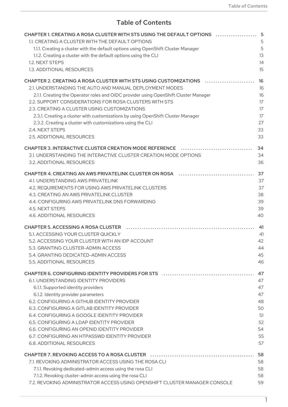# Table of Contents

| CHAPTER 1. CREATING A ROSA CLUSTER WITH STS USING THE DEFAULT OPTIONS  5             |     |
|--------------------------------------------------------------------------------------|-----|
| 1.1. CREATING A CLUSTER WITH THE DEFAULT OPTIONS                                     |     |
| 1.1.1. Creating a cluster with the default options using OpenShift Cluster Manager   |     |
| 1.1.2. Creating a cluster with the default options using the CLI                     |     |
| 1.2. NEXT STEPS                                                                      |     |
| 1.3. ADDITIONAL RESOURCES                                                            | 15  |
|                                                                                      |     |
| CHAPTER 2. CREATING A ROSA CLUSTER WITH STS USING CUSTOMIZATIONS                     | 16  |
| 2.1. UNDERSTANDING THE AUTO AND MANUAL DEPLOYMENT MODES                              | 16  |
| 2.1.1. Creating the Operator roles and OIDC provider using OpenShift Cluster Manager |     |
| 2.2. SUPPORT CONSIDERATIONS FOR ROSA CLUSTERS WITH STS                               |     |
| 2.3. CREATING A CLUSTER USING CUSTOMIZATIONS                                         |     |
| 2.3.1. Creating a cluster with customizations by using OpenShift Cluster Manager     |     |
| 2.3.2. Creating a cluster with customizations using the CLI                          | 27  |
| 2.4. NEXT STEPS                                                                      | 33  |
| 2.5. ADDITIONAL RESOURCES                                                            | 33  |
|                                                                                      |     |
| CHAPTER 3. INTERACTIVE CLUSTER CREATION MODE REFERENCE                               | 34  |
| 3.1. UNDERSTANDING THE INTERACTIVE CLUSTER CREATION MODE OPTIONS                     | 34  |
| 3.2. ADDITIONAL RESOURCES                                                            | 36  |
|                                                                                      | 37  |
| 4.1. UNDERSTANDING AWS PRIVATELINK                                                   | 37  |
| 4.2. REQUIREMENTS FOR USING AWS PRIVATELINK CLUSTERS                                 | 37  |
|                                                                                      |     |
| 4.3. CREATING AN AWS PRIVATELINK CLUSTER                                             | 38  |
| 4.4. CONFIGURING AWS PRIVATELINK DNS FORWARDING                                      | 39  |
| 4.5. NEXT STEPS                                                                      | 39  |
| 4.6. ADDITIONAL RESOURCES                                                            | 40  |
|                                                                                      |     |
| 5.1. ACCESSING YOUR CLUSTER QUICKLY                                                  | 41  |
| 5.2. ACCESSING YOUR CLUSTER WITH AN IDP ACCOUNT                                      | 42  |
| 5.3. GRANTING CLUSTER-ADMIN ACCESS                                                   | 44  |
| 5.4. GRANTING DEDICATED-ADMIN ACCESS                                                 | 45  |
| 5.5. ADDITIONAL RESOURCES                                                            | 46  |
|                                                                                      |     |
| <b>CHAPTER 6. CONFIGURING IDENTITY PROVIDERS FOR STS</b>                             | 47  |
| 6.1. UNDERSTANDING IDENTITY PROVIDERS                                                | 47  |
| 6.1.1. Supported identity providers                                                  | 47  |
| 6.1.2. Identity provider parameters                                                  | 47  |
| 6.2. CONFIGURING A GITHUB IDENTITY PROVIDER                                          | 48  |
| 6.3. CONFIGURING A GITLAB IDENTITY PROVIDER                                          | 50  |
| 6.4. CONFIGURING A GOOGLE IDENTITY PROVIDER                                          | -51 |
| 6.5. CONFIGURING A LDAP IDENTITY PROVIDER                                            | 52  |
| 6.6. CONFIGURING AN OPENID IDENTITY PROVIDER                                         | 54  |
| 6.7. CONFIGURING AN HTPASSWD IDENTITY PROVIDER                                       | 55  |
| 6.8. ADDITIONAL RESOURCES                                                            | 57  |
|                                                                                      |     |
|                                                                                      | 58  |
| 7.1. REVOKING ADMINISTRATOR ACCESS USING THE ROSA CLI                                | 58  |
| 7.1.1. Revoking dedicated-admin access using the rosa CLI                            | 58  |
| 7.1.2. Revoking cluster-admin access using the rosa CLI                              | 58  |
| 7.2. REVOKING ADMINISTRATOR ACCESS USING OPENSHIFT CLUSTER MANAGER CONSOLE           | 59  |
|                                                                                      |     |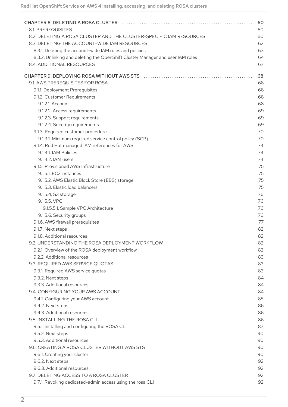| 8.1. PREREQUISITES                                                             | 60 |
|--------------------------------------------------------------------------------|----|
| 8.2. DELETING A ROSA CLUSTER AND THE CLUSTER-SPECIFIC IAM RESOURCES            | 60 |
| 8.3. DELETING THE ACCOUNT-WIDE IAM RESOURCES                                   | 62 |
| 8.3.1. Deleting the account-wide IAM roles and policies                        | 63 |
| 8.3.2. Unlinking and deleting the OpenShift Cluster Manager and user IAM roles | 64 |
| 8.4. ADDITIONAL RESOURCES                                                      | 67 |
|                                                                                |    |
| 9.1. AWS PREREQUISITES FOR ROSA                                                | 68 |
| 9.1.1. Deployment Prerequisites                                                | 68 |
| 9.1.2. Customer Requirements                                                   | 68 |
| 9.1.2.1. Account                                                               | 68 |
| 9.1.2.2. Access requirements                                                   | 69 |
| 9.1.2.3. Support requirements                                                  | 69 |
| 9.1.2.4. Security requirements                                                 | 69 |
| 9.1.3. Required customer procedure                                             | 70 |
| 9.1.3.1. Minimum required service control policy (SCP)                         | 70 |
| 9.1.4. Red Hat managed IAM references for AWS                                  | 74 |
| 9.1.4.1. IAM Policies                                                          | 74 |
| 9.1.4.2. IAM users                                                             | 74 |
| 9.1.5. Provisioned AWS Infrastructure                                          | 75 |
| 9.1.5.1. EC2 instances                                                         | 75 |
| 9.1.5.2. AWS Elastic Block Store (EBS) storage                                 | 75 |
| 9.1.5.3. Elastic load balancers                                                | 75 |
| 9.1.5.4. S3 storage                                                            | 76 |
| 9.1.5.5. VPC                                                                   | 76 |
| 9.1.5.5.1. Sample VPC Architecture                                             | 76 |
| 9.1.5.6. Security groups                                                       | 76 |
| 9.1.6. AWS firewall prerequisites                                              | 77 |
|                                                                                | 82 |
| 9.1.7. Next steps                                                              |    |
| 9.1.8. Additional resources                                                    | 82 |
| 9.2. UNDERSTANDING THE ROSA DEPLOYMENT WORKFLOW                                | 82 |
| 9.2.1. Overview of the ROSA deployment workflow                                | 82 |
| 9.2.2. Additional resources                                                    | 83 |
| 9.3. REQUIRED AWS SERVICE QUOTAS                                               | 83 |
| 9.3.1. Required AWS service quotas                                             | 83 |
| 9.3.2. Next steps                                                              | 84 |
| 9.3.3. Additional resources                                                    | 84 |
| 9.4. CONFIGURING YOUR AWS ACCOUNT                                              | 84 |
| 9.4.1. Configuring your AWS account                                            | 85 |
| 9.4.2. Next steps                                                              | 86 |
| 9.4.3. Additional resources                                                    | 86 |
| 9.5. INSTALLING THE ROSA CLI                                                   | 86 |
| 9.5.1. Installing and configuring the ROSA CLI                                 | 87 |
| 9.5.2. Next steps                                                              | 90 |
| 9.5.3. Additional resources                                                    | 90 |
| 9.6. CREATING A ROSA CLUSTER WITHOUT AWS STS                                   | 90 |
| 9.6.1. Creating your cluster                                                   | 90 |
| 9.6.2. Next steps                                                              | 92 |
| 9.6.3. Additional resources                                                    | 92 |
| 9.7. DELETING ACCESS TO A ROSA CLUSTER                                         | 92 |
|                                                                                |    |
| 9.7.1. Revoking dedicated-admin access using the rosa CLI                      | 92 |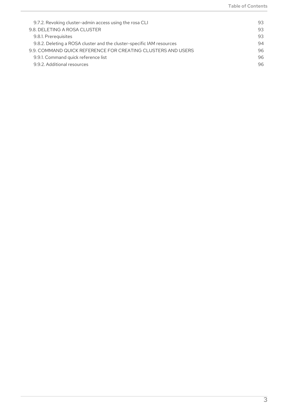| 9.7.2. Revoking cluster-admin access using the rosa CLI               | 93 |
|-----------------------------------------------------------------------|----|
| 9.8. DELETING A ROSA CLUSTER                                          | 93 |
| 9.8.1. Prerequisites                                                  | 93 |
| 9.8.2. Deleting a ROSA cluster and the cluster-specific IAM resources | 94 |
| 9.9. COMMAND QUICK REFERENCE FOR CREATING CLUSTERS AND USERS          | 96 |
| 9.9.1. Command quick reference list                                   | 96 |
| 9.9.2. Additional resources                                           | 96 |
|                                                                       |    |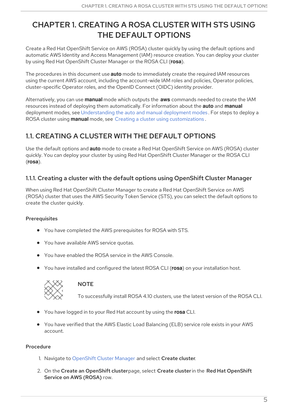# <span id="page-8-0"></span>CHAPTER 1. CREATING A ROSA CLUSTER WITH STS USING THE DEFAULT OPTIONS

Create a Red Hat OpenShift Service on AWS (ROSA) cluster quickly by using the default options and automatic AWS Identity and Access Management (IAM) resource creation. You can deploy your cluster by using Red Hat OpenShift Cluster Manager or the ROSA CLI (**rosa**).

The procedures in this document use **auto** mode to immediately create the required IAM resources using the current AWS account, including the account-wide IAM roles and policies, Operator policies, cluster-specific Operator roles, and the OpenID Connect (OIDC) identity provider.

Alternatively, you can use **manual** mode which outputs the **aws** commands needed to create the IAM resources instead of deploying them automatically. For information about the **auto** and **manual** deployment modes, see [Understanding](https://access.redhat.com/documentation/en-us/red_hat_openshift_service_on_aws/4/html-single/installing_accessing_and_deleting_rosa_clusters/#rosa-understanding-deployment-modes_rosa-sts-creating-a-cluster-with-customizations) the auto and manual deployment modes . For steps to deploy a ROSA cluster using **manual** mode, see Creating a cluster using [customizations](https://access.redhat.com/documentation/en-us/red_hat_openshift_service_on_aws/4/html-single/installing_accessing_and_deleting_rosa_clusters/#rosa-sts-creating-cluster-using-customizations_rosa-sts-creating-a-cluster-with-customizations) .

# <span id="page-8-1"></span>1.1. CREATING A CLUSTER WITH THE DEFAULT OPTIONS

Use the default options and **auto** mode to create a Red Hat OpenShift Service on AWS (ROSA) cluster quickly. You can deploy your cluster by using Red Hat OpenShift Cluster Manager or the ROSA CLI (**rosa**).

# <span id="page-8-2"></span>1.1.1. Creating a cluster with the default options using OpenShift Cluster Manager

When using Red Hat OpenShift Cluster Manager to create a Red Hat OpenShift Service on AWS (ROSA) cluster that uses the AWS Security Token Service (STS), you can select the default options to create the cluster quickly.

# Prerequisites

- You have completed the AWS prerequisites for ROSA with STS.
- You have available AWS service quotas.
- You have enabled the ROSA service in the AWS Console.
- You have installed and configured the latest ROSA CLI (**rosa**) on your installation host.



# **NOTE**

To successfully install ROSA 4.10 clusters, use the latest version of the ROSA CLI.

- You have logged in to your Red Hat account by using the **rosa** CLI.
- You have verified that the AWS Elastic Load Balancing (ELB) service role exists in your AWS account.

# Procedure

- 1. Navigate to [OpenShift](https://console.redhat.com/openshift) Cluster Manager and select Create cluster.
- 2. On the Create an OpenShift clusterpage, select Create clusterin the Red Hat OpenShift Service on AWS (ROSA) row.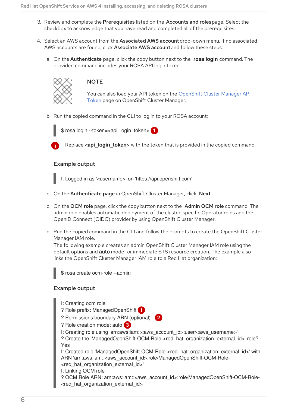- 3. Review and complete the Prerequisites listed on the Accounts and rolespage. Select the checkbox to acknowledge that you have read and completed all of the prerequisites.
- 4. Select an AWS account from the Associated AWS account drop-down menu. If no associated AWS accounts are found, click Associate AWS accountand follow these steps:
	- a. On the Authenticate page, click the copy button next to the **rosa login** command. The provided command includes your ROSA API login token.



<span id="page-9-0"></span>You can also load your API token on the OpenShift Cluster Manager API Token page on [OpenShift](https://console.redhat.com/openshift/token) Cluster Manager.

b. Run the copied command in the CLI to log in to your ROSA account:



\$ rosa login --token=<api\_login\_token> **1**



Replace **<api login token>** with the token that is provided in the copied command.

#### Example output

I: Logged in as '<username>' on 'https://api.openshift.com'

- c. On the Authenticate page in OpenShift Cluster Manager, click Next.
- d. On the OCM role page, click the copy button next to the Admin OCM role command. The admin role enables automatic deployment of the cluster-specific Operator roles and the OpenID Connect (OIDC) provider by using OpenShift Cluster Manager.
- e. Run the copied command in the CLI and follow the prompts to create the OpenShift Cluster Manager IAM role.

The following example creates an admin OpenShift Cluster Manager IAM role using the default options and **auto** mode for immediate STS resource creation. The example also links the OpenShift Cluster Manager IAM role to a Red Hat organization:

\$ rosa create ocm-role --admin

### Example output

- I: Creating ocm role
- <span id="page-9-1"></span>? Role prefix: ManagedOpenShift **1**
- <span id="page-9-2"></span>? Permissions boundary ARN (optional): **2**
- <span id="page-9-3"></span>? Role creation mode: auto **3**
- I: Creating role using 'arn:aws:iam::<aws\_account\_id>:user/<aws\_username>'

? Create the 'ManagedOpenShift-OCM-Role-<red\_hat\_organization\_external\_id>' role? Yes

I: Created role 'ManagedOpenShift-OCM-Role-<red hat organization external id>' with ARN 'arn:aws:iam::<aws\_account\_id>:role/ManagedOpenShift-OCM-Role-

<red\_hat\_organization\_external\_id>'

I: Linking OCM role ? OCM Role ARN: arn:aws:iam::<aws\_account\_id>:role/ManagedOpenShift-OCM-Role-<red hat organization external id>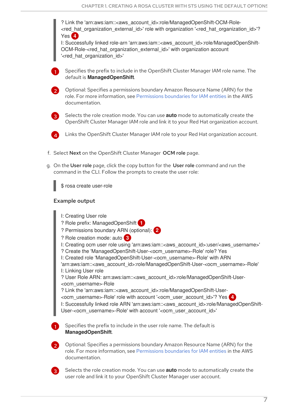? Link the 'arn:aws:iam::<aws\_account\_id>:role/ManagedOpenShift-OCM-Role-<red\_hat\_organization\_external\_id>' role with organization '<red\_hat\_organization\_id>'? Yes **4**

<span id="page-10-0"></span>I: Successfully linked role-arn 'arn:aws:iam::<aws\_account\_id>:role/ManagedOpenShift-OCM-Role-<red\_hat\_organization\_external\_id>' with organization account '<red hat organization id>'

[1](#page-9-1)

Specifies the prefix to include in the OpenShift Cluster Manager IAM role name. The default is **ManagedOpenShift**.

[2](#page-9-2)

Optional: Specifies a permissions boundary Amazon Resource Name (ARN) for the role. For more information, see [Permissions](https://docs.aws.amazon.com/IAM/latest/UserGuide/access_policies_boundaries.html) boundaries for IAM entities in the AWS documentation.

[3](#page-9-3)

Selects the role creation mode. You can use **auto** mode to automatically create the OpenShift Cluster Manager IAM role and link it to your Red Hat organization account.



[1](#page-10-1)

[2](#page-10-2)

[3](#page-10-3)

Links the OpenShift Cluster Manager IAM role to your Red Hat organization account.

- f. Select Next on the OpenShift Cluster Manager OCM role page.
- g. On the User role page, click the copy button for the User role command and run the command in the CLI. Follow the prompts to create the user role:



### Example output

- I: Creating User role
- <span id="page-10-1"></span>? Role prefix: ManagedOpenShift **1**
- <span id="page-10-2"></span>? Permissions boundary ARN (optional): **2**
- <span id="page-10-3"></span>? Role creation mode: auto **3**
- I: Creating ocm user role using 'arn:aws:iam::<aws\_account\_id>:user/<aws\_username>'
- ? Create the 'ManagedOpenShift-User-<ocm\_username>-Role' role? Yes

I: Created role 'ManagedOpenShift-User-<ocm\_username>-Role' with ARN 'arn:aws:iam::<aws\_account\_id>:role/ManagedOpenShift-User-<ocm\_username>-Role' I: Linking User role

? User Role ARN: arn:aws:iam::<aws\_account\_id>:role/ManagedOpenShift-User-<ocm\_username>-Role

? Link the 'arn:aws:iam::<aws\_account\_id>:role/ManagedOpenShift-User-

<span id="page-10-4"></span><ocm\_username>-Role' role with account '<ocm\_user\_account\_id>'? Yes (4)

I: Successfully linked role ARN 'arn:aws:iam::<aws\_account\_id>:role/ManagedOpenShift-User-<ocm\_username>-Role' with account '<ocm\_user\_account\_id>'

Specifies the prefix to include in the user role name. The default is **ManagedOpenShift**.

Optional: Specifies a permissions boundary Amazon Resource Name (ARN) for the role. For more information, see [Permissions](https://docs.aws.amazon.com/IAM/latest/UserGuide/access_policies_boundaries.html) boundaries for IAM entities in the AWS documentation.

Selects the role creation mode. You can use **auto** mode to automatically create the user role and link it to your OpenShift Cluster Manager user account.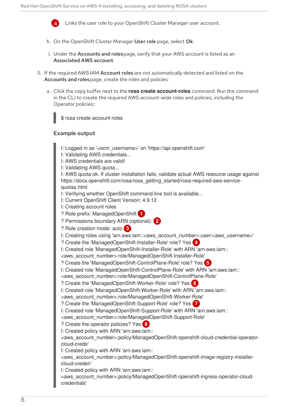

Links the user role to your OpenShift Cluster Manager user account.

- h. On the OpenShift Cluster Manager User role page, select Ok.
- i. Under the Accounts and rolespage, verify that your AWS account is listed as an Associated AWS account.
- 5. If the required AWS IAM Account roles are not automatically detected and listed on the Accounts and rolespage, create the roles and policies:
	- a. Click the copy buffer next to the **rosa create account-roles** command. Run the command in the CLI to create the required AWS account-wide roles and policies, including the Operator policies::



\$ rosa create account-roles

#### Example output

- I: Logged in as '<ocm\_username>' on 'https://api.openshift.com'
- I: Validating AWS credentials...
- I: AWS credentials are valid!

I: Validating AWS quota...

I: AWS quota ok. If cluster installation fails, validate actual AWS resource usage against https://docs.openshift.com/rosa/rosa\_getting\_started/rosa-required-aws-servicequotas.html

I: Verifying whether OpenShift command-line tool is available...

I: Current OpenShift Client Version: 4.9.12

- I: Creating account roles
- <span id="page-11-0"></span>? Role prefix: ManagedOpenShift **1**
- <span id="page-11-1"></span>? Permissions boundary ARN (optional): **2**
- <span id="page-11-2"></span>? Role creation mode: auto **3**
- I: Creating roles using 'arn:aws:iam::<aws\_account\_number>:user/<aws\_username>'
- <span id="page-11-3"></span>? Create the 'ManagedOpenShift-Installer-Role' role? Yes **4**
- I: Created role 'ManagedOpenShift-Installer-Role' with ARN 'arn:aws:iam::

<aws\_account\_number>:role/ManagedOpenShift-Installer-Role'

<span id="page-11-4"></span>? Create the 'ManagedOpenShift-ControlPlane-Role' role? Yes **5**

I: Created role 'ManagedOpenShift-ControlPlane-Role' with ARN 'arn:aws:iam::

<aws\_account\_number>:role/ManagedOpenShift-ControlPlane-Role'

<span id="page-11-5"></span>? Create the 'ManagedOpenShift-Worker-Role' role? Yes **6**

I: Created role 'ManagedOpenShift-Worker-Role' with ARN 'arn:aws:iam::

<aws\_account\_number>:role/ManagedOpenShift-Worker-Role'

<span id="page-11-6"></span>? Create the 'ManagedOpenShift-Support-Role' role? Yes **7**

I: Created role 'ManagedOpenShift-Support-Role' with ARN 'arn:aws:iam::

<aws\_account\_number>:role/ManagedOpenShift-Support-Role'

? Create the operator policies? Yes **8**

I: Created policy with ARN 'arn:aws:iam::

<aws\_account\_number>:policy/ManagedOpenShift-openshift-cloud-credential-operatorcloud-crede'

I: Created policy with ARN 'arn:aws:iam::

<aws\_account\_number>:policy/ManagedOpenShift-openshift-image-registry-installercloud-creden'

I: Created policy with ARN 'arn:aws:iam::

<aws\_account\_number>:policy/ManagedOpenShift-openshift-ingress-operator-cloudcredentials'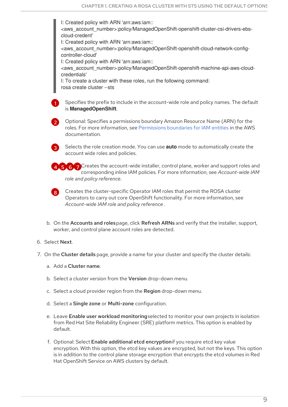<span id="page-12-0"></span>I: Created policy with ARN 'arn:aws:iam::

<aws\_account\_number>:policy/ManagedOpenShift-openshift-cluster-csi-drivers-ebscloud-credent'

I: Created policy with ARN 'arn:aws:iam::

<aws\_account\_number>:policy/ManagedOpenShift-openshift-cloud-network-configcontroller-cloud'

I: Created policy with ARN 'arn:aws:iam::

<aws\_account\_number>:policy/ManagedOpenShift-openshift-machine-api-aws-cloudcredentials'

I: To create a cluster with these roles, run the following command: rosa create cluster --sts

Specifies the prefix to include in the account-wide role and policy names. The default is **ManagedOpenShift**.

Optional: Specifies a permissions boundary Amazon Resource Name (ARN) for the roles. For more information, see [Permissions](https://docs.aws.amazon.com/IAM/latest/UserGuide/access_policies_boundaries.html) boundaries for IAM entities in the AWS documentation.

Selects the role creation mode. You can use **auto** mode to automatically create the account wide roles and policies.

[4](#page-11-3) [5](#page-11-4) [6](#page-11-5) [7](#page-11-6) Creates the account-wide installer, control plane, worker and support roles and corresponding inline IAM policies. For more information, see *Account-wide IAM role and policy reference*.

[8](#page-12-0) Creates the cluster-specific Operator IAM roles that permit the ROSA cluster Operators to carry out core OpenShift functionality. For more information, see *Account-wide IAM role and policy reference*.

b. On the Accounts and rolespage, click Refresh ARNs and verify that the installer, support, worker, and control plane account roles are detected.

#### 6. Select Next.

[1](#page-11-0)

[2](#page-11-1)

[3](#page-11-2)

- 7. On the Cluster details page, provide a name for your cluster and specify the cluster details:
	- a. Add a Cluster name.
	- b. Select a cluster version from the Version drop-down menu.
	- c. Select a cloud provider region from the Region drop-down menu.
	- d. Select a Single zone or Multi-zone configuration.
	- e. Leave Enable user workload monitoringselected to monitor your own projects in isolation from Red Hat Site Reliability Engineer (SRE) platform metrics. This option is enabled by default.
	- f. Optional: Select Enable additional etcd encryptionif you require etcd key value encryption. With this option, the etcd key values are encrypted, but not the keys. This option is in addition to the control plane storage encryption that encrypts the etcd volumes in Red Hat OpenShift Service on AWS clusters by default.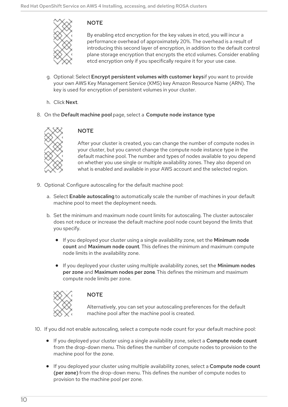

By enabling etcd encryption for the key values in etcd, you will incur a performance overhead of approximately 20%. The overhead is a result of introducing this second layer of encryption, in addition to the default control plane storage encryption that encrypts the etcd volumes. Consider enabling etcd encryption only if you specifically require it for your use case.

- g. Optional: Select Encrypt persistent volumes with customer keysif you want to provide your own AWS Key Management Service (KMS) key Amazon Resource Name (ARN). The key is used for encryption of persistent volumes in your cluster.
- h. Click Next.
- 8. On the Default machine pool page, select a Compute node instance type.



### **NOTE**

After your cluster is created, you can change the number of compute nodes in your cluster, but you cannot change the compute node instance type in the default machine pool. The number and types of nodes available to you depend on whether you use single or multiple availability zones. They also depend on what is enabled and available in your AWS account and the selected region.

- 9. Optional: Configure autoscaling for the default machine pool:
	- a. Select Enable autoscaling to automatically scale the number of machines in your default machine pool to meet the deployment needs.
	- b. Set the minimum and maximum node count limits for autoscaling. The cluster autoscaler does not reduce or increase the default machine pool node count beyond the limits that you specify.
		- **If you deployed your cluster using a single availability zone, set the Minimum node** count and Maximum node count. This defines the minimum and maximum compute node limits in the availability zone.
		- **If you deployed your cluster using multiple availability zones, set the Minimum nodes** per zone and Maximum nodes per zone. This defines the minimum and maximum compute node limits per zone.



# **NOTE**

Alternatively, you can set your autoscaling preferences for the default machine pool after the machine pool is created.

10. If you did not enable autoscaling, select a compute node count for your default machine pool:

- **If you deployed your cluster using a single availability zone, select a Compute node count** from the drop-down menu. This defines the number of compute nodes to provision to the machine pool for the zone.
- **If you deployed your cluster using multiple availability zones, select a Compute node count** (per zone) from the drop-down menu. This defines the number of compute nodes to provision to the machine pool per zone.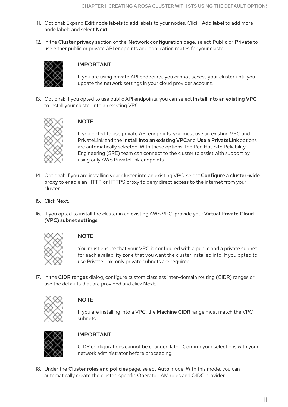- 11. Optional: Expand Edit node labels to add labels to your nodes. Click Add label to add more node labels and select Next.
- 12. In the Cluster privacy section of the Network configuration page, select Public or Private to use either public or private API endpoints and application routes for your cluster.



### IMPORTANT

If you are using private API endpoints, you cannot access your cluster until you update the network settings in your cloud provider account.

13. Optional: If you opted to use public API endpoints, you can select Install into an existing VPC to install your cluster into an existing VPC.



# **NOTE**

If you opted to use private API endpoints, you must use an existing VPC and PrivateLink and the Install into an existing VPCand Use a PrivateLink options are automatically selected. With these options, the Red Hat Site Reliability Engineering (SRE) team can connect to the cluster to assist with support by using only AWS PrivateLink endpoints.

- 14. Optional: If you are installing your cluster into an existing VPC, select Configure a cluster-wide proxy to enable an HTTP or HTTPS proxy to deny direct access to the internet from your cluster.
- 15. Click Next.
- 16. If you opted to install the cluster in an existing AWS VPC, provide your Virtual Private Cloud (VPC) subnet settings.



# **NOTE**

You must ensure that your VPC is configured with a public and a private subnet for each availability zone that you want the cluster installed into. If you opted to use PrivateLink, only private subnets are required.

17. In the CIDR ranges dialog, configure custom classless inter-domain routing (CIDR) ranges or use the defaults that are provided and click Next.



# **NOTE**

If you are installing into a VPC, the Machine CIDR range must match the VPC subnets.



### IMPORTANT

CIDR configurations cannot be changed later. Confirm your selections with your network administrator before proceeding.

18. Under the Cluster roles and policies page, select Auto mode. With this mode, you can automatically create the cluster-specific Operator IAM roles and OIDC provider.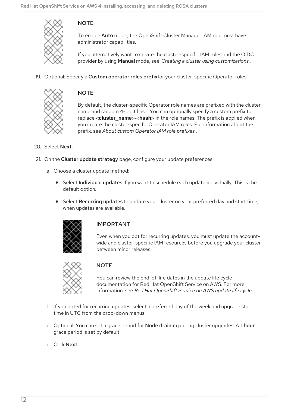

To enable Auto mode, the OpenShift Cluster Manager IAM role must have administrator capabilities.

If you alternatively want to create the cluster-specific IAM roles and the OIDC provider by using Manual mode, see *Creating a cluster using customizations* .

19. Optional: Specify a Custom operator roles prefixfor your cluster-specific Operator roles.



### **NOTE**

By default, the cluster-specific Operator role names are prefixed with the cluster name and random 4-digit hash. You can optionally specify a custom prefix to replace **<cluster\_name>-<hash>** in the role names. The prefix is applied when you create the cluster-specific Operator IAM roles. For information about the prefix, see *About custom Operator IAM role prefixes* .

### 20. Select Next.

- 21. On the Cluster update strategy page, configure your update preferences:
	- a. Choose a cluster update method:
		- **Select Individual updates** if you want to schedule each update individually. This is the default option.
		- **•** Select Recurring updates to update your cluster on your preferred day and start time, when updates are available.



### IMPORTANT

Even when you opt for recurring updates, you must update the accountwide and cluster-specific IAM resources before you upgrade your cluster between minor releases.



# **NOTE**

You can review the end-of-life dates in the update life cycle documentation for Red Hat OpenShift Service on AWS. For more information, see *Red Hat OpenShift Service on AWS update life cycle* .

- b. If you opted for recurring updates, select a preferred day of the week and upgrade start time in UTC from the drop-down menus.
- c. Optional: You can set a grace period for Node draining during cluster upgrades. A 1 hour grace period is set by default.
- d. Click Next.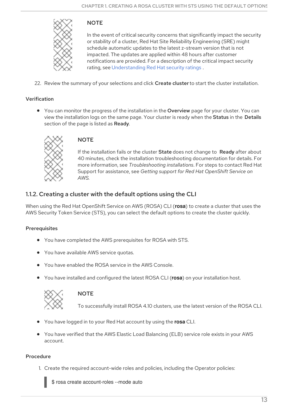

In the event of critical security concerns that significantly impact the security or stability of a cluster, Red Hat Site Reliability Engineering (SRE) might schedule automatic updates to the latest z-stream version that is not impacted. The updates are applied within 48 hours after customer notifications are provided. For a description of the critical impact security rating, see [Understanding](https://access.redhat.com/security/updates/classification) Red Hat security ratings .

22. Review the summary of your selections and click Create cluster to start the cluster installation.

### Verification

• You can monitor the progress of the installation in the Overview page for your cluster. You can view the installation logs on the same page. Your cluster is ready when the Status in the Details section of the page is listed as Ready.



### **NOTE**

If the installation fails or the cluster State does not change to Ready after about 40 minutes, check the installation troubleshooting documentation for details. For more information, see *Troubleshooting installations*. For steps to contact Red Hat Support for assistance, see *Getting support for Red Hat OpenShift Service on AWS*.

# <span id="page-16-0"></span>1.1.2. Creating a cluster with the default options using the CLI

When using the Red Hat OpenShift Service on AWS (ROSA) CLI (**rosa**) to create a cluster that uses the AWS Security Token Service (STS), you can select the default options to create the cluster quickly.

### Prerequisites

- You have completed the AWS prerequisites for ROSA with STS.
- You have available AWS service quotas.
- You have enabled the ROSA service in the AWS Console.
- You have installed and configured the latest ROSA CLI (**rosa**) on your installation host.



### **NOTE**

To successfully install ROSA 4.10 clusters, use the latest version of the ROSA CLI.

- You have logged in to your Red Hat account by using the **rosa** CLI.
- You have verified that the AWS Elastic Load Balancing (ELB) service role exists in your AWS account.

### Procedure

1. Create the required account-wide roles and policies, including the Operator policies:

\$ rosa create account-roles --mode auto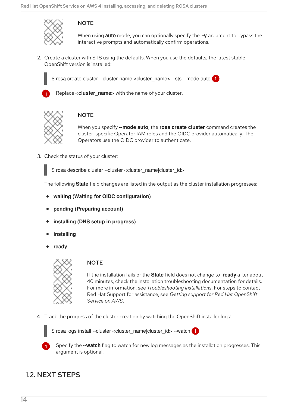

When using **auto** mode, you can optionally specify the **-y** argument to bypass the interactive prompts and automatically confirm operations.

2. Create a cluster with STS using the defaults. When you use the defaults, the latest stable OpenShift version is installed:

[1](#page-17-1)

\$ rosa create cluster --cluster-name <cluster\_name> --sts --mode auto **1**

Replace **<cluster\_name>** with the name of your cluster.



### <span id="page-17-1"></span>**NOTE**

When you specify **--mode auto**, the **rosa create cluster** command creates the cluster-specific Operator IAM roles and the OIDC provider automatically. The Operators use the OIDC provider to authenticate.

3. Check the status of your cluster:

\$ rosa describe cluster --cluster <cluster\_name|cluster\_id>

The following **State** field changes are listed in the output as the cluster installation progresses:

- **waiting (Waiting for OIDC configuration)**
- **pending (Preparing account)**
- **installing (DNS setup in progress)**
- **installing**
- **ready**



### **NOTE**

<span id="page-17-2"></span>If the installation fails or the **State** field does not change to **ready** after about 40 minutes, check the installation troubleshooting documentation for details. For more information, see *Troubleshooting installations*. For steps to contact Red Hat Support for assistance, see *Getting support for Red Hat OpenShift Service on AWS*.

4. Track the progress of the cluster creation by watching the OpenShift installer logs:



\$ rosa logs install --cluster <cluster\_name|cluster\_id> --watch **1**



Specify the **--watch** flag to watch for new log messages as the installation progresses. This argument is optional.

# <span id="page-17-0"></span>1.2. NEXT STEPS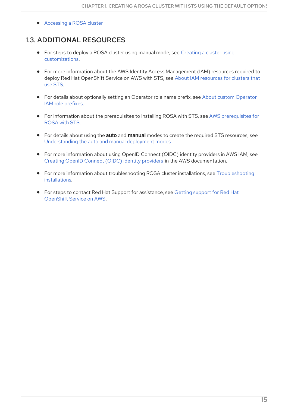[Accessing](https://access.redhat.com/documentation/en-us/red_hat_openshift_service_on_aws/4/html-single/installing_accessing_and_deleting_rosa_clusters/#rosa-sts-accessing-cluster) a ROSA cluster

# <span id="page-18-0"></span>1.3. ADDITIONAL RESOURCES

- For steps to deploy a ROSA cluster using manual mode, see Creating a cluster using [customizations.](https://access.redhat.com/documentation/en-us/red_hat_openshift_service_on_aws/4/html-single/installing_accessing_and_deleting_rosa_clusters/#rosa-sts-creating-cluster-using-customizations_rosa-sts-creating-a-cluster-with-customizations)
- For more information about the AWS Identity Access Management (IAM) resources required to deploy Red Hat [OpenShift](https://access.redhat.com/documentation/en-us/red_hat_openshift_service_on_aws/4/html-single/introduction_to_rosa/#rosa-sts-about-iam-resources) Service on AWS with STS, see About IAM resources for clusters that use STS.
- For details about [optionally](https://access.redhat.com/documentation/en-us/red_hat_openshift_service_on_aws/4/html-single/introduction_to_rosa/#rosa-sts-about-operator-role-prefixes_rosa-sts-about-iam-resources) setting an Operator role name prefix, see About custom Operator IAM role prefixes.
- For information about the [prerequisites](https://access.redhat.com/documentation/en-us/red_hat_openshift_service_on_aws/4/html-single/prepare_your_environment/#rosa-sts-aws-prereqs) to installing ROSA with STS, see AWS prerequisites for ROSA with STS.
- For details about using the **auto** and **manual** modes to create the required STS resources, see [Understanding](https://access.redhat.com/documentation/en-us/red_hat_openshift_service_on_aws/4/html-single/installing_accessing_and_deleting_rosa_clusters/#rosa-understanding-deployment-modes_rosa-sts-creating-a-cluster-with-customizations) the auto and manual deployment modes .
- For more information about using OpenID Connect (OIDC) identity providers in AWS IAM, see Creating OpenID Connect (OIDC) identity [providers](https://docs.aws.amazon.com/IAM/latest/UserGuide/id_roles_providers_create_oidc.html) in the AWS documentation.
- For more information about troubleshooting ROSA cluster installations, see [Troubleshooting](https://access.redhat.com/documentation/en-us/red_hat_openshift_service_on_aws/4/html-single/troubleshooting/#rosa-troubleshooting-installations) installations.
- For steps to contact Red Hat Support for [assistance,](https://access.redhat.com/documentation/en-us/red_hat_openshift_service_on_aws/4/html-single/introduction_to_rosa/#rosa-getting-support) see Getting support for Red Hat OpenShift Service on AWS.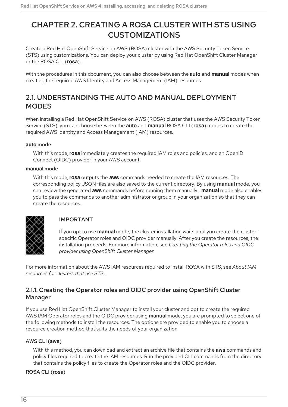# <span id="page-19-0"></span>CHAPTER 2. CREATING A ROSA CLUSTER WITH STS USING CUSTOMIZATIONS

Create a Red Hat OpenShift Service on AWS (ROSA) cluster with the AWS Security Token Service (STS) using customizations. You can deploy your cluster by using Red Hat OpenShift Cluster Manager or the ROSA CLI (**rosa**).

With the procedures in this document, you can also choose between the **auto** and **manual** modes when creating the required AWS Identity and Access Management (IAM) resources.

# <span id="page-19-1"></span>2.1. UNDERSTANDING THE AUTO AND MANUAL DEPLOYMENT **MODES**

When installing a Red Hat OpenShift Service on AWS (ROSA) cluster that uses the AWS Security Token Service (STS), you can choose between the **auto** and **manual** ROSA CLI (**rosa**) modes to create the required AWS Identity and Access Management (IAM) resources.

#### **auto** mode

With this mode, **rosa** immediately creates the required IAM roles and policies, and an OpenID Connect (OIDC) provider in your AWS account.

#### **manual** mode

With this mode, **rosa** outputs the **aws** commands needed to create the IAM resources. The corresponding policy JSON files are also saved to the current directory. By using **manual** mode, you can review the generated **aws** commands before running them manually. **manual** mode also enables you to pass the commands to another administrator or group in your organization so that they can create the resources.



# IMPORTANT

If you opt to use **manual** mode, the cluster installation waits until you create the clusterspecific Operator roles and OIDC provider manually. After you create the resources, the installation proceeds. For more information, see *Creating the Operator roles and OIDC provider using OpenShift Cluster Manager*.

For more information about the AWS IAM resources required to install ROSA with STS, see *About IAM resources for clusters that use STS*.

# <span id="page-19-2"></span>2.1.1. Creating the Operator roles and OIDC provider using OpenShift Cluster Manager

If you use Red Hat OpenShift Cluster Manager to install your cluster and opt to create the required AWS IAM Operator roles and the OIDC provider using **manual** mode, you are prompted to select one of the following methods to install the resources. The options are provided to enable you to choose a resource creation method that suits the needs of your organization:

### AWS CLI (**aws**)

With this method, you can download and extract an archive file that contains the **aws** commands and policy files required to create the IAM resources. Run the provided CLI commands from the directory that contains the policy files to create the Operator roles and the OIDC provider.

#### ROSA CLI (**rosa**)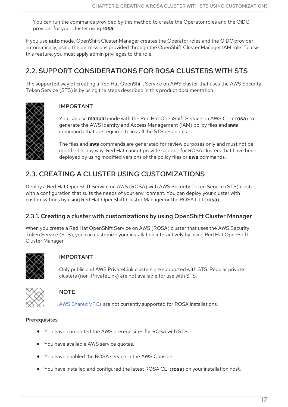You can run the commands provided by this method to create the Operator roles and the OIDC provider for your cluster using **rosa**.

If you use **auto** mode, OpenShift Cluster Manager creates the Operator roles and the OIDC provider automatically, using the permissions provided through the OpenShift Cluster Manager IAM role. To use this feature, you must apply admin privileges to the role.

# <span id="page-20-0"></span>2.2. SUPPORT CONSIDERATIONS FOR ROSA CLUSTERS WITH STS

The supported way of creating a Red Hat OpenShift Service on AWS cluster that uses the AWS Security Token Service (STS) is by using the steps described in this product documentation.



# IMPORTANT

You can use **manual** mode with the Red Hat OpenShift Service on AWS CLI ( **rosa**) to generate the AWS Identity and Access Management (IAM) policy files and **aws** commands that are required to install the STS resources.

The files and **aws** commands are generated for review purposes only and must not be modified in any way. Red Hat cannot provide support for ROSA clusters that have been deployed by using modified versions of the policy files or **aws** commands.

# <span id="page-20-1"></span>2.3. CREATING A CLUSTER USING CUSTOMIZATIONS

Deploy a Red Hat OpenShift Service on AWS (ROSA) with AWS Security Token Service (STS) cluster with a configuration that suits the needs of your environment. You can deploy your cluster with customizations by using Red Hat OpenShift Cluster Manager or the ROSA CLI (**rosa**).

# <span id="page-20-2"></span>2.3.1. Creating a cluster with customizations by using OpenShift Cluster Manager

When you create a Red Hat OpenShift Service on AWS (ROSA) cluster that uses the AWS Security Token Service (STS), you can customize your installation interactively by using Red Hat OpenShift Cluster Manager.



# IMPORTANT

Only public and AWS PrivateLink clusters are supported with STS. Regular private clusters (non-PrivateLink) are not available for use with STS.



### **NOTE**

AWS [Shared](https://docs.aws.amazon.com/vpc/latest/userguide/vpc-sharing.html) VPCs are not currently supported for ROSA installations.

# **Prerequisites**

- You have completed the AWS prerequisites for ROSA with STS.
- You have available AWS service quotas.
- You have enabled the ROSA service in the AWS Console.
- You have installed and configured the latest ROSA CLI (**rosa**) on your installation host.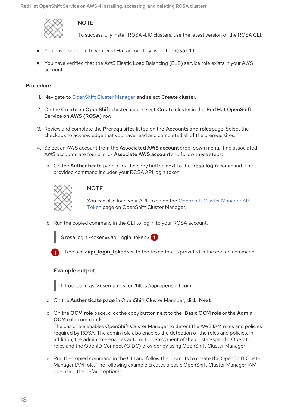

To successfully install ROSA 4.10 clusters, use the latest version of the ROSA CLI.

- You have logged in to your Red Hat account by using the **rosa** CLI.
- You have verified that the AWS Elastic Load Balancing (ELB) service role exists in your AWS account.

#### Procedure

- 1. Navigate to [OpenShift](https://console.redhat.com/openshift) Cluster Manager and select Create cluster.
- 2. On the Create an OpenShift clusterpage, select Create cluster in the Red Hat OpenShift Service on AWS (ROSA) row.
- 3. Review and complete the Prerequisites listed on the Accounts and rolespage. Select the checkbox to acknowledge that you have read and completed all of the prerequisites.
- 4. Select an AWS account from the Associated AWS accountdrop-down menu. If no associated AWS accounts are found, click Associate AWS accountand follow these steps:
	- a. On the Authenticate page, click the copy button next to the **rosa login** command. The provided command includes your ROSA API login token.



### **NOTE**

<span id="page-21-0"></span>You can also load your API token on the OpenShift Cluster Manager API Token page on [OpenShift](https://console.redhat.com/openshift/token) Cluster Manager.

b. Run the copied command in the CLI to log in to your ROSA account.



[1](#page-21-0)

\$ rosa login --token=<api\_login\_token> **1**

Replace **<api\_login\_token>** with the token that is provided in the copied command.

### Example output

I: Logged in as '<username>' on 'https://api.openshift.com'

- c. On the Authenticate page in OpenShift Cluster Manager, click Next.
- d. On the OCM role page, click the copy button next to the Basic OCM role or the Admin OCM role commands.

The basic role enables OpenShift Cluster Manager to detect the AWS IAM roles and policies required by ROSA. The admin role also enables the detection of the roles and policies. In addition, the admin role enables automatic deployment of the cluster-specific Operator roles and the OpenID Connect (OIDC) provider by using OpenShift Cluster Manager.

e. Run the copied command in the CLI and follow the prompts to create the OpenShift Cluster Manager IAM role. The following example creates a basic OpenShift Cluster Manager IAM role using the default options: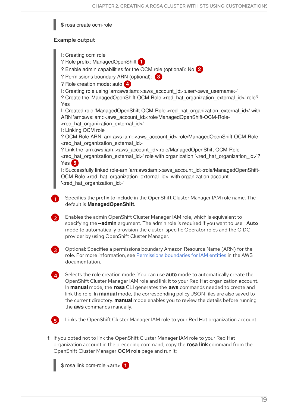# \$ rosa create ocm-role

### Example output

I: Creating ocm role

<span id="page-22-0"></span>? Role prefix: ManagedOpenShift **1**

<span id="page-22-1"></span>? Enable admin capabilities for the OCM role (optional): No **2**

<span id="page-22-2"></span>? Permissions boundary ARN (optional): **3**

<span id="page-22-3"></span>? Role creation mode: auto **4**

I: Creating role using 'arn:aws:iam::<aws\_account\_id>:user/<aws\_username>'

? Create the 'ManagedOpenShift-OCM-Role-<red hat organization external id>' role? Yes

I: Created role 'ManagedOpenShift-OCM-Role-<red hat organization external id>' with ARN 'arn:aws:iam::<aws\_account\_id>:role/ManagedOpenShift-OCM-Role-<red\_hat\_organization\_external\_id>'

I: Linking OCM role

? OCM Role ARN: arn:aws:iam::<aws\_account\_id>:role/ManagedOpenShift-OCM-Role-<red hat organization external id>

? Link the 'arn:aws:iam::<aws\_account\_id>:role/ManagedOpenShift-OCM-Role-<red\_hat\_organization\_external\_id>' role with organization '<red\_hat\_organization\_id>'? Yes **5**

<span id="page-22-4"></span>I: Successfully linked role-arn 'arn:aws:iam::<aws\_account\_id>:role/ManagedOpenShift-OCM-Role-<red\_hat\_organization\_external\_id>' with organization account '<red hat organization id>'

Specifies the prefix to include in the OpenShift Cluster Manager IAM role name. The default is **ManagedOpenShift**.

Enables the admin OpenShift Cluster Manager IAM role, which is equivalent to specifying the **--admin** argument. The admin role is required if you want to use Auto mode to automatically provision the cluster-specific Operator roles and the OIDC provider by using OpenShift Cluster Manager.

[3](#page-22-2)

[1](#page-22-0)

[2](#page-22-1)

Optional: Specifies a permissions boundary Amazon Resource Name (ARN) for the role. For more information, see [Permissions](https://docs.aws.amazon.com/IAM/latest/UserGuide/access_policies_boundaries.html) boundaries for IAM entities in the AWS documentation.

[4](#page-22-3) Selects the role creation mode. You can use **auto** mode to automatically create the OpenShift Cluster Manager IAM role and link it to your Red Hat organization account. In **manual** mode, the **rosa** CLI generates the **aws** commands needed to create and link the role. In **manual** mode, the corresponding policy JSON files are also saved to the current directory. **manual** mode enables you to review the details before running the **aws** commands manually.

[5](#page-22-4)

Links the OpenShift Cluster Manager IAM role to your Red Hat organization account.

f. If you opted not to link the OpenShift Cluster Manager IAM role to your Red Hat organization account in the preceding command, copy the **rosa link** command from the OpenShift Cluster Manager OCM role page and run it:

<span id="page-22-5"></span>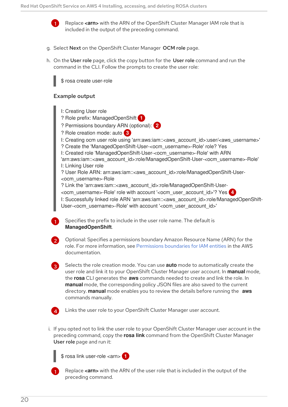

Replace **<arn>** with the ARN of the OpenShift Cluster Manager IAM role that is included in the output of the preceding command.

- g. Select Next on the OpenShift Cluster Manager OCM role page.
- h. On the User role page, click the copy button for the User role command and run the command in the CLI. Follow the prompts to create the user role:

\$ rosa create user-role

#### Example output

- I: Creating User role
- <span id="page-23-0"></span>? Role prefix: ManagedOpenShift **1**
- <span id="page-23-1"></span>? Permissions boundary ARN (optional): **2**
- <span id="page-23-2"></span>? Role creation mode: auto **3**
- I: Creating ocm user role using 'arn:aws:iam::<aws\_account\_id>:user/<aws\_username>'
- ? Create the 'ManagedOpenShift-User-<ocm\_username>-Role' role? Yes
- I: Created role 'ManagedOpenShift-User-<ocm\_username>-Role' with ARN
- 'arn:aws:iam::<aws\_account\_id>:role/ManagedOpenShift-User-<ocm\_username>-Role' I: Linking User role

? User Role ARN: arn:aws:iam::<aws\_account\_id>:role/ManagedOpenShift-User-<ocm\_username>-Role

? Link the 'arn:aws:iam::<aws\_account\_id>:role/ManagedOpenShift-User-

<span id="page-23-3"></span><ocm\_username>-Role' role with account '<ocm\_user\_account\_id>'? Yes **4** I: Successfully linked role ARN 'arn:aws:iam::<aws\_account\_id>:role/ManagedOpenShift-User-<ocm\_username>-Role' with account '<ocm\_user\_account\_id>'

Specifies the prefix to include in the user role name. The default is **ManagedOpenShift**.

[2](#page-23-1)

[3](#page-23-2)

[1](#page-23-0)

Optional: Specifies a permissions boundary Amazon Resource Name (ARN) for the role. For more information, see [Permissions](https://docs.aws.amazon.com/IAM/latest/UserGuide/access_policies_boundaries.html) boundaries for IAM entities in the AWS documentation.

Selects the role creation mode. You can use **auto** mode to automatically create the user role and link it to your OpenShift Cluster Manager user account. In **manual** mode, the **rosa** CLI generates the **aws** commands needed to create and link the role. In **manual** mode, the corresponding policy JSON files are also saved to the current directory. **manual** mode enables you to review the details before running the **aws** commands manually.



Links the user role to your OpenShift Cluster Manager user account.

i. If you opted not to link the user role to your OpenShift Cluster Manager user account in the preceding command, copy the **rosa link** command from the OpenShift Cluster Manager User role page and run it:



\$ rosa link user-role <arn> **1**



<span id="page-23-4"></span>Replace **<arn>** with the ARN of the user role that is included in the output of the preceding command.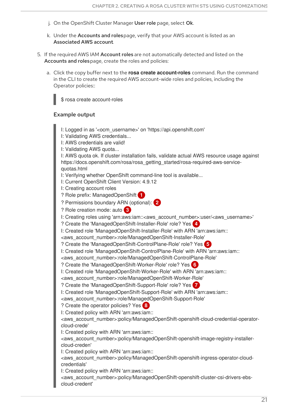- j. On the OpenShift Cluster Manager User role page, select Ok.
- k. Under the Accounts and rolespage, verify that your AWS account is listed as an Associated AWS account.
- 5. If the required AWS IAM Account roles are not automatically detected and listed on the Accounts and rolespage, create the roles and policies:
	- a. Click the copy buffer next to the **rosa create account-roles** command. Run the command in the CLI to create the required AWS account-wide roles and policies, including the Operator policies::

\$ rosa create account-roles

#### Example output

<span id="page-24-7"></span><span id="page-24-6"></span><span id="page-24-5"></span><span id="page-24-4"></span><span id="page-24-3"></span><span id="page-24-2"></span><span id="page-24-1"></span><span id="page-24-0"></span>I: Logged in as '<ocm\_username>' on 'https://api.openshift.com' I: Validating AWS credentials... I: AWS credentials are valid! I: Validating AWS quota... I: AWS quota ok. If cluster installation fails, validate actual AWS resource usage against https://docs.openshift.com/rosa/rosa\_getting\_started/rosa-required-aws-servicequotas.html I: Verifying whether OpenShift command-line tool is available... I: Current OpenShift Client Version: 4.9.12 I: Creating account roles ? Role prefix: ManagedOpenShift **1** ? Permissions boundary ARN (optional): **2** ? Role creation mode: auto **3** I: Creating roles using 'arn:aws:iam::<aws\_account\_number>:user/<aws\_username>' ? Create the 'ManagedOpenShift-Installer-Role' role? Yes **4** I: Created role 'ManagedOpenShift-Installer-Role' with ARN 'arn:aws:iam:: <aws\_account\_number>:role/ManagedOpenShift-Installer-Role' ? Create the 'ManagedOpenShift-ControlPlane-Role' role? Yes **5** I: Created role 'ManagedOpenShift-ControlPlane-Role' with ARN 'arn:aws:iam:: <aws\_account\_number>:role/ManagedOpenShift-ControlPlane-Role' ? Create the 'ManagedOpenShift-Worker-Role' role? Yes **6** I: Created role 'ManagedOpenShift-Worker-Role' with ARN 'arn:aws:iam:: <aws\_account\_number>:role/ManagedOpenShift-Worker-Role' ? Create the 'ManagedOpenShift-Support-Role' role? Yes **7** I: Created role 'ManagedOpenShift-Support-Role' with ARN 'arn:aws:iam:: <aws\_account\_number>:role/ManagedOpenShift-Support-Role' ? Create the operator policies? Yes **8** I: Created policy with ARN 'arn:aws:iam:: <aws\_account\_number>:policy/ManagedOpenShift-openshift-cloud-credential-operatorcloud-crede' I: Created policy with ARN 'arn:aws:iam:: <aws\_account\_number>:policy/ManagedOpenShift-openshift-image-registry-installercloud-creden' I: Created policy with ARN 'arn:aws:iam:: <aws\_account\_number>:policy/ManagedOpenShift-openshift-ingress-operator-cloudcredentials' I: Created policy with ARN 'arn:aws:iam:: <aws\_account\_number>:policy/ManagedOpenShift-openshift-cluster-csi-drivers-ebscloud-credent'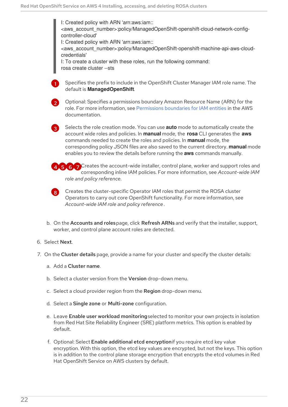I: Created policy with ARN 'arn:aws:iam:: <aws\_account\_number>:policy/ManagedOpenShift-openshift-cloud-network-configcontroller-cloud' I: Created policy with ARN 'arn:aws:iam:: <aws\_account\_number>:policy/ManagedOpenShift-openshift-machine-api-aws-cloudcredentials'

I: To create a cluster with these roles, run the following command:

rosa create cluster --sts

Specifies the prefix to include in the OpenShift Cluster Manager IAM role name. The default is **ManagedOpenShift**.

Optional: Specifies a permissions boundary Amazon Resource Name (ARN) for the role. For more information, see [Permissions](https://docs.aws.amazon.com/IAM/latest/UserGuide/access_policies_boundaries.html) boundaries for IAM entities in the AWS documentation.

[3](#page-24-2) Selects the role creation mode. You can use **auto** mode to automatically create the account wide roles and policies. In **manual** mode, the **rosa** CLI generates the **aws** commands needed to create the roles and policies. In **manual** mode, the corresponding policy JSON files are also saved to the current directory. **manual** mode enables you to review the details before running the **aws** commands manually.

[4](#page-24-3) [5](#page-24-4) [6](#page-24-5) [7](#page-24-6) Creates the account-wide installer, control plane, worker and support roles and corresponding inline IAM policies. For more information, see *Account-wide IAM role and policy reference*.

[8](#page-24-7) Creates the cluster-specific Operator IAM roles that permit the ROSA cluster Operators to carry out core OpenShift functionality. For more information, see *Account-wide IAM role and policy reference*.

b. On the Accounts and rolespage, click Refresh ARNs and verify that the installer, support, worker, and control plane account roles are detected.

#### 6. Select Next.

[1](#page-24-0)

[2](#page-24-1)

- 7. On the Cluster details page, provide a name for your cluster and specify the cluster details:
	- a. Add a Cluster name.
	- b. Select a cluster version from the Version drop-down menu.
	- c. Select a cloud provider region from the Region drop-down menu.
	- d. Select a Single zone or Multi-zone configuration.
	- e. Leave Enable user workload monitoringselected to monitor your own projects in isolation from Red Hat Site Reliability Engineer (SRE) platform metrics. This option is enabled by default.
	- f. Optional: Select Enable additional etcd encryptionif you require etcd key value encryption. With this option, the etcd key values are encrypted, but not the keys. This option is in addition to the control plane storage encryption that encrypts the etcd volumes in Red Hat OpenShift Service on AWS clusters by default.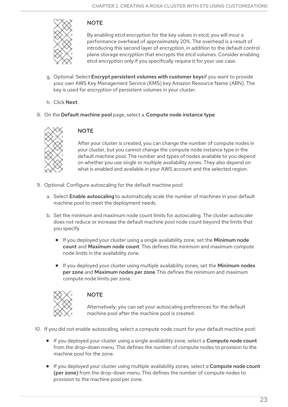

By enabling etcd encryption for the key values in etcd, you will incur a performance overhead of approximately 20%. The overhead is a result of introducing this second layer of encryption, in addition to the default control plane storage encryption that encrypts the etcd volumes. Consider enabling etcd encryption only if you specifically require it for your use case.

- g. Optional: Select Encrypt persistent volumes with customer keysif you want to provide your own AWS Key Management Service (KMS) key Amazon Resource Name (ARN). The key is used for encryption of persistent volumes in your cluster.
- h. Click Next.
- 8. On the Default machine pool page, select a Compute node instance type.



### **NOTE**

**NOTE** 

After your cluster is created, you can change the number of compute nodes in your cluster, but you cannot change the compute node instance type in the default machine pool. The number and types of nodes available to you depend on whether you use single or multiple availability zones. They also depend on what is enabled and available in your AWS account and the selected region.

- 9. Optional: Configure autoscaling for the default machine pool:
	- a. Select Enable autoscaling to automatically scale the number of machines in your default machine pool to meet the deployment needs.
	- b. Set the minimum and maximum node count limits for autoscaling. The cluster autoscaler does not reduce or increase the default machine pool node count beyond the limits that you specify.
		- **If you deployed your cluster using a single availability zone, set the Minimum node** count and Maximum node count. This defines the minimum and maximum compute node limits in the availability zone.
		- **If you deployed your cluster using multiple availability zones, set the Minimum nodes** per zone and Maximum nodes per zone. This defines the minimum and maximum compute node limits per zone.



# **NOTE**

Alternatively, you can set your autoscaling preferences for the default machine pool after the machine pool is created.

10. If you did not enable autoscaling, select a compute node count for your default machine pool:

- **If you deployed your cluster using a single availability zone, select a Compute node count** from the drop-down menu. This defines the number of compute nodes to provision to the machine pool for the zone.
- **If you deployed your cluster using multiple availability zones, select a Compute node count** (per zone) from the drop-down menu. This defines the number of compute nodes to provision to the machine pool per zone.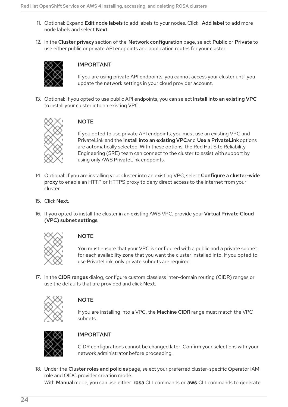- 11. Optional: Expand Edit node labels to add labels to your nodes. Click Add label to add more node labels and select Next.
- 12. In the Cluster privacy section of the Network configuration page, select Public or Private to use either public or private API endpoints and application routes for your cluster.



### IMPORTANT

If you are using private API endpoints, you cannot access your cluster until you update the network settings in your cloud provider account.

13. Optional: If you opted to use public API endpoints, you can select Install into an existing VPC to install your cluster into an existing VPC.



# **NOTE**

If you opted to use private API endpoints, you must use an existing VPC and PrivateLink and the Install into an existing VPCand Use a PrivateLink options are automatically selected. With these options, the Red Hat Site Reliability Engineering (SRE) team can connect to the cluster to assist with support by using only AWS PrivateLink endpoints.

- 14. Optional: If you are installing your cluster into an existing VPC, select Configure a cluster-wide proxy to enable an HTTP or HTTPS proxy to deny direct access to the internet from your cluster.
- 15. Click Next.
- 16. If you opted to install the cluster in an existing AWS VPC, provide your Virtual Private Cloud (VPC) subnet settings.



### **NOTE**

You must ensure that your VPC is configured with a public and a private subnet for each availability zone that you want the cluster installed into. If you opted to use PrivateLink, only private subnets are required.

17. In the CIDR ranges dialog, configure custom classless inter-domain routing (CIDR) ranges or use the defaults that are provided and click Next.



# **NOTE**

If you are installing into a VPC, the Machine CIDR range must match the VPC subnets.



### IMPORTANT

CIDR configurations cannot be changed later. Confirm your selections with your network administrator before proceeding.

18. Under the Cluster roles and policies page, select your preferred cluster-specific Operator IAM role and OIDC provider creation mode.

With Manual mode, you can use either **rosa** CLI commands or **aws** CLI commands to generate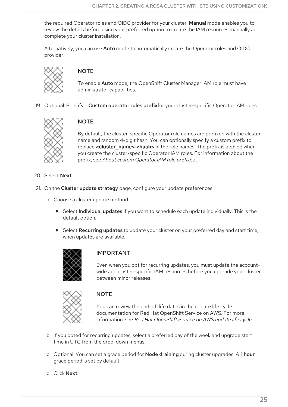the required Operator roles and OIDC provider for your cluster. Manual mode enables you to review the details before using your preferred option to create the IAM resources manually and complete your cluster installation.

Alternatively, you can use Auto mode to automatically create the Operator roles and OIDC provider.



### **NOTE**

To enable Auto mode, the OpenShift Cluster Manager IAM role must have administrator capabilities.

19. Optional: Specify a Custom operator roles prefixfor your cluster-specific Operator IAM roles.



# **NOTE**

By default, the cluster-specific Operator role names are prefixed with the cluster name and random 4-digit hash. You can optionally specify a custom prefix to replace **<cluster\_name>-<hash>** in the role names. The prefix is applied when you create the cluster-specific Operator IAM roles. For information about the prefix, see *About custom Operator IAM role prefixes* .

#### 20. Select Next.

- 21. On the Cluster update strategy page, configure your update preferences:
	- a. Choose a cluster update method:
		- **Select Individual updates** if you want to schedule each update individually. This is the default option.
		- **Select Recurring updates** to update your cluster on your preferred day and start time, when updates are available.



### IMPORTANT

Even when you opt for recurring updates, you must update the accountwide and cluster-specific IAM resources before you upgrade your cluster between minor releases.



# **NOTE**

You can review the end-of-life dates in the update life cycle documentation for Red Hat OpenShift Service on AWS. For more information, see *Red Hat OpenShift Service on AWS update life cycle* .

- b. If you opted for recurring updates, select a preferred day of the week and upgrade start time in UTC from the drop-down menus.
- c. Optional: You can set a grace period for Node draining during cluster upgrades. A 1 hour grace period is set by default.
- d. Click Next.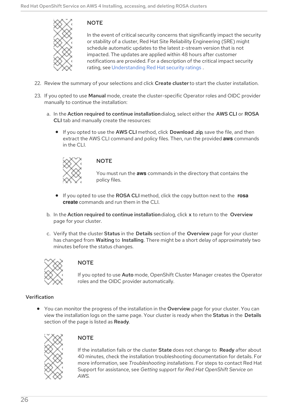

In the event of critical security concerns that significantly impact the security or stability of a cluster, Red Hat Site Reliability Engineering (SRE) might schedule automatic updates to the latest z-stream version that is not impacted. The updates are applied within 48 hours after customer notifications are provided. For a description of the critical impact security rating, see [Understanding](https://access.redhat.com/security/updates/classification) Red Hat security ratings .

- 22. Review the summary of your selections and click Create cluster to start the cluster installation.
- 23. If you opted to use Manual mode, create the cluster-specific Operator roles and OIDC provider manually to continue the installation:
	- a. In the Action required to continue installationdialog, select either the AWS CLI or ROSA CLI tab and manually create the resources:
		- **If you opted to use the AWS CLI method, click Download .zip, save the file, and then** extract the AWS CLI command and policy files. Then, run the provided **aws** commands in the CLI.



### **NOTE**

You must run the **aws** commands in the directory that contains the policy files.

- If you opted to use the ROSA CLI method, click the copy button next to the **rosa create** commands and run them in the CLL.
- b. In the Action required to continue installation dialog, click x to return to the Overview page for your cluster.
- c. Verify that the cluster Status in the Details section of the Overview page for your cluster has changed from Waiting to Installing. There might be a short delay of approximately two minutes before the status changes.



# **NOTE**

If you opted to use Auto mode, OpenShift Cluster Manager creates the Operator roles and the OIDC provider automatically.

### Verification

• You can monitor the progress of the installation in the Overview page for your cluster. You can view the installation logs on the same page. Your cluster is ready when the Status in the Details section of the page is listed as Ready.



# **NOTE**

If the installation fails or the cluster State does not change to Ready after about 40 minutes, check the installation troubleshooting documentation for details. For more information, see *Troubleshooting installations*. For steps to contact Red Hat Support for assistance, see *Getting support for Red Hat OpenShift Service on AWS*.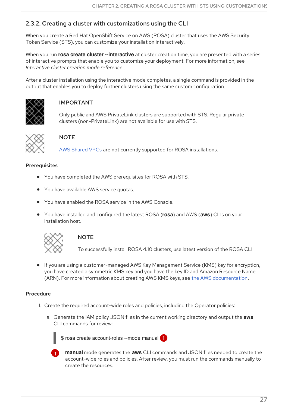# <span id="page-30-0"></span>2.3.2. Creating a cluster with customizations using the CLI

When you create a Red Hat OpenShift Service on AWS (ROSA) cluster that uses the AWS Security Token Service (STS), you can customize your installation interactively.

When you run **rosa create cluster --interactive** at cluster creation time, you are presented with a series of interactive prompts that enable you to customize your deployment. For more information, see *Interactive cluster creation mode reference* .

After a cluster installation using the interactive mode completes, a single command is provided in the output that enables you to deploy further clusters using the same custom configuration.



# IMPORTANT

Only public and AWS PrivateLink clusters are supported with STS. Regular private clusters (non-PrivateLink) are not available for use with STS.



# **NOTE**

AWS [Shared](https://docs.aws.amazon.com/vpc/latest/userguide/vpc-sharing.html) VPCs are not currently supported for ROSA installations.

### **Prerequisites**

- You have completed the AWS prerequisites for ROSA with STS.
- You have available AWS service quotas.
- You have enabled the ROSA service in the AWS Console.
- You have installed and configured the latest ROSA (**rosa**) and AWS (**aws**) CLIs on your installation host.



# **NOTE**

To successfully install ROSA 4.10 clusters, use latest version of the ROSA CLI.

If you are using a customer-managed AWS Key Management Service (KMS) key for encryption, you have created a symmetric KMS key and you have the key ID and Amazon Resource Name (ARN). For more information about creating AWS KMS keys, see the AWS [documentation.](https://docs.aws.amazon.com/kms/latest/developerguide/create-keys.html)

# Procedure

- 1. Create the required account-wide roles and policies, including the Operator policies:
	- a. Generate the IAM policy JSON files in the current working directory and output the **aws** CLI commands for review:



<span id="page-30-1"></span>\$ rosa create account-roles --mode manual **1**

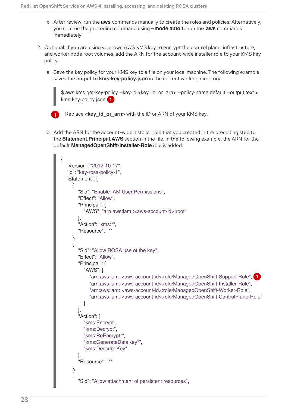- b. After review, run the **aws** commands manually to create the roles and policies. Alternatively, you can run the preceding command using **--mode auto** to run the **aws** commands immediately.
- 2. Optional: If you are using your own AWS KMS key to encrypt the control plane, infrastructure, and worker node root volumes, add the ARN for the account-wide installer role to your KMS key policy.
	- a. Save the key policy for your KMS key to a file on your local machine. The following example saves the output to **kms-key-policy.json** in the current working directory:



\$ aws kms get-key-policy --key-id <key id or arn> --policy-name default --output text > kms-key-policy.json **1**



<span id="page-31-0"></span>Replace **<key id or arn>** with the ID or ARN of your KMS key.

b. Add the ARN for the account-wide installer role that you created in the preceding step to the **Statement.Principal.AWS** section in the file. In the following example, the ARN for the default **ManagedOpenShift-Installer-Role** role is added:

```
{
"Version": "2012-10-17",
"Id": "key-rosa-policy-1",
"Statement": [
  {
     "Sid": "Enable IAM User Permissions",
     "Effect": "Allow",
     "Principal": {
       "AWS": "arn:aws:iam::<aws-account-id>:root"
     },
     "Action": "kms:*"
     "Resource": "*"
  },
  {
     "Sid": "Allow ROSA use of the key",
     "Effect": "Allow",
     "Principal": {
       "AWS": [
          "arn:aws:iam::<aws-account-id>:role/ManagedOpenShift-Support-Role", 1
          "arn:aws:iam::<aws-account-id>:role/ManagedOpenShift-Installer-Role",
          "arn:aws:iam::<aws-account-id>:role/ManagedOpenShift-Worker-Role",
          "arn:aws:iam::<aws-account-id>:role/ManagedOpenShift-ControlPlane-Role"
       \mathbf{I}},
     "Action": [
       "kms:Encrypt",
       "kms:Decrypt",
       "kms:ReEncrypt*",
       "kms:GenerateDataKey*",
       "kms:DescribeKey"
     ],
     "Resource": "*"
  },
  {
     "Sid": "Allow attachment of persistent resources",
```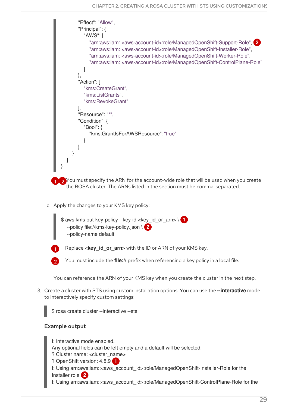<span id="page-32-1"></span><span id="page-32-0"></span>

c. Apply the changes to your KMS key policy:

<span id="page-32-3"></span><span id="page-32-2"></span>

[1](#page-32-2)

Replace <**key id or arn>** with the ID or ARN of your KMS key.

[2](#page-32-3)

You must include the **file://** prefix when referencing a key policy in a local file.

You can reference the ARN of your KMS key when you create the cluster in the next step.

3. Create a cluster with STS using custom installation options. You can use the **--interactive** mode to interactively specify custom settings:



### Example output

I: Interactive mode enabled. Any optional fields can be left empty and a default will be selected. ? Cluster name: <cluster\_name> ? OpenShift version: 4.8.9 **1** I: Using arn:aws:iam::<aws\_account\_id>:role/ManagedOpenShift-Installer-Role for the Installer role **2** I: Using arn:aws:iam::<aws\_account\_id>:role/ManagedOpenShift-ControlPlane-Role for the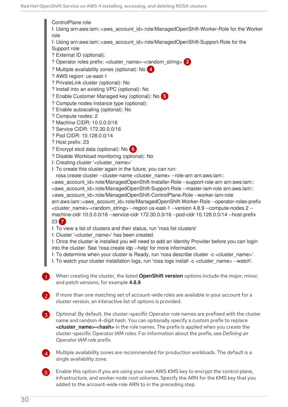<span id="page-33-1"></span><span id="page-33-0"></span>ControlPlane role

I: Using arn:aws:iam::<aws\_account\_id>:role/ManagedOpenShift-Worker-Role for the Worker role

I: Using arn:aws:iam::<aws\_account\_id>:role/ManagedOpenShift-Support-Role for the Support role

? External ID (optional):

- <span id="page-33-2"></span>? Operator roles prefix: <cluster\_name>-<random\_string> **3**
- <span id="page-33-3"></span>? Multiple availability zones (optional): No **4**
- ? AWS region: us-east-1

? PrivateLink cluster (optional): No

? Install into an existing VPC (optional): No

<span id="page-33-4"></span>? Enable Customer Managed key (optional): No **5**

? Compute nodes instance type (optional):

? Enable autoscaling (optional): No

? Compute nodes: 2

- ? Machine CIDR: 10.0.0.0/16
- ? Service CIDR: 172.30.0.0/16

? Pod CIDR: 10.128.0.0/14

? Host prefix: 23

<span id="page-33-5"></span>? Encrypt etcd data (optional): No **6**

? Disable Workload monitoring (optional): No

I: Creating cluster '<cluster\_name>'

I: To create this cluster again in the future, you can run:

rosa create cluster --cluster-name <cluster\_name> --role-arn arn:aws:iam::

<aws\_account\_id>:role/ManagedOpenShift-Installer-Role --support-role-arn arn:aws:iam:: <aws\_account\_id>:role/ManagedOpenShift-Support-Role --master-iam-role arn:aws:iam:: <aws\_account\_id>:role/ManagedOpenShift-ControlPlane-Role --worker-iam-role arn:aws:iam::<aws\_account\_id>:role/ManagedOpenShift-Worker-Role --operator-roles-prefix <cluster\_name>-<random\_string> --region us-east-1 --version 4.8.9 --compute-nodes 2 - machine-cidr 10.0.0.0/16 --service-cidr 172.30.0.0/16 --pod-cidr 10.128.0.0/14 --host-prefix 23 **7**

<span id="page-33-6"></span>I: To view a list of clusters and their status, run 'rosa list clusters'

I: Cluster '<cluster\_name>' has been created.

I: Once the cluster is installed you will need to add an Identity Provider before you can login into the cluster. See 'rosa create idp --help' for more information.

I: To determine when your cluster is Ready, run 'rosa describe cluster -c <cluster\_name>'.

I: To watch your cluster installation logs, run 'rosa logs install -c <cluster name> --watch'.

When creating the cluster, the listed **OpenShift version** options include the major, minor, and patch versions, for example **4.8.9**.

If more than one matching set of account-wide roles are available in your account for a cluster version, an interactive list of options is provided.

[3](#page-33-2)

[2](#page-33-1)

[1](#page-33-0)

Optional: By default, the cluster-specific Operator role names are prefixed with the cluster name and random 4-digit hash. You can optionally specify a custom prefix to replace **<cluster\_name>-<hash>** in the role names. The prefix is applied when you create the cluster-specific Operator IAM roles. For information about the prefix, see *Defining an Operator IAM role prefix*.



[5](#page-33-4)

Multiple availability zones are recommended for production workloads. The default is a single availability zone.

Enable this option if you are using your own AWS KMS key to encrypt the control plane, infrastructure, and worker node root volumes. Specify the ARN for the KMS key that you added to the account-wide role ARN to in the preceding step.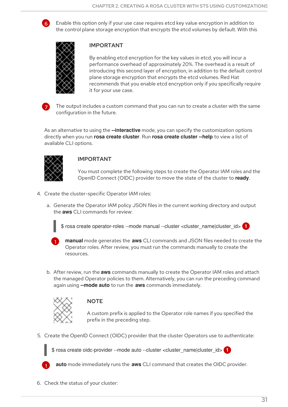

Enable this option only if your use case requires etcd key value encryption in addition to the control plane storage encryption that encrypts the etcd volumes by default. With this



### IMPORTANT

By enabling etcd encryption for the key values in etcd, you will incur a performance overhead of approximately 20%. The overhead is a result of introducing this second layer of encryption, in addition to the default control plane storage encryption that encrypts the etcd volumes. Red Hat recommends that you enable etcd encryption only if you specifically require it for your use case.



The output includes a custom command that you can run to create a cluster with the same configuration in the future.

As an alternative to using the **--interactive** mode, you can specify the customization options directly when you run **rosa create cluster**. Run **rosa create cluster --help** to view a list of available CLI options.



#### IMPORTANT

You must complete the following steps to create the Operator IAM roles and the OpenID Connect (OIDC) provider to move the state of the cluster to **ready**.

- 4. Create the cluster-specific Operator IAM roles:
	- a. Generate the Operator IAM policy JSON files in the current working directory and output the **aws** CLI commands for review:



\$ rosa create operator-roles --mode manual --cluster <cluster\_name|cluster\_id> **1**



**manual** mode generates the **aws** CLI commands and JSON files needed to create the Operator roles. After review, you must run the commands manually to create the resources.

b. After review, run the **aws** commands manually to create the Operator IAM roles and attach the managed Operator policies to them. Alternatively, you can run the preceding command again using **--mode auto** to run the **aws** commands immediately.



[1](#page-34-1)

#### **NOTE**

A custom prefix is applied to the Operator role names if you specified the prefix in the preceding step.

5. Create the OpenID Connect (OIDC) provider that the cluster Operators use to authenticate:

\$ rosa create oidc-provider --mode auto --cluster <cluster\_name|cluster\_id> **1**

<span id="page-34-1"></span><span id="page-34-0"></span>

**auto** mode immediately runs the **aws** CLI command that creates the OIDC provider.

6. Check the status of your cluster: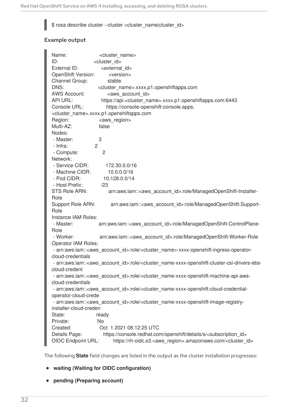\$ rosa describe cluster --cluster <cluster\_name|cluster\_id>

# Example output

| Name:                                      | <cluster_name></cluster_name>                                                                                                                                                |
|--------------------------------------------|------------------------------------------------------------------------------------------------------------------------------------------------------------------------------|
| ID:                                        | <cluster id=""></cluster>                                                                                                                                                    |
| External ID:                               | <external_id></external_id>                                                                                                                                                  |
| <b>OpenShift Version:</b>                  | <version></version>                                                                                                                                                          |
| Channel Group:                             | stable                                                                                                                                                                       |
| DNS:                                       | <cluster_name>.xxxx.p1.openshiftapps.com</cluster_name>                                                                                                                      |
| <b>AWS Account:</b>                        | <aws_account_id></aws_account_id>                                                                                                                                            |
| <b>API URL:</b>                            | https://api. <cluster_name>.xxxx.p1.openshiftapps.com:6443</cluster_name>                                                                                                    |
| Console URL:                               | https://console-openshift-console.apps.                                                                                                                                      |
|                                            | <cluster name="">.xxxx.p1.openshiftapps.com</cluster>                                                                                                                        |
| Region:                                    | <aws region=""></aws>                                                                                                                                                        |
| Multi-AZ:                                  | false                                                                                                                                                                        |
| Nodes:                                     |                                                                                                                                                                              |
| - Master:                                  | 3                                                                                                                                                                            |
| - Infra:                                   | $\overline{2}$                                                                                                                                                               |
| - Compute:                                 | $\overline{c}$                                                                                                                                                               |
| Network:                                   |                                                                                                                                                                              |
| - Service CIDR:                            | 172.30.0.0/16                                                                                                                                                                |
| - Machine CIDR:                            | 10.0.0.0/16                                                                                                                                                                  |
| - Pod CIDR:                                | 10.128.0.0/14                                                                                                                                                                |
| - Host Prefix:                             | /23                                                                                                                                                                          |
| STS Role ARN:                              | arn:aws:iam:: <aws account="" id="">:role/ManagedOpenShift-Installer-</aws>                                                                                                  |
| Role                                       |                                                                                                                                                                              |
|                                            |                                                                                                                                                                              |
| Support Role ARN:                          | arn:aws:iam:: <aws_account_id>:role/ManagedOpenShift-Support-</aws_account_id>                                                                                               |
| Role                                       |                                                                                                                                                                              |
| Instance IAM Roles:                        |                                                                                                                                                                              |
| - Master:                                  | arn:aws:iam:: <aws_account_id>:role/ManagedOpenShift-ControlPlane-</aws_account_id>                                                                                          |
| Role                                       |                                                                                                                                                                              |
| - Worker:                                  | arn:aws:iam:: <aws_account_id>:role/ManagedOpenShift-Worker-Role</aws_account_id>                                                                                            |
| Operator IAM Roles:                        |                                                                                                                                                                              |
|                                            | - arn:aws:iam:: <aws_account_id>:role/<cluster_name>-xxxx-openshift-ingress-operator-</cluster_name></aws_account_id>                                                        |
| cloud-credentials                          |                                                                                                                                                                              |
|                                            | - arn:aws:iam:: <aws account="" id="">:role/<cluster name-xxxx-openshift-cluster-csi-drivers-ebs-<="" td=""></cluster></aws>                                                 |
| cloud-credent                              |                                                                                                                                                                              |
|                                            | - arn:aws:iam:: <aws_account_id>:role/<cluster_name-xxxx-openshift-machine-api-aws-< td=""></cluster_name-xxxx-openshift-machine-api-aws-<></aws_account_id>                 |
| cloud-credentials                          |                                                                                                                                                                              |
|                                            | - arn:aws:iam:: <aws_account_id>:role/<cluster_name-xxxx-openshift-cloud-credential-< td=""></cluster_name-xxxx-openshift-cloud-credential-<></aws_account_id>               |
| operator-cloud-crede                       |                                                                                                                                                                              |
|                                            | - arn:aws:iam:: <aws account="" id="">:role/<cluster name-xxxx-openshift-image-registry-<="" td=""></cluster></aws>                                                          |
| installer-cloud-creden                     |                                                                                                                                                                              |
| State:                                     | ready                                                                                                                                                                        |
| Private:                                   | <b>No</b>                                                                                                                                                                    |
| Created:                                   | Oct 1 2021 08:12:25 UTC                                                                                                                                                      |
| Details Page:<br><b>OIDC Endpoint URL:</b> | https://console.redhat.com/openshift/details/s/ <subscription_id><br/>https://rh-oidc.s3.<aws_region>.amazonaws.com/<cluster_id></cluster_id></aws_region></subscription_id> |

The following **State** field changes are listed in the output as the cluster installation progresses:

# **waiting (Waiting for OIDC configuration)**

**pending (Preparing account)**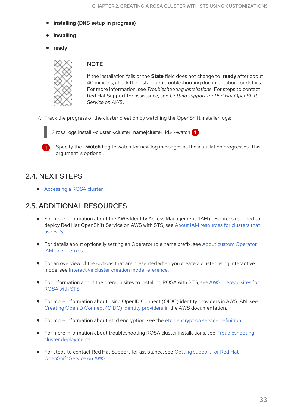- **installing (DNS setup in progress)**
- **installing**
- **ready**



#### **NOTE**

<span id="page-36-0"></span>If the installation fails or the **State** field does not change to **ready** after about 40 minutes, check the installation troubleshooting documentation for details. For more information, see *Troubleshooting installations*. For steps to contact Red Hat Support for assistance, see *Getting support for Red Hat OpenShift Service on AWS*.

7. Track the progress of the cluster creation by watching the OpenShift installer logs:



Specify the **--watch** flag to watch for new log messages as the installation progresses. This argument is optional.

# 2.4. NEXT STEPS

[1](#page-36-0)

[Accessing](https://access.redhat.com/documentation/en-us/red_hat_openshift_service_on_aws/4/html-single/installing_accessing_and_deleting_rosa_clusters/#rosa-sts-accessing-cluster) a ROSA cluster

# 2.5. ADDITIONAL RESOURCES

- For more information about the AWS Identity Access Management (IAM) resources required to deploy Red Hat [OpenShift](https://access.redhat.com/documentation/en-us/red_hat_openshift_service_on_aws/4/html-single/introduction_to_rosa/#rosa-sts-about-iam-resources) Service on AWS with STS, see About IAM resources for clusters that use STS.
- For details about [optionally](https://access.redhat.com/documentation/en-us/red_hat_openshift_service_on_aws/4/html-single/introduction_to_rosa/#rosa-sts-about-operator-role-prefixes_rosa-sts-about-iam-resources) setting an Operator role name prefix, see About custom Operator IAM role prefixes.
- For an overview of the options that are presented when you create a cluster using interactive mode, see [Interactive](https://access.redhat.com/documentation/en-us/red_hat_openshift_service_on_aws/4/html-single/installing_accessing_and_deleting_rosa_clusters/#rosa-sts-understanding-interactive-mode-options_rosa-sts-interactive-mode-reference) cluster creation mode reference.
- For information about the [prerequisites](https://access.redhat.com/documentation/en-us/red_hat_openshift_service_on_aws/4/html-single/prepare_your_environment/#rosa-sts-aws-prereqs) to installing ROSA with STS, see AWS prerequisites for ROSA with STS.
- For more information about using OpenID Connect (OIDC) identity providers in AWS IAM, see Creating OpenID Connect (OIDC) identity [providers](https://docs.aws.amazon.com/IAM/latest/UserGuide/id_roles_providers_create_oidc.html) in the AWS documentation.
- For more information about etcd encryption, see the etcd [encryption](https://access.redhat.com/documentation/en-us/red_hat_openshift_service_on_aws/4/html-single/introduction_to_rosa/#rosa-sdpolicy-etcd-encryption_rosa-service-definition) service definition .
- For more information about troubleshooting ROSA cluster installations, see [Troubleshooting](https://access.redhat.com/documentation/en-us/red_hat_openshift_service_on_aws/4/html-single/troubleshooting/#rosa-troubleshooting-cluster-deployments) cluster deployments.
- For steps to contact Red Hat Support for [assistance,](https://access.redhat.com/documentation/en-us/red_hat_openshift_service_on_aws/4/html-single/introduction_to_rosa/#rosa-getting-support) see Getting support for Red Hat OpenShift Service on AWS.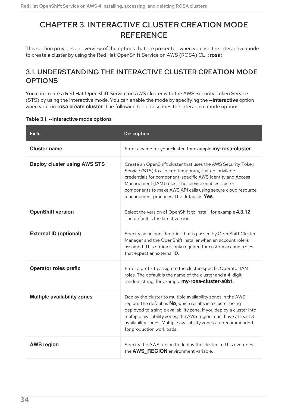# CHAPTER 3. INTERACTIVE CLUSTER CREATION MODE **REFERENCE**

This section provides an overview of the options that are presented when you use the interactive mode to create a cluster by using the Red Hat OpenShift Service on AWS (ROSA) CLI (**rosa**).

# 3.1. UNDERSTANDING THE INTERACTIVE CLUSTER CREATION MODE **OPTIONS**

You can create a Red Hat OpenShift Service on AWS cluster with the AWS Security Token Service (STS) by using the interactive mode. You can enable the mode by specifying the **--interactive** option when you run **rosa create cluster**. The following table describes the interactive mode options.

|  |  | Table 3.1. -- interactive mode options |
|--|--|----------------------------------------|
|--|--|----------------------------------------|

| <b>Field</b>                        | Description                                                                                                                                                                                                                                                                                                                                                             |
|-------------------------------------|-------------------------------------------------------------------------------------------------------------------------------------------------------------------------------------------------------------------------------------------------------------------------------------------------------------------------------------------------------------------------|
| <b>Cluster name</b>                 | Enter a name for your cluster, for example my-rosa-cluster.                                                                                                                                                                                                                                                                                                             |
| <b>Deploy cluster using AWS STS</b> | Create an OpenShift cluster that uses the AWS Security Token<br>Service (STS) to allocate temporary, limited-privilege<br>credentials for component-specific AWS Identity and Access<br>Management (IAM) roles. The service enables cluster<br>components to make AWS API calls using secure cloud resource<br>management practices. The default is Yes.                |
| <b>OpenShift version</b>            | Select the version of OpenShift to install, for example 4.3.12.<br>The default is the latest version.                                                                                                                                                                                                                                                                   |
| <b>External ID (optional)</b>       | Specify an unique identifier that is passed by OpenShift Cluster<br>Manager and the OpenShift installer when an account role is<br>assumed. This option is only required for custom account roles<br>that expect an external ID.                                                                                                                                        |
| <b>Operator roles prefix</b>        | Enter a prefix to assign to the cluster-specific Operator IAM<br>roles. The default is the name of the cluster and a 4-digit<br>random string, for example my-rosa-cluster-a0b1.                                                                                                                                                                                        |
| <b>Multiple availability zones</b>  | Deploy the cluster to multiple availability zones in the AWS<br>region. The default is No, which results in a cluster being<br>deployed to a single availability zone. If you deploy a cluster into<br>multiple availability zones, the AWS region must have at least 3<br>availability zones. Multiple availability zones are recommended<br>for production workloads. |
| <b>AWS region</b>                   | Specify the AWS region to deploy the cluster in. This overrides<br>the AWS_REGION environment variable.                                                                                                                                                                                                                                                                 |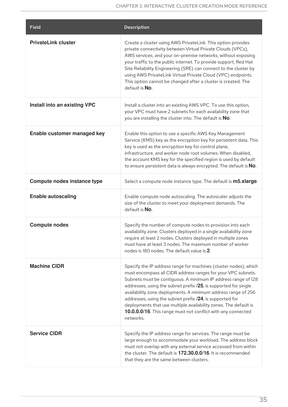| <b>Field</b>                 | Description                                                                                                                                                                                                                                                                                                                                                                                                                                                                                                                                        |
|------------------------------|----------------------------------------------------------------------------------------------------------------------------------------------------------------------------------------------------------------------------------------------------------------------------------------------------------------------------------------------------------------------------------------------------------------------------------------------------------------------------------------------------------------------------------------------------|
| <b>PrivateLink cluster</b>   | Create a cluster using AWS PrivateLink. This option provides<br>private connectivity between Virtual Private Clouds (VPCs),<br>AWS services, and your on-premise networks, without exposing<br>your traffic to the public internet. To provide support, Red Hat<br>Site Reliability Engineering (SRE) can connect to the cluster by<br>using AWS PrivateLink Virtual Private Cloud (VPC) endpoints.<br>This option cannot be changed after a cluster is created. The<br>default is No.                                                             |
| Install into an existing VPC | Install a cluster into an existing AWS VPC. To use this option,<br>your VPC must have 2 subnets for each availability zone that<br>you are installing the cluster into. The default is No.                                                                                                                                                                                                                                                                                                                                                         |
| Enable customer managed key  | Enable this option to use a specific AWS Key Management<br>Service (KMS) key as the encryption key for persistent data. This<br>key is used as the encryption key for control plane,<br>infrastructure, and worker node root volumes. When disabled,<br>the account KMS key for the specified region is used by default<br>to ensure persistent data is always encrypted. The default is No.                                                                                                                                                       |
| Compute nodes instance type  | Select a compute node instance type. The default is <b>m5.xlarge</b> .                                                                                                                                                                                                                                                                                                                                                                                                                                                                             |
| <b>Enable autoscaling</b>    | Enable compute node autoscaling. The autoscaler adjusts the<br>size of the cluster to meet your deployment demands. The<br>default is No.                                                                                                                                                                                                                                                                                                                                                                                                          |
| <b>Compute nodes</b>         | Specify the number of compute nodes to provision into each<br>availability zone. Clusters deployed in a single availability zone<br>require at least 2 nodes. Clusters deployed in multiple zones<br>must have at least 3 nodes. The maximum number of worker<br>nodes is 180 nodes. The default value is 2.                                                                                                                                                                                                                                       |
| <b>Machine CIDR</b>          | Specify the IP address range for machines (cluster nodes), which<br>must encompass all CIDR address ranges for your VPC subnets.<br>Subnets must be contiguous. A minimum IP address range of 128<br>addresses, using the subnet prefix /25, is supported for single<br>availability zone deployments. A minimum address range of 256<br>addresses, using the subnet prefix /24, is supported for<br>deployments that use multiple availability zones. The default is<br>10.0.0.0/16. This range must not conflict with any connected<br>networks. |
| <b>Service CIDR</b>          | Specify the IP address range for services. The range must be<br>large enough to accommodate your workload. The address block<br>must not overlap with any external service accessed from within<br>the cluster. The default is <b>172.30.0.0/16</b> . It is recommended<br>that they are the same between clusters.                                                                                                                                                                                                                                |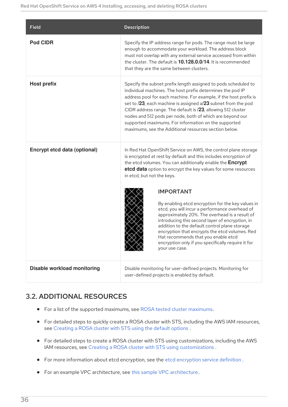| <b>Field</b>                       | <b>Description</b>                                                                                                                                                                                                                                                                                                                                                                                                                                                                                               |
|------------------------------------|------------------------------------------------------------------------------------------------------------------------------------------------------------------------------------------------------------------------------------------------------------------------------------------------------------------------------------------------------------------------------------------------------------------------------------------------------------------------------------------------------------------|
| <b>Pod CIDR</b>                    | Specify the IP address range for pods. The range must be large<br>enough to accommodate your workload. The address block<br>must not overlap with any external service accessed from within<br>the cluster. The default is <b>10.128.0.0/14</b> . It is recommended<br>that they are the same between clusters.                                                                                                                                                                                                  |
| <b>Host prefix</b>                 | Specify the subnet prefix length assigned to pods scheduled to<br>individual machines. The host prefix determines the pod IP<br>address pool for each machine. For example, if the host prefix is<br>set to /23, each machine is assigned a/23 subnet from the pod<br>CIDR address range. The default is /23, allowing 512 cluster<br>nodes and 512 pods per node, both of which are beyond our<br>supported maximums. For information on the supported<br>maximums, see the Additional resources section below. |
| Encrypt etcd data (optional)       | In Red Hat OpenShift Service on AWS, the control plane storage<br>is encrypted at rest by default and this includes encryption of<br>the etcd volumes. You can additionally enable the <b>Encrypt</b><br>etcd data option to encrypt the key values for some resources<br>in etcd, but not the keys.                                                                                                                                                                                                             |
|                                    | <b>IMPORTANT</b><br>By enabling etcd encryption for the key values in<br>etcd, you will incur a performance overhead of<br>approximately 20%. The overhead is a result of<br>introducing this second layer of encryption, in<br>addition to the default control plane storage<br>encryption that encrypts the etcd volumes. Red<br>Hat recommends that you enable etcd<br>encryption only if you specifically require it for<br>your use case.                                                                   |
| <b>Disable workload monitoring</b> | Disable monitoring for user-defined projects. Monitoring for<br>user-defined projects is enabled by default.                                                                                                                                                                                                                                                                                                                                                                                                     |

# 3.2. ADDITIONAL RESOURCES

- For a list of the supported maximums, see ROSA tested cluster [maximums.](https://access.redhat.com/documentation/en-us/red_hat_openshift_service_on_aws/4/html-single/prepare_your_environment/#tested-cluster-maximums_rosa-limits-scalability)
- For detailed steps to quickly create a ROSA cluster with STS, including the AWS IAM resources, see [Creating](https://access.redhat.com/documentation/en-us/red_hat_openshift_service_on_aws/4/html-single/installing_accessing_and_deleting_rosa_clusters/#rosa-sts-creating-a-cluster-quickly) a ROSA cluster with STS using the default options .
- For detailed steps to create a ROSA cluster with STS using customizations, including the AWS IAM resources, see Creating a ROSA cluster with STS using [customizations](https://access.redhat.com/documentation/en-us/red_hat_openshift_service_on_aws/4/html-single/installing_accessing_and_deleting_rosa_clusters/#rosa-sts-creating-a-cluster-with-customizations) .
- For more information about etcd encryption, see the etcd [encryption](https://access.redhat.com/documentation/en-us/red_hat_openshift_service_on_aws/4/html-single/introduction_to_rosa/#rosa-sdpolicy-etcd-encryption_rosa-service-definition) service definition .
- For an example VPC architecture, see this sample VPC [architecture](https://access.redhat.com/documentation/en-us/red_hat_openshift_service_on_aws/4/html-single/prepare_your_environment/#rosa-vpc_rosa-sts-aws-prereqs).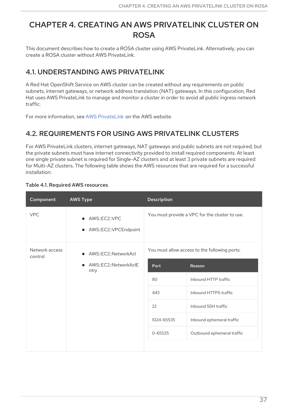# CHAPTER 4. CREATING AN AWS PRIVATELINK CLUSTER ON ROSA

This document describes how to create a ROSA cluster using AWS PrivateLink. Alternatively, you can create a ROSA cluster without AWS PrivateLink.

# 4.1. UNDERSTANDING AWS PRIVATELINK

A Red Hat OpenShift Service on AWS cluster can be created without any requirements on public subnets, internet gateways, or network address translation (NAT) gateways. In this configuration, Red Hat uses AWS PrivateLink to manage and monitor a cluster in order to avoid all public ingress network traffic.

For more information, see AWS [PrivateLink](https://aws.amazon.com/privatelink/) on the AWS website.

# 4.2. REQUIREMENTS FOR USING AWS PRIVATELINK CLUSTERS

For AWS PrivateLink clusters, internet gateways, NAT gateways and public subnets are not required, but the private subnets must have internet connectivity provided to install required components. At least one single private subnet is required for Single-AZ clusters and at least 3 private subnets are required for Multi-AZ clusters. The following table shows the AWS resources that are required for a successful installation:

| Component                     | <b>AWS Type</b>                                     | <b>Description</b> |                                                |
|-------------------------------|-----------------------------------------------------|--------------------|------------------------------------------------|
| <b>VPC</b>                    | AWS::EC2::VPC<br>AWS::EC2::VPCEndpoint<br>$\bullet$ |                    | You must provide a VPC for the cluster to use. |
| Network access<br>control     | AWS::EC2::NetworkAcl<br>$\bullet$                   |                    | You must allow access to the following ports:  |
| AWS::EC2::NetworkAclE<br>ntry |                                                     | Port               | Reason                                         |
|                               |                                                     | 80                 | Inbound HTTP traffic                           |
|                               |                                                     | 443                | Inbound HTTPS traffic                          |
|                               |                                                     | 22                 | Inbound SSH traffic                            |
|                               |                                                     | 1024-65535         | Inbound ephemeral traffic                      |
|                               |                                                     | 0-65535            | Outbound ephemeral traffic                     |
|                               |                                                     |                    |                                                |

#### Table 4.1. Required AWS resources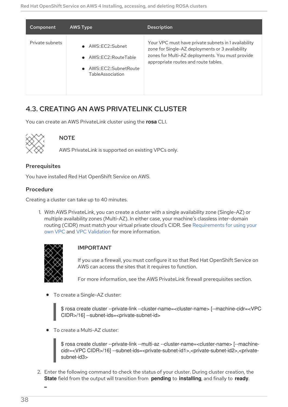| Component       | <b>AWS Type</b>                                                                                    | <b>Description</b>                                                                                                                                                                                   |
|-----------------|----------------------------------------------------------------------------------------------------|------------------------------------------------------------------------------------------------------------------------------------------------------------------------------------------------------|
| Private subnets | AWS::EC2::Subnet<br>$\bullet$<br>AWS::EC2::RouteTable<br>AWS::EC2::SubnetRoute<br>TableAssociation | Your VPC must have private subnets in 1 availability<br>zone for Single-AZ deployments or 3 availability<br>zones for Multi-AZ deployments. You must provide<br>appropriate routes and route tables. |

# 4.3. CREATING AN AWS PRIVATELINK CLUSTER

You can create an AWS PrivateLink cluster using the **rosa** CLI.



## **NOTE**

AWS PrivateLink is supported on existing VPCs only.

### **Prerequisites**

You have installed Red Hat OpenShift Service on AWS.

### Procedure

Creating a cluster can take up to 40 minutes.

1. With AWS PrivateLink, you can create a cluster with a single availability zone (Single-AZ) or multiple availability zones (Multi-AZ). In either case, your machine's classless inter-domain routing (CIDR) must match your virtual private cloud's CIDR. See [Requirements](https://docs.openshift.com/container-platform/4.7/installing/installing_aws/installing-aws-vpc.html#installation-custom-aws-vpc-requirements_installing-aws-vpc) for using your own VPC and VPC [Validation](https://docs.openshift.com/container-platform/4.7/installing/installing_aws/installing-aws-vpc.html#installation-custom-aws-vpc-validation_installing-aws-vpc) for more information.



### IMPORTANT

If you use a firewall, you must configure it so that Red Hat OpenShift Service on AWS can access the sites that it requires to function.

For more information, see the AWS PrivateLink firewall prerequisites section.

To create a Single-AZ cluster:

\$ rosa create cluster --private-link --cluster-name=<cluster-name> [--machine-cidr=<VPC CIDR>/16] --subnet-ids=<private-subnet-id>

To create a Multi-AZ cluster:

\$ rosa create cluster --private-link --multi-az --cluster-name=<cluster-name> [--machinecidr=<VPC CIDR>/16] --subnet-ids=<private-subnet-id1>,<private-subnet-id2>,<privatesubnet-id3>

2. Enter the following command to check the status of your cluster. During cluster creation, the **State** field from the output will transition from **pending** to **installing**, and finally to **ready**.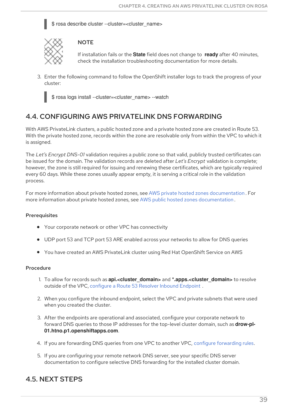\$ rosa describe cluster --cluster=<cluster\_name>



#### **NOTE**

If installation fails or the **State** field does not change to **ready** after 40 minutes, check the installation troubleshooting documentation for more details.

3. Enter the following command to follow the OpenShift installer logs to track the progress of your cluster:



\$ rosa logs install --cluster=<cluster\_name> --watch

# 4.4. CONFIGURING AWS PRIVATELINK DNS FORWARDING

With AWS PrivateLink clusters, a public hosted zone and a private hosted zone are created in Route 53. With the private hosted zone, records within the zone are resolvable only from within the VPC to which it is assigned.

The *Let's Encrypt DNS-01* validation requires a public zone so that valid, publicly trusted certificates can be issued for the domain. The validation records are deleted after *Let's Encrypt* validation is complete; however, the zone is still required for issuing and renewing these certificates, which are typically required every 60 days. While these zones usually appear empty, it is serving a critical role in the validation process.

For more information about private hosted zones, see AWS private hosted zones [documentation](https://docs.aws.amazon.com/Route53/latest/DeveloperGuide/hosted-zones-private.html) . For more information about private hosted zones, see AWS public hosted zones [documentation](https://docs.aws.amazon.com/Route53/latest/DeveloperGuide/AboutHZWorkingWith.html) .

#### **Prerequisites**

- Your corporate network or other VPC has connectivity
- UDP port 53 and TCP port 53 ARE enabled across your networks to allow for DNS queries
- You have created an AWS PrivateLink cluster using Red Hat OpenShift Service on AWS

#### Procedure

- 1. To allow for records such as **api.<cluster\_domain>** and **\*.apps.<cluster\_domain>** to resolve outside of the VPC, [configure](https://aws.amazon.com/premiumsupport/knowledge-center/route53-resolve-with-inbound-endpoint/) a Route 53 Resolver Inbound Endpoint .
- 2. When you configure the inbound endpoint, select the VPC and private subnets that were used when you created the cluster.
- 3. After the endpoints are operational and associated, configure your corporate network to forward DNS queries to those IP addresses for the top-level cluster domain, such as **drow-pl-01.htno.p1.openshiftapps.com**.
- 4. If you are forwarding DNS queries from one VPC to another VPC, configure [forwarding](https://docs.aws.amazon.com/Route53/latest/DeveloperGuide/resolver-rules-managing.html) rules.
- 5. If you are configuring your remote network DNS server, see your specific DNS server documentation to configure selective DNS forwarding for the installed cluster domain.

# 4.5. NEXT STEPS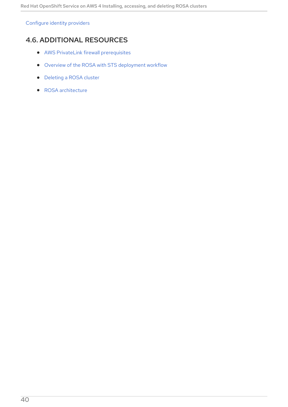[Configure](https://access.redhat.com/documentation/en-us/red_hat_openshift_service_on_aws/4/html-single/installing_accessing_and_deleting_rosa_clusters/#rosa-sts-config-identity-providers) identity providers

# 4.6. ADDITIONAL RESOURCES

- AWS PrivateLink firewall [prerequisites](https://access.redhat.com/documentation/en-us/red_hat_openshift_service_on_aws/4/html-single/prepare_your_environment/#osd-aws-privatelink-firewall-prerequisites_rosa-sts-aws-prereqs)
- Overview of the ROSA with STS [deployment](https://access.redhat.com/documentation/en-us/red_hat_openshift_service_on_aws/4/html-single/getting_started/#rosa-sts-overview-of-the-deployment-workflow) workflow
- [Deleting](https://access.redhat.com/documentation/en-us/red_hat_openshift_service_on_aws/4/html-single/installing_accessing_and_deleting_rosa_clusters/#rosa-sts-deleting-cluster) a ROSA cluster
- ROSA [architecture](https://access.redhat.com/documentation/en-us/red_hat_openshift_service_on_aws/4/html-single/introduction_to_rosa/#rosa-architecture-models)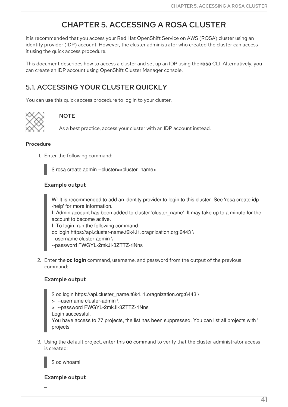# CHAPTER 5. ACCESSING A ROSA CLUSTER

It is recommended that you access your Red Hat OpenShift Service on AWS (ROSA) cluster using an identity provider (IDP) account. However, the cluster administrator who created the cluster can access it using the quick access procedure.

This document describes how to access a cluster and set up an IDP using the **rosa** CLI. Alternatively, you can create an IDP account using OpenShift Cluster Manager console.

# 5.1. ACCESSING YOUR CLUSTER QUICKLY

You can use this quick access procedure to log in to your cluster.



### **NOTE**

As a best practice, access your cluster with an IDP account instead.

#### Procedure

1. Enter the following command:

\$ rosa create admin --cluster=<cluster\_name>

#### Example output

W: It is recommended to add an identity provider to login to this cluster. See 'rosa create idp --help' for more information.

I: Admin account has been added to cluster 'cluster name'. It may take up to a minute for the account to become active.

I: To login, run the following command:

- oc login https://api.cluster-name.t6k4.i1.oragnization.org:6443 \
- --username cluster-admin \
- --password FWGYL-2mkJI-3ZTTZ-rINns
- 2. Enter the **oc login** command, username, and password from the output of the previous command:

#### Example output

- \$ oc login https://api.cluster\_name.t6k4.i1.oragnization.org:6443 \
- > --username cluster-admin \
- > --password FWGYL-2mkJI-3ZTTZ-rINns
- Login successful.

You have access to 77 projects, the list has been suppressed. You can list all projects with ' projects'

3. Using the default project, enter this **oc** command to verify that the cluster administrator access is created:



#### Example output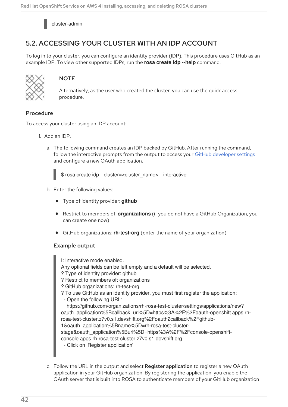cluster-admin

# 5.2. ACCESSING YOUR CLUSTER WITH AN IDP ACCOUNT

To log in to your cluster, you can configure an identity provider (IDP). This procedure uses GitHub as an example IDP. To view other supported IDPs, run the **rosa create idp --help** command.



### **NOTE**

Alternatively, as the user who created the cluster, you can use the quick access procedure.

### Procedure

To access your cluster using an IDP account:

- 1. Add an IDP.
	- a. The following command creates an IDP backed by GitHub. After running the command, follow the interactive prompts from the output to access your GitHub [developer](https://github.com/settings/developers) settings and configure a new OAuth application.

\$ rosa create idp --cluster=<cluster\_name> --interactive

- b. Enter the following values:
	- Type of identity provider: **github**
	- Restrict to members of: **organizations** (if you do not have a GitHub Organization, you can create one now)
	- GitHub organizations: **rh-test-org** (enter the name of your organization)

#### Example output

I: Interactive mode enabled.

Any optional fields can be left empty and a default will be selected.

- ? Type of identity provider: github
- ? Restrict to members of: organizations
- ? GitHub organizations: rh-test-org
- ? To use GitHub as an identity provider, you must first register the application:
- Open the following URL:

https://github.com/organizations/rh-rosa-test-cluster/settings/applications/new? oauth\_application%5Bcallback\_url%5D=https%3A%2F%2Foauth-openshift.apps.rhrosa-test-cluster.z7v0.s1.devshift.org%2Foauth2callback%2Fgithub-

1&oauth\_application%5Bname%5D=rh-rosa-test-cluster-

stage&oauth\_application%5Burl%5D=https%3A%2F%2Fconsole-openshift-

console.apps.rh-rosa-test-cluster.z7v0.s1.devshift.org

- Click on 'Register application'
- ...
- c. Follow the URL in the output and select Register application to register a new OAuth application in your GitHub organization. By registering the application, you enable the OAuth server that is built into ROSA to authenticate members of your GitHub organization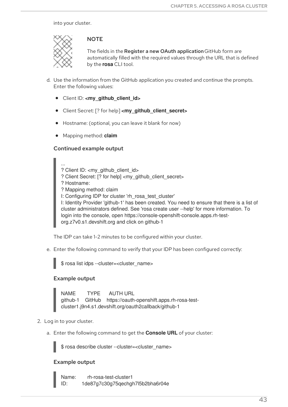into your cluster.



### **NOTE**

The fields in the **Register a new OAuth application** GitHub form are automatically filled with the required values through the URL that is defined by the **rosa** CLI tool.

- d. Use the information from the GitHub application you created and continue the prompts. Enter the following values:
	- Client ID: **<my\_github\_client\_id>**
	- Client Secret: [? for help] <my\_github\_client\_secret>
	- Hostname: (optional, you can leave it blank for now)
	- Mapping method: **claim**

#### Continued example output

... ? Client ID: <my\_github\_client\_id> ? Client Secret: [? for help] <my\_github\_client\_secret> ? Hostname: ? Mapping method: claim I: Configuring IDP for cluster 'rh\_rosa\_test\_cluster' I: Identity Provider 'github-1' has been created. You need to ensure that there is a list of cluster administrators defined. See 'rosa create user --help' for more information. To login into the console, open https://console-openshift-console.apps.rh-testorg.z7v0.s1.devshift.org and click on github-1

The IDP can take 1-2 minutes to be configured within your cluster.

e. Enter the following command to verify that your IDP has been configured correctly:

\$ rosa list idps --cluster=<cluster\_name>

#### Example output

NAME TYPE AUTH URL github-1 GitHub https://oauth-openshift.apps.rh-rosa-testcluster1.j9n4.s1.devshift.org/oauth2callback/github-1

- 2. Log in to your cluster.
	- a. Enter the following command to get the **Console URL** of your cluster:

\$ rosa describe cluster --cluster=<cluster\_name>

#### Example output

| Name: | rh-rosa-test-cluster1            |
|-------|----------------------------------|
| ID:   | 1de87g7c30g75qechgh7l5b2bha6r04e |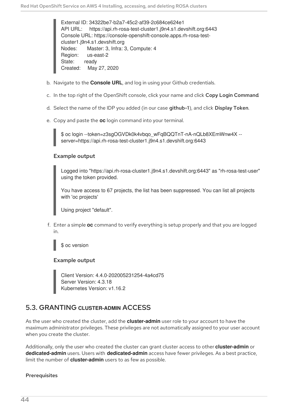External ID: 34322be7-b2a7-45c2-af39-2c684ce624e1 API URL: https://api.rh-rosa-test-cluster1.j9n4.s1.devshift.org:6443 Console URL: https://console-openshift-console.apps.rh-rosa-testcluster1.j9n4.s1.devshift.org Nodes: Master: 3, Infra: 3, Compute: 4 Region: us-east-2 State: ready Created: May 27, 2020

- b. Navigate to the **Console URL**, and log in using your Github credentials.
- c. In the top right of the OpenShift console, click your name and click Copy Login Command.
- d. Select the name of the IDP you added (in our case github-1), and click Display Token.
- e. Copy and paste the **oc** login command into your terminal.

\$ oc login --token=z3sgOGVDk0k4vbqo\_wFqBQQTnT-nA-nQLb8XEmWnw4X - server=https://api.rh-rosa-test-cluster1.j9n4.s1.devshift.org:6443

#### Example output

Logged into "https://api.rh-rosa-cluster1.j9n4.s1.devshift.org:6443" as "rh-rosa-test-user" using the token provided.

You have access to 67 projects, the list has been suppressed. You can list all projects with 'oc projects'

Using project "default".

f. Enter a simple **oc** command to verify everything is setup properly and that you are logged in.

\$ oc version

#### Example output

Client Version: 4.4.0-202005231254-4a4cd75 Server Version: 4.3.18 Kubernetes Version: v1.16.2

## 5.3. GRANTING **CLUSTER-ADMIN** ACCESS

As the user who created the cluster, add the **cluster-admin** user role to your account to have the maximum administrator privileges. These privileges are not automatically assigned to your user account when you create the cluster.

Additionally, only the user who created the cluster can grant cluster access to other **cluster-admin** or **dedicated-admin** users. Users with **dedicated-admin** access have fewer privileges. As a best practice, limit the number of **cluster-admin** users to as few as possible.

#### Prerequisites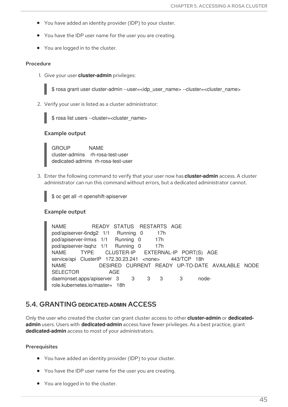- You have added an identity provider (IDP) to your cluster.
- You have the IDP user name for the user you are creating.
- You are logged in to the cluster.

#### Procedure

1. Give your user **cluster-admin** privileges:

\$ rosa grant user cluster-admin --user=<idp\_user\_name> --cluster=<cluster\_name>

2. Verify your user is listed as a cluster administrator:

\$ rosa list users --cluster=<cluster\_name>

#### Example output

GROUP NAME cluster-admins rh-rosa-test-user dedicated-admins rh-rosa-test-user

3. Enter the following command to verify that your user now has **cluster-admin** access. A cluster administrator can run this command without errors, but a dedicated administrator cannot.



#### Example output

NAME READY STATUS RESTARTS AGE pod/apiserver-6ndg2 1/1 Running 0 17h pod/apiserver-lrmxs 1/1 Running 0 17h pod/apiserver-tsqhz 1/1 Running 0 17h NAME TYPE CLUSTER-IP EXTERNAL-IP PORT(S) AGE service/api ClusterIP 172.30.23.241 <none> 443/TCP 18h NAME DESIRED CURRENT READY UP-TO-DATE AVAILABLE NODE SELECTOR AGE daemonset.apps/apiserver 3 3 3 3 3 3 noderole.kubernetes.io/master= 18h

### 5.4. GRANTING **DEDICATED-ADMIN** ACCESS

Only the user who created the cluster can grant cluster access to other **cluster-admin** or **dedicatedadmin** users. Users with **dedicated-admin** access have fewer privileges. As a best practice, grant **dedicated-admin** access to most of your administrators.

#### **Prerequisites**

- You have added an identity provider (IDP) to your cluster.
- You have the IDP user name for the user you are creating.
- You are logged in to the cluster.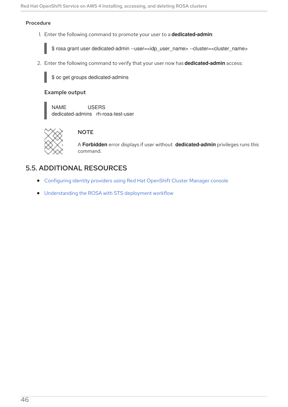#### Procedure

1. Enter the following command to promote your user to a **dedicated-admin**:

\$ rosa grant user dedicated-admin --user=<idp\_user\_name> --cluster=<cluster\_name>

2. Enter the following command to verify that your user now has **dedicated-admin** access:



#### Example output

NAME USERS dedicated-admins rh-rosa-test-user



### **NOTE**

A **Forbidden** error displays if user without **dedicated-admin** privileges runs this command.

# 5.5. ADDITIONAL RESOURCES

- [Configuring](https://access.redhat.com/documentation/en-us/red_hat_openshift_service_on_aws/4/html-single/installing_accessing_and_deleting_rosa_clusters/#rosa-sts-config-identity-providers) identity providers using Red Hat OpenShift Cluster Manager console
- [Understanding](https://access.redhat.com/documentation/en-us/red_hat_openshift_service_on_aws/4/html-single/getting_started/#rosa-sts-understanding-the-deployment-workflow) the ROSA with STS deployment workflow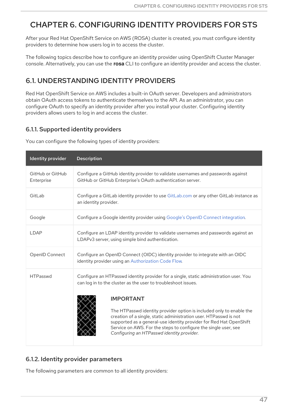# CHAPTER 6. CONFIGURING IDENTITY PROVIDERS FOR STS

After your Red Hat OpenShift Service on AWS (ROSA) cluster is created, you must configure identity providers to determine how users log in to access the cluster.

The following topics describe how to configure an identity provider using OpenShift Cluster Manager console. Alternatively, you can use the **rosa** CLI to configure an identity provider and access the cluster.

# 6.1. UNDERSTANDING IDENTITY PROVIDERS

Red Hat OpenShift Service on AWS includes a built-in OAuth server. Developers and administrators obtain OAuth access tokens to authenticate themselves to the API. As an administrator, you can configure OAuth to specify an identity provider after you install your cluster. Configuring identity providers allows users to log in and access the cluster.

## 6.1.1. Supported identity providers

You can configure the following types of identity providers:

| <b>Identity provider</b>       | <b>Description</b>                                                                                                                                                                                                                                                                                                                |  |
|--------------------------------|-----------------------------------------------------------------------------------------------------------------------------------------------------------------------------------------------------------------------------------------------------------------------------------------------------------------------------------|--|
| GitHub or GitHub<br>Enterprise | Configure a GitHub identity provider to validate usernames and passwords against<br>GitHub or GitHub Enterprise's OAuth authentication server.                                                                                                                                                                                    |  |
| GitLab                         | Configure a GitLab identity provider to use GitLab.com or any other GitLab instance as<br>an identity provider.                                                                                                                                                                                                                   |  |
| Google                         | Configure a Google identity provider using Google's OpenID Connect integration.                                                                                                                                                                                                                                                   |  |
| LDAP                           | Configure an LDAP identity provider to validate usernames and passwords against an<br>LDAPv3 server, using simple bind authentication.                                                                                                                                                                                            |  |
| OpenID Connect                 | Configure an OpenID Connect (OIDC) identity provider to integrate with an OIDC<br>identity provider using an Authorization Code Flow.                                                                                                                                                                                             |  |
| <b>HTPasswd</b>                | Configure an HTPasswd identity provider for a single, static administration user. You<br>can log in to the cluster as the user to troubleshoot issues.                                                                                                                                                                            |  |
|                                | <b>IMPORTANT</b>                                                                                                                                                                                                                                                                                                                  |  |
|                                | The HTP asswd identity provider option is included only to enable the<br>creation of a single, static administration user. HTPasswd is not<br>supported as a general-use identity provider for Red Hat OpenShift<br>Service on AWS. For the steps to configure the single user, see<br>Configuring an HTPasswd identity provider. |  |

## 6.1.2. Identity provider parameters

The following parameters are common to all identity providers: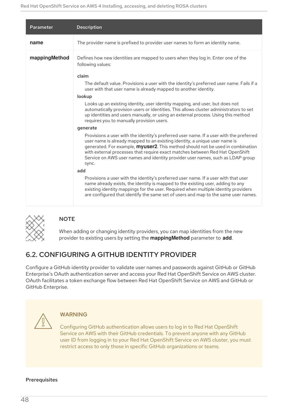| Parameter     | <b>Description</b>                                                                                                                                                                                                                                                                                                                                                                                                                 |  |
|---------------|------------------------------------------------------------------------------------------------------------------------------------------------------------------------------------------------------------------------------------------------------------------------------------------------------------------------------------------------------------------------------------------------------------------------------------|--|
| name          | The provider name is prefixed to provider user names to form an identity name.                                                                                                                                                                                                                                                                                                                                                     |  |
| mappingMethod | Defines how new identities are mapped to users when they log in. Enter one of the<br>following values:<br>claim                                                                                                                                                                                                                                                                                                                    |  |
|               | The default value. Provisions a user with the identity's preferred user name. Fails if a<br>user with that user name is already mapped to another identity.                                                                                                                                                                                                                                                                        |  |
|               | lookup                                                                                                                                                                                                                                                                                                                                                                                                                             |  |
|               | Looks up an existing identity, user identity mapping, and user, but does not<br>automatically provision users or identities. This allows cluster administrators to set<br>up identities and users manually, or using an external process. Using this method<br>requires you to manually provision users.                                                                                                                           |  |
|               | generate                                                                                                                                                                                                                                                                                                                                                                                                                           |  |
|               | Provisions a user with the identity's preferred user name. If a user with the preferred<br>user name is already mapped to an existing identity, a unique user name is<br>generated. For example, myuser2. This method should not be used in combination<br>with external processes that require exact matches between Red Hat OpenShift<br>Service on AWS user names and identity provider user names, such as LDAP group<br>sync. |  |
|               | add                                                                                                                                                                                                                                                                                                                                                                                                                                |  |
|               | Provisions a user with the identity's preferred user name. If a user with that user<br>name already exists, the identity is mapped to the existing user, adding to any<br>existing identity mappings for the user. Required when multiple identity providers<br>are configured that identify the same set of users and map to the same user names.                                                                                 |  |



#### **NOTE**

When adding or changing identity providers, you can map identities from the new provider to existing users by setting the **mappingMethod** parameter to **add**.

# 6.2. CONFIGURING A GITHUB IDENTITY PROVIDER

Configure a GitHub identity provider to validate user names and passwords against GitHub or GitHub Enterprise's OAuth authentication server and access your Red Hat OpenShift Service on AWS cluster. OAuth facilitates a token exchange flow between Red Hat OpenShift Service on AWS and GitHub or GitHub Enterprise.



#### WARNING

Configuring GitHub authentication allows users to log in to Red Hat OpenShift Service on AWS with their GitHub credentials. To prevent anyone with any GitHub user ID from logging in to your Red Hat OpenShift Service on AWS cluster, you must restrict access to only those in specific GitHub organizations or teams.

#### **Prerequisites**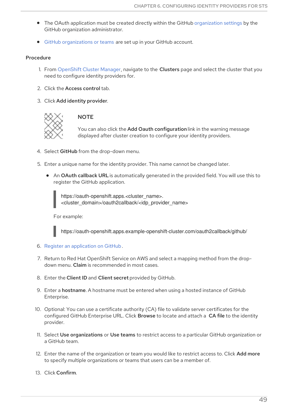- The OAuth application must be created directly within the GitHub [organization](https://docs.github.com/en/github/setting-up-and-managing-organizations-and-teams/managing-organization-settings) settings by the GitHub organization administrator.
- GitHub [organizations](https://docs.github.com/en/github/setting-up-and-managing-organizations-and-teams) or teams are set up in your GitHub account.

#### Procedure

- 1. From [OpenShift](https://console.redhat.com/openshift) Cluster Manager, navigate to the Clusters page and select the cluster that you need to configure identity providers for.
- 2. Click the **Access control** tab.
- 3. Click Add identity provider.



#### **NOTE**

You can also click the Add Oauth configuration link in the warning message displayed after cluster creation to configure your identity providers.

- 4. Select GitHub from the drop-down menu.
- 5. Enter a unique name for the identity provider. This name cannot be changed later.
	- An OAuth callback URL is automatically generated in the provided field. You will use this to register the GitHub application.

https://oauth-openshift.apps.<cluster\_name>. <cluster\_domain>/oauth2callback/<idp\_provider\_name>

For example:

https://oauth-openshift.apps.example-openshift-cluster.com/oauth2callback/github/

- 6. Register an [application](https://docs.github.com/en/developers/apps/creating-an-oauth-app) on GitHub.
- 7. Return to Red Hat OpenShift Service on AWS and select a mapping method from the dropdown menu. Claim is recommended in most cases.
- 8. Enter the Client ID and Client secret provided by GitHub.
- 9. Enter a hostname. A hostname must be entered when using a hosted instance of GitHub Enterprise.
- 10. Optional: You can use a certificate authority (CA) file to validate server certificates for the configured GitHub Enterprise URL. Click Browse to locate and attach a CA file to the identity provider.
- 11. Select Use organizations or Use teams to restrict access to a particular GitHub organization or a GitHub team.
- 12. Enter the name of the organization or team you would like to restrict access to. Click Add more to specify multiple organizations or teams that users can be a member of.
- 13. Click Confirm.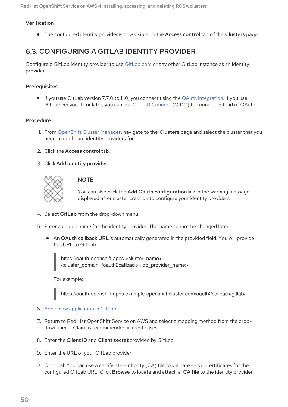#### Verification

• The configured identity provider is now visible on the Access control tab of the Clusters page.

# 6.3. CONFIGURING A GITLAB IDENTITY PROVIDER

Configure a GitLab identity provider to use [GitLab.com](https://gitlab.com/) or any other GitLab instance as an identity provider.

#### **Prerequisites**

If you use GitLab version 7.7.0 to 11.0, you connect using the OAuth [integration](http://doc.gitlab.com/ce/integration/oauth_provider.html). If you use GitLab version 11.1 or later, you can use OpenID [Connect](https://docs.gitlab.com/ce/integration/openid_connect_provider.html) (OIDC) to connect instead of OAuth.

#### Procedure

- 1. From [OpenShift](https://console.redhat.com/openshift) Cluster Manager, navigate to the Clusters page and select the cluster that you need to configure identity providers for.
- 2. Click the Access control tab.
- 3. Click Add identity provider.



#### **NOTE**

You can also click the Add Oauth configuration link in the warning message displayed after cluster creation to configure your identity providers.

- 4. Select GitLab from the drop-down menu.
- 5. Enter a unique name for the identity provider. This name cannot be changed later.
	- An OAuth callback URL is automatically generated in the provided field. You will provide this URL to GitLab.

https://oauth-openshift.apps.<cluster\_name>. <cluster\_domain>/oauth2callback/<idp\_provider\_name>

For example:

https://oauth-openshift.apps.example-openshift-cluster.com/oauth2callback/gitlab/

- 6. Add a new [application](https://docs.gitlab.com/ee/integration/oauth_provider.html) in GitLab .
- 7. Return to Red Hat OpenShift Service on AWS and select a mapping method from the dropdown menu. Claim is recommended in most cases.
- 8. Enter the Client ID and Client secret provided by GitLab.
- 9. Enter the URL of your GitLab provider.
- 10. Optional: You can use a certificate authority (CA) file to validate server certificates for the configured GitLab URL. Click Browse to locate and attach a CA file to the identity provider.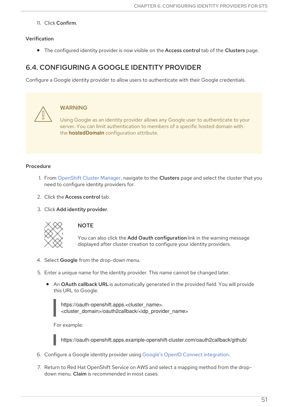#### 11. Click Confirm.

#### Verification

• The configured identity provider is now visible on the Access control tab of the Clusters page.

# 6.4. CONFIGURING A GOOGLE IDENTITY PROVIDER

Configure a Google identity provider to allow users to authenticate with their Google credentials.



#### WARNING

Using Google as an identity provider allows any Google user to authenticate to your server. You can limit authentication to members of a specific hosted domain with the **hostedDomain** configuration attribute.

#### Procedure

- 1. From [OpenShift](https://console.redhat.com/openshift) Cluster Manager, navigate to the Clusters page and select the cluster that you need to configure identity providers for.
- 2. Click the Access control tab.
- 3. Click Add identity provider.



#### **NOTE**

You can also click the Add Oauth configuration link in the warning message displayed after cluster creation to configure your identity providers.

- 4. Select Google from the drop-down menu.
- 5. Enter a unique name for the identity provider. This name cannot be changed later.
	- An OAuth callback URL is automatically generated in the provided field. You will provide this URL to Google.

https://oauth-openshift.apps.<cluster\_name>. <cluster\_domain>/oauth2callback/<idp\_provider\_name>

For example:

https://oauth-openshift.apps.example-openshift-cluster.com/oauth2callback/github/

- 6. Configure a Google identity provider using Google's OpenID Connect [integration.](https://developers.google.com/identity/protocols/OpenIDConnect)
- 7. Return to Red Hat OpenShift Service on AWS and select a mapping method from the dropdown menu. Claim is recommended in most cases.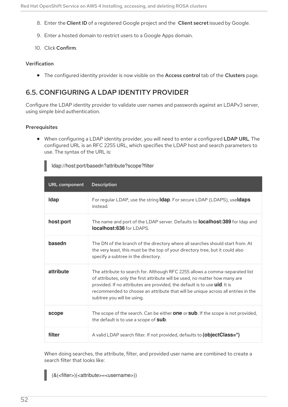- 8. Enter the Client ID of a registered Google project and the Client secret issued by Google.
- 9. Enter a hosted domain to restrict users to a Google Apps domain.
- 10. Click Confirm.

#### Verification

• The configured identity provider is now visible on the Access control tab of the Clusters page.

# 6.5. CONFIGURING A LDAP IDENTITY PROVIDER

Configure the LDAP identity provider to validate user names and passwords against an LDAPv3 server, using simple bind authentication.

#### Prerequisites

When configuring a LDAP identity provider, you will need to enter a configured LDAP URL. The configured URL is an RFC 2255 URL, which specifies the LDAP host and search parameters to use. The syntax of the URL is:

ldap://host:port/basedn?attribute?scope?filter

| <b>URL component</b> | <b>Description</b>                                                                                                                                                                                                                                                                                                                                                  |
|----------------------|---------------------------------------------------------------------------------------------------------------------------------------------------------------------------------------------------------------------------------------------------------------------------------------------------------------------------------------------------------------------|
| <b>Idap</b>          | For regular LDAP, use the string <b>Idap</b> . For secure LDAP (LDAPS), use <b>Idaps</b><br>instead.                                                                                                                                                                                                                                                                |
| host:port            | The name and port of the LDAP server. Defaults to <b>localhost:389</b> for Idap and<br><b>localhost:636</b> for LDAPS.                                                                                                                                                                                                                                              |
| basedn               | The DN of the branch of the directory where all searches should start from. At<br>the very least, this must be the top of your directory tree, but it could also<br>specify a subtree in the directory.                                                                                                                                                             |
| attribute            | The attribute to search for. Although RFC 2255 allows a comma-separated list<br>of attributes, only the first attribute will be used, no matter how many are<br>provided. If no attributes are provided, the default is to use <b>uid</b> . It is<br>recommended to choose an attribute that will be unique across all entries in the<br>subtree you will be using. |
| scope                | The scope of the search. Can be either <b>one</b> or <b>sub</b> . If the scope is not provided,<br>the default is to use a scope of <b>Sub</b> .                                                                                                                                                                                                                    |
| filter               | A valid LDAP search filter. If not provided, defaults to (objectClass=*)                                                                                                                                                                                                                                                                                            |

When doing searches, the attribute, filter, and provided user name are combined to create a search filter that looks like:



(&(<filter>)(<attribute>=<username>))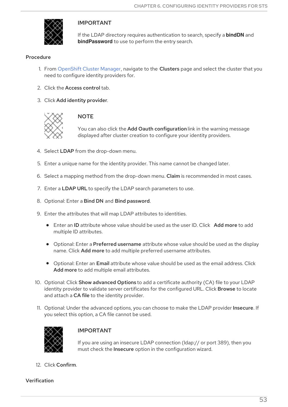

## IMPORTANT

If the LDAP directory requires authentication to search, specify a **bindDN** and **bindPassword** to use to perform the entry search.

#### Procedure

- 1. From [OpenShift](https://console.redhat.com/openshift) Cluster Manager, navigate to the Clusters page and select the cluster that you need to configure identity providers for.
- 2. Click the Access control tab.
- 3. Click Add identity provider.



#### **NOTE**

You can also click the Add Oauth configuration link in the warning message displayed after cluster creation to configure your identity providers.

- 4. Select LDAP from the drop-down menu.
- 5. Enter a unique name for the identity provider. This name cannot be changed later.
- 6. Select a mapping method from the drop-down menu. Claim is recommended in most cases.
- 7. Enter a LDAP URL to specify the LDAP search parameters to use.
- 8. Optional: Enter a Bind DN and Bind password.
- 9. Enter the attributes that will map LDAP attributes to identities.
	- Enter an ID attribute whose value should be used as the user ID. Click Add more to add multiple ID attributes.
	- Optional: Enter a Preferred username attribute whose value should be used as the display name. Click Add more to add multiple preferred username attributes.
	- Optional: Enter an Email attribute whose value should be used as the email address. Click Add more to add multiple email attributes.
- 10. Optional: Click Show advanced Options to add a certificate authority (CA) file to your LDAP identity provider to validate server certificates for the configured URL. Click **Browse** to locate and attach a CA file to the identity provider.
- 11. Optional: Under the advanced options, you can choose to make the LDAP provider Insecure. If you select this option, a CA file cannot be used.



#### IMPORTANT

If you are using an insecure LDAP connection (ldap:// or port 389), then you must check the Insecure option in the configuration wizard.

12. Click Confirm.

#### Verification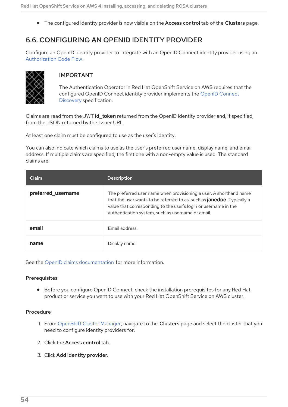• The configured identity provider is now visible on the Access control tab of the Clusters page.

# 6.6. CONFIGURING AN OPENID IDENTITY PROVIDER

Configure an OpenID identity provider to integrate with an OpenID Connect identity provider using an [Authorization](http://openid.net/specs/openid-connect-core-1_0.html#CodeFlowAuth) Code Flow.



### IMPORTANT

The Authentication Operator in Red Hat OpenShift Service on AWS requires that the configured OpenID Connect identity provider implements the OpenID Connect Discovery [specification.](https://openid.net/specs/openid-connect-discovery-1_0.html)

Claims are read from the JWT **id\_token** returned from the OpenID identity provider and, if specified, from the JSON returned by the Issuer URL.

At least one claim must be configured to use as the user's identity.

You can also indicate which claims to use as the user's preferred user name, display name, and email address. If multiple claims are specified, the first one with a non-empty value is used. The standard claims are:

| Claim              | <b>Description</b>                                                                                                                                                                                                                                                           |
|--------------------|------------------------------------------------------------------------------------------------------------------------------------------------------------------------------------------------------------------------------------------------------------------------------|
| preferred username | The preferred user name when provisioning a user. A shorthand name<br>that the user wants to be referred to as, such as <b>janedoe</b> . Typically a<br>value that corresponding to the user's login or username in the<br>authentication system, such as username or email. |
| email              | Email address.                                                                                                                                                                                                                                                               |
| name               | lay name.                                                                                                                                                                                                                                                                    |

See the OpenID claims [documentation](http://openid.net/specs/openid-connect-core-1_0.html#StandardClaims) for more information.

#### **Prerequisites**

Before you configure OpenID Connect, check the installation prerequisites for any Red Hat product or service you want to use with your Red Hat OpenShift Service on AWS cluster.

#### Procedure

- 1. From [OpenShift](https://console.redhat.com/openshift) Cluster Manager, navigate to the Clusters page and select the cluster that you need to configure identity providers for.
- 2. Click the Access control tab.
- 3. Click Add identity provider.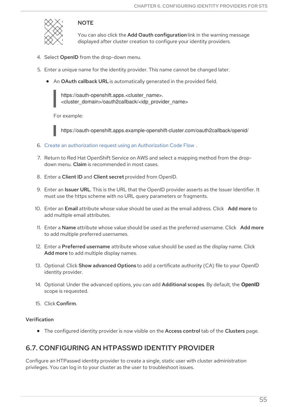

### **NOTE**

You can also click the Add Oauth configuration link in the warning message displayed after cluster creation to configure your identity providers.

- 4. Select OpenID from the drop-down menu.
- 5. Enter a unique name for the identity provider. This name cannot be changed later.
	- An OAuth callback URL is automatically generated in the provided field.

https://oauth-openshift.apps.<cluster\_name>. <cluster\_domain>/oauth2callback/<idp\_provider\_name>

For example:

https://oauth-openshift.apps.example-openshift-cluster.com/oauth2callback/openid/

- 6. Create an authorization request using an [Authorization](https://openid.net/specs/openid-connect-core-1_0.html#AuthRequest) Code Flow .
- 7. Return to Red Hat OpenShift Service on AWS and select a mapping method from the dropdown menu. Claim is recommended in most cases.
- 8. Enter a Client ID and Client secret provided from OpenID.
- 9. Enter an Issuer URL. This is the URL that the OpenID provider asserts as the Issuer Identifier. It must use the https scheme with no URL query parameters or fragments.
- 10. Enter an Email attribute whose value should be used as the email address. Click Add more to add multiple email attributes.
- 11. Enter a Name attribute whose value should be used as the preferred username. Click Add more to add multiple preferred usernames.
- 12. Enter a Preferred username attribute whose value should be used as the display name. Click Add more to add multiple display names.
- 13. Optional: Click Show advanced Options to add a certificate authority (CA) file to your OpenID identity provider.
- 14. Optional: Under the advanced options, you can add Additional scopes. By default, the **OpenID** scope is requested.
- 15. Click Confirm.

#### Verification

• The configured identity provider is now visible on the **Access control** tab of the **Clusters** page.

## 6.7. CONFIGURING AN HTPASSWD IDENTITY PROVIDER

Configure an HTPasswd identity provider to create a single, static user with cluster administration privileges. You can log in to your cluster as the user to troubleshoot issues.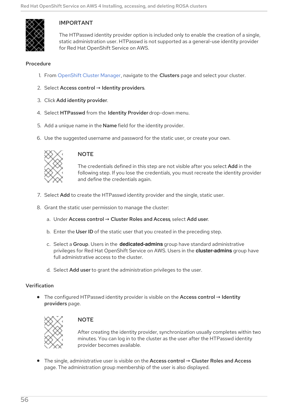

## IMPORTANT

The HTPasswd identity provider option is included only to enable the creation of a single, static administration user. HTPasswd is not supported as a general-use identity provider for Red Hat OpenShift Service on AWS.

#### Procedure

- 1. From [OpenShift](https://console.redhat.com/openshift) Cluster Manager, navigate to the Clusters page and select your cluster.
- 2. Select Access control → Identity providers.
- 3. Click Add identity provider.
- 4. Select HTPasswd from the Identity Provider drop-down menu.
- 5. Add a unique name in the Name field for the identity provider.
- 6. Use the suggested username and password for the static user, or create your own.



#### **NOTE**

The credentials defined in this step are not visible after you select Add in the following step. If you lose the credentials, you must recreate the identity provider and define the credentials again.

- 7. Select Add to create the HTPasswd identity provider and the single, static user.
- 8. Grant the static user permission to manage the cluster:
	- a. Under Access control → Cluster Roles and Access, select Add user.
	- b. Enter the User ID of the static user that you created in the preceding step.
	- c. Select a Group. Users in the **dedicated-admins** group have standard administrative privileges for Red Hat OpenShift Service on AWS. Users in the **cluster-admins** group have full administrative access to the cluster.
	- d. Select Add user to grant the administration privileges to the user.

#### Verification

The configured HTPasswd identity provider is visible on the Access control → Identity providers page.



#### **NOTE**

After creating the identity provider, synchronization usually completes within two minutes. You can log in to the cluster as the user after the HTPasswd identity provider becomes available.

The single, administrative user is visible on the Access control → Cluster Roles and Access page. The administration group membership of the user is also displayed.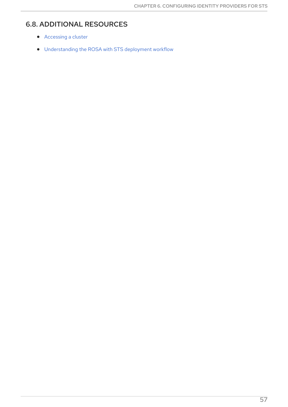# 6.8. ADDITIONAL RESOURCES

- [Accessing](https://access.redhat.com/documentation/en-us/red_hat_openshift_service_on_aws/4/html-single/installing_accessing_and_deleting_rosa_clusters/#rosa-sts-accessing-cluster) a cluster
- [Understanding](https://access.redhat.com/documentation/en-us/red_hat_openshift_service_on_aws/4/html-single/getting_started/#rosa-sts-understanding-the-deployment-workflow) the ROSA with STS deployment workflow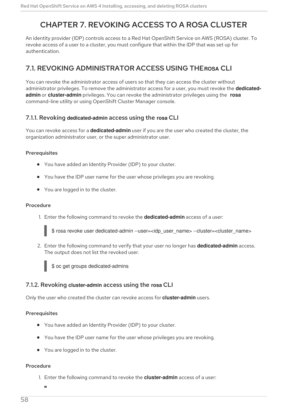# CHAPTER 7. REVOKING ACCESS TO A ROSA CLUSTER

An identity provider (IDP) controls access to a Red Hat OpenShift Service on AWS (ROSA) cluster. To revoke access of a user to a cluster, you must configure that within the IDP that was set up for authentication.

# 7.1. REVOKING ADMINISTRATOR ACCESS USING THE**ROSA** CLI

You can revoke the administrator access of users so that they can access the cluster without administrator privileges. To remove the administrator access for a user, you must revoke the **dedicatedadmin** or **cluster-admin** privileges. You can revoke the administrator privileges using the **rosa** command-line utility or using OpenShift Cluster Manager console.

### 7.1.1. Revoking **dedicated-admin** access using the **rosa** CLI

You can revoke access for a **dedicated-admin** user if you are the user who created the cluster, the organization administrator user, or the super administrator user.

#### **Prerequisites**

- You have added an Identity Provider (IDP) to your cluster.
- You have the IDP user name for the user whose privileges you are revoking.
- You are logged in to the cluster.

#### Procedure

1. Enter the following command to revoke the **dedicated-admin** access of a user:

\$ rosa revoke user dedicated-admin --user=<idp\_user\_name> --cluster=<cluster\_name>

2. Enter the following command to verify that your user no longer has **dedicated-admin** access. The output does not list the revoked user.



### 7.1.2. Revoking **cluster-admin** access using the **rosa** CLI

Only the user who created the cluster can revoke access for **cluster-admin** users.

#### **Prerequisites**

- You have added an Identity Provider (IDP) to your cluster.
- You have the IDP user name for the user whose privileges you are revoking.
- You are logged in to the cluster.

#### Procedure

1. Enter the following command to revoke the **cluster-admin** access of a user:

٠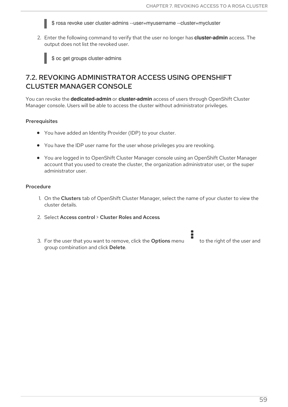\$ rosa revoke user cluster-admins --user=myusername --cluster=mycluster

2. Enter the following command to verify that the user no longer has **cluster-admin** access. The output does not list the revoked user.

\$ oc get groups cluster-admins

# 7.2. REVOKING ADMINISTRATOR ACCESS USING OPENSHIFT CLUSTER MANAGER CONSOLE

You can revoke the **dedicated-admin** or **cluster-admin** access of users through OpenShift Cluster Manager console. Users will be able to access the cluster without administrator privileges.

#### Prerequisites

- You have added an Identity Provider (IDP) to your cluster.
- You have the IDP user name for the user whose privileges you are revoking.
- You are logged in to OpenShift Cluster Manager console using an OpenShift Cluster Manager account that you used to create the cluster, the organization administrator user, or the super administrator user.

#### Procedure

- 1. On the Clusters tab of OpenShift Cluster Manager, select the name of your cluster to view the cluster details.
- 2. Select Access control > Cluster Roles and Access.
- 3. For the user that you want to remove, click the **Options** menu  $\overline{\phantom{a}}$  to the right of the user and group combination and click Delete.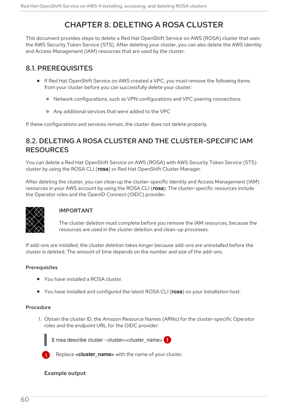# CHAPTER 8. DELETING A ROSA CLUSTER

This document provides steps to delete a Red Hat OpenShift Service on AWS (ROSA) cluster that uses the AWS Security Token Service (STS). After deleting your cluster, you can also delete the AWS Identity and Access Management (IAM) resources that are used by the cluster.

# 8.1. PREREQUISITES

- If Red Hat OpenShift Service on AWS created a VPC, you must remove the following items from your cluster before you can successfully delete your cluster:
	- Network configurations, such as VPN configurations and VPC peering connections
	- Any additional services that were added to the VPC

If these configurations and services remain, the cluster does not delete properly.

# 8.2. DELETING A ROSA CLUSTER AND THE CLUSTER-SPECIFIC IAM RESOURCES

You can delete a Red Hat OpenShift Service on AWS (ROSA) with AWS Security Token Service (STS) cluster by using the ROSA CLI (**rosa**) or Red Hat OpenShift Cluster Manager.

After deleting the cluster, you can clean up the cluster-specific Identity and Access Management (IAM) resources in your AWS account by using the ROSA CLI (**rosa**). The cluster-specific resources include the Operator roles and the OpenID Connect (OIDC) provider.



### IMPORTANT

The cluster deletion must complete before you remove the IAM resources, because the resources are used in the cluster deletion and clean-up processes.

If add-ons are installed, the cluster deletion takes longer because add-ons are uninstalled before the cluster is deleted. The amount of time depends on the number and size of the add-ons.

#### **Prerequisites**

- You have installed a ROSA cluster.
- You have installed and configured the latest ROSA CLI (**rosa**) on your installation host.

#### Procedure

1. Obtain the cluster ID, the Amazon Resource Names (ARNs) for the cluster-specific Operator roles and the endpoint URL for the OIDC provider:



[1](#page-63-0)

\$ rosa describe cluster --cluster=<cluster\_name> **1**

<span id="page-63-0"></span>

Replace <**cluster\_name>** with the name of your cluster.

### Example output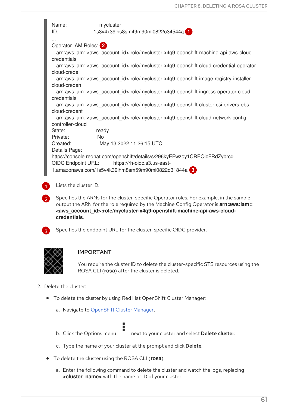<span id="page-64-1"></span><span id="page-64-0"></span>

[1](#page-64-0)

[2](#page-64-1)

[3](#page-64-2)

<span id="page-64-2"></span>Lists the cluster ID.

Specifies the ARNs for the cluster-specific Operator roles. For example, in the sample output the ARN for the role required by the Machine Config Operator is **arn:aws:iam::** <aws account id>:role/mycluster-x4q9-openshift-machine-api-aws-cloud**credentials**.

Specifies the endpoint URL for the cluster-specific OIDC provider.



### IMPORTANT

You require the cluster ID to delete the cluster-specific STS resources using the ROSA CLI (**rosa**) after the cluster is deleted.

- 2. Delete the cluster:
	- To delete the cluster by using Red Hat OpenShift Cluster Manager:
		- a. Navigate to [OpenShift](https://console.redhat.com/openshift) Cluster Manager.
		-

b. Click the Options menu ext to your cluster and select Delete cluster.

- c. Type the name of your cluster at the prompt and click Delete.
- To delete the cluster using the ROSA CLI (**rosa**):
	- a. Enter the following command to delete the cluster and watch the logs, replacing **<cluster\_name>** with the name or ID of your cluster: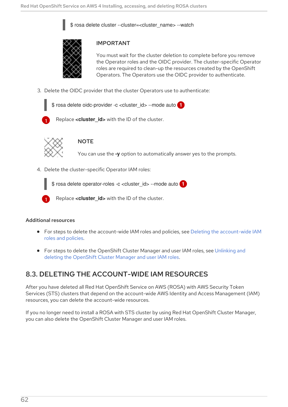\$ rosa delete cluster --cluster=<cluster\_name> --watch



### IMPORTANT

<span id="page-65-0"></span>You must wait for the cluster deletion to complete before you remove the Operator roles and the OIDC provider. The cluster-specific Operator roles are required to clean-up the resources created by the OpenShift Operators. The Operators use the OIDC provider to authenticate.

3. Delete the OIDC provider that the cluster Operators use to authenticate:

\$ rosa delete oidc-provider -c <cluster\_id> --mode auto **1**

Replace **<cluster\_id>** with the ID of the cluster.



[1](#page-65-0)

### **NOTE**

<span id="page-65-1"></span>You can use the **-y** option to automatically answer yes to the prompts.

4. Delete the cluster-specific Operator IAM roles:



\$ rosa delete operator-roles -c <cluster\_id> --mode auto **1**



Replace < **cluster id>** with the ID of the cluster.

#### Additional resources

- For steps to delete the [account-wide](https://access.redhat.com/documentation/en-us/red_hat_openshift_service_on_aws/4/html-single/installing_accessing_and_deleting_rosa_clusters/#rosa-deleting-account-wide-iam-roles-and-policies_rosa-sts-deleting-cluster) IAM roles and policies, see Deleting the account-wide IAM roles and policies.
- For steps to delete the [OpenShift](https://access.redhat.com/documentation/en-us/red_hat_openshift_service_on_aws/4/html-single/installing_accessing_and_deleting_rosa_clusters/#rosa-unlinking-and-deleting-ocm-and-user-iam-roles_rosa-sts-deleting-cluster) Cluster Manager and user IAM roles, see Unlinking and deleting the OpenShift Cluster Manager and user IAM roles.

# 8.3. DELETING THE ACCOUNT-WIDE IAM RESOURCES

After you have deleted all Red Hat OpenShift Service on AWS (ROSA) with AWS Security Token Services (STS) clusters that depend on the account-wide AWS Identity and Access Management (IAM) resources, you can delete the account-wide resources.

If you no longer need to install a ROSA with STS cluster by using Red Hat OpenShift Cluster Manager, you can also delete the OpenShift Cluster Manager and user IAM roles.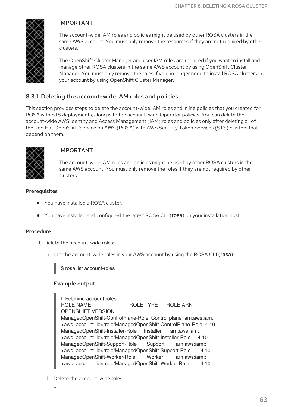

### IMPORTANT

The account-wide IAM roles and policies might be used by other ROSA clusters in the same AWS account. You must only remove the resources if they are not required by other clusters.

The OpenShift Cluster Manager and user IAM roles are required if you want to install and manage other ROSA clusters in the same AWS account by using OpenShift Cluster Manager. You must only remove the roles if you no longer need to install ROSA clusters in your account by using OpenShift Cluster Manager.

## 8.3.1. Deleting the account-wide IAM roles and policies

This section provides steps to delete the account-wide IAM roles and inline policies that you created for ROSA with STS deployments, along with the account-wide Operator policies. You can delete the account-wide AWS Identity and Access Management (IAM) roles and policies only after deleting all of the Red Hat OpenShift Service on AWS (ROSA) with AWS Security Token Services (STS) clusters that depend on them.



### IMPORTANT

The account-wide IAM roles and policies might be used by other ROSA clusters in the same AWS account. You must only remove the roles if they are not required by other clusters.

#### **Prerequisites**

- You have installed a ROSA cluster.
- You have installed and configured the latest ROSA CLI (**rosa**) on your installation host.

#### Procedure

- 1. Delete the account-wide roles:
	- a. List the account-wide roles in your AWS account by using the ROSA CLI (**rosa**):



### Example output

I: Fetching account roles ROLE NAME ROLE TYPE ROLE ARN OPENSHIFT VERSION ManagedOpenShift-ControlPlane-Role Control plane arn:aws:iam:: <aws\_account\_id>:role/ManagedOpenShift-ControlPlane-Role 4.10 ManagedOpenShift-Installer-Role Installer arn:aws:iam:: <aws\_account\_id>:role/ManagedOpenShift-Installer-Role 4.10 ManagedOpenShift-Support-Role Support arn:aws:iam:: <aws\_account\_id>:role/ManagedOpenShift-Support-Role 4.10 ManagedOpenShift-Worker-Role Worker arn:aws:iam:: <aws\_account\_id>:role/ManagedOpenShift-Worker-Role 4.10

b. Delete the account-wide roles: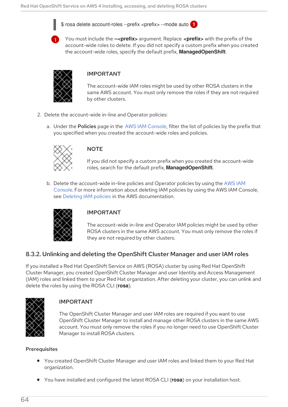\$ rosa delete account-roles --prefix <prefix> --mode auto **1**

You must include the --<prefix> argument. Replace <prefix> with the prefix of the account-wide roles to delete. If you did not specify a custom prefix when you created the account-wide roles, specify the default prefix, **ManagedOpenShift**.



## <span id="page-67-0"></span>IMPORTANT

The account-wide IAM roles might be used by other ROSA clusters in the same AWS account. You must only remove the roles if they are not required by other clusters.

- 2. Delete the account-wide in-line and Operator policies:
	- a. Under the **Policies** page in the AWS IAM [Console,](https://console.aws.amazon.com/iamv2/home#/policies) filter the list of policies by the prefix that you specified when you created the account-wide roles and policies.



## **NOTE**

If you did not specify a custom prefix when you created the account-wide roles, search for the default prefix, **ManagedOpenShift**.

b. Delete the [account-wide](https://console.aws.amazon.com/iamv2/home#/policies) in-line policies and Operator policies by using the AWS IAM Console. For more information about deleting IAM policies by using the AWS IAM Console, see [Deleting](https://docs.aws.amazon.com/IAM/latest/UserGuide/access_policies_manage-delete.html) IAM policies in the AWS documentation.



### IMPORTANT

The account-wide in-line and Operator IAM policies might be used by other ROSA clusters in the same AWS account. You must only remove the roles if they are not required by other clusters.

### 8.3.2. Unlinking and deleting the OpenShift Cluster Manager and user IAM roles

If you installed a Red Hat OpenShift Service on AWS (ROSA) cluster by using Red Hat OpenShift Cluster Manager, you created OpenShift Cluster Manager and user Identity and Access Management (IAM) roles and linked them to your Red Hat organization. After deleting your cluster, you can unlink and delete the roles by using the ROSA CLI (**rosa**).



#### IMPORTANT

The OpenShift Cluster Manager and user IAM roles are required if you want to use OpenShift Cluster Manager to install and manage other ROSA clusters in the same AWS account. You must only remove the roles if you no longer need to use OpenShift Cluster Manager to install ROSA clusters.

#### Prerequisites

- You created OpenShift Cluster Manager and user IAM roles and linked them to your Red Hat organization.
- You have installed and configured the latest ROSA CLI (**rosa**) on your installation host.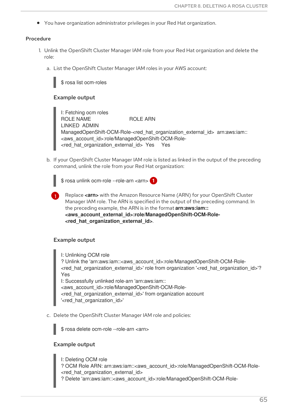You have organization administrator privileges in your Red Hat organization.

#### Procedure

- 1. Unlink the OpenShift Cluster Manager IAM role from your Red Hat organization and delete the role:
	- a. List the OpenShift Cluster Manager IAM roles in your AWS account:



#### Example output

I: Fetching ocm roles ROLE NAME ROLE ARN LINKED ADMIN ManagedOpenShift-OCM-Role-<red\_hat\_organization\_external\_id> arn:aws:iam:: <aws account id>:role/ManagedOpenShift-OCM-Role-<red\_hat\_organization\_external\_id> Yes Yes

b. If your OpenShift Cluster Manager IAM role is listed as linked in the output of the preceding command, unlink the role from your Red Hat organization:

<span id="page-68-0"></span>\$ rosa unlink ocm-role --role-arn <arn> 1

[1](#page-68-0) Replace **<arn>** with the Amazon Resource Name (ARN) for your OpenShift Cluster Manager IAM role. The ARN is specified in the output of the preceding command. In the preceding example, the ARN is in the format **arn:aws:iam:: <aws\_account\_external\_id>:role/ManagedOpenShift-OCM-Role- <red\_hat\_organization\_external\_id>**.

#### Example output

I: Unlinking OCM role ? Unlink the 'arn:aws:iam::<aws\_account\_id>:role/ManagedOpenShift-OCM-Role-<red hat organization external id>' role from organization '<red hat organization id>'? Yes I: Successfully unlinked role-arn 'arn:aws:iam:: <aws account id>:role/ManagedOpenShift-OCM-Role-<red\_hat\_organization\_external\_id>' from organization account '<red hat organization id>'

c. Delete the OpenShift Cluster Manager IAM role and policies:

\$ rosa delete ocm-role --role-arn <arn>

#### Example output

I: Deleting OCM role

? OCM Role ARN: arn:aws:iam::<aws\_account\_id>:role/ManagedOpenShift-OCM-Role-<red hat organization external id>

? Delete 'arn:aws:iam::<aws\_account\_id>:role/ManagedOpenShift-OCM-Role-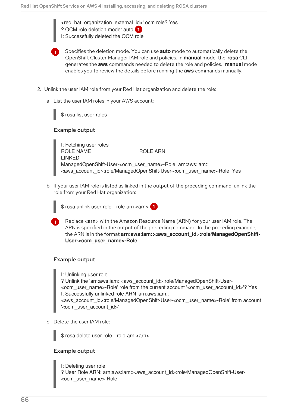<red\_hat\_organization\_external\_id>' ocm role? Yes

- <span id="page-69-0"></span>? OCM role deletion mode: auto **1**
- I: Successfully deleted the OCM role
- [1](#page-69-0)

Specifies the deletion mode. You can use **auto** mode to automatically delete the OpenShift Cluster Manager IAM role and policies. In **manual** mode, the **rosa** CLI generates the **aws** commands needed to delete the role and policies. **manual** mode enables you to review the details before running the **aws** commands manually.

- 2. Unlink the user IAM role from your Red Hat organization and delete the role:
	- a. List the user IAM roles in your AWS account:



#### Example output

I: Fetching user roles ROLE NAME ROLE ARN LINKED ManagedOpenShift-User-<ocm\_user\_name>-Role arn:aws:iam:: <aws\_account\_id>:role/ManagedOpenShift-User-<ocm\_user\_name>-Role Yes

b. If your user IAM role is listed as linked in the output of the preceding command, unlink the role from your Red Hat organization:



[1](#page-69-1)

<span id="page-69-1"></span>\$ rosa unlink user-role --role-arn <arn> **1**

Replace **<arn>** with the Amazon Resource Name (ARN) for your user IAM role. The ARN is specified in the output of the preceding command. In the preceding example, the ARN is in the format **arn:aws:iam::<aws\_account\_id>:role/ManagedOpenShift-User-<ocm\_user\_name>-Role**.

#### Example output

I: Unlinking user role

? Unlink the 'arn:aws:iam::<aws\_account\_id>:role/ManagedOpenShift-User- <ocm\_user\_name>-Role' role from the current account '<ocm\_user\_account\_id>'? Yes I: Successfully unlinked role ARN 'arn:aws:iam:: <aws\_account\_id>:role/ManagedOpenShift-User-<ocm\_user\_name>-Role' from account

'<ocm\_user\_account\_id>'

c. Delete the user IAM role:

\$ rosa delete user-role --role-arn <arn>

#### Example output

I: Deleting user role

? User Role ARN: arn:aws:iam::<aws\_account\_id>:role/ManagedOpenShift-User-<ocm\_user\_name>-Role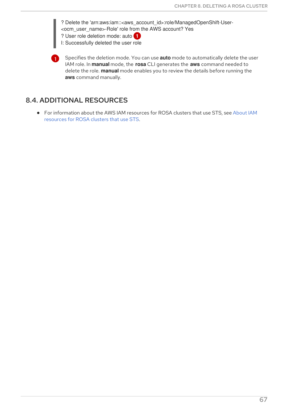? Delete the 'arn:aws:iam::<aws\_account\_id>:role/ManagedOpenShift-User- <ocm\_user\_name>-Role' role from the AWS account? Yes ? User role deletion mode: auto **1**

<span id="page-70-0"></span>I: Successfully deleted the user role

**[1](#page-70-0)** Specifies the deletion mode. You can use **auto** mode to automatically delete the user IAM role. In **manual** mode, the **rosa** CLI generates the **aws** command needed to delete the role. **manual** mode enables you to review the details before running the **aws** command manually.

# 8.4. ADDITIONAL RESOURCES

For [information](https://access.redhat.com/documentation/en-us/red_hat_openshift_service_on_aws/4/html-single/introduction_to_rosa/#rosa-sts-about-iam-resources) about the AWS IAM resources for ROSA clusters that use STS, see About IAM resources for ROSA clusters that use STS.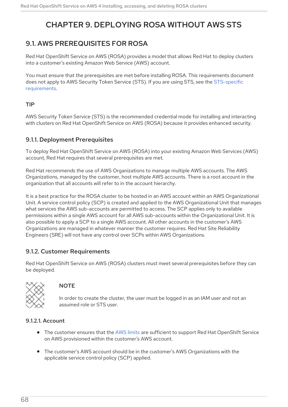# CHAPTER 9. DEPLOYING ROSA WITHOUT AWS STS

# 9.1. AWS PREREQUISITES FOR ROSA

Red Hat OpenShift Service on AWS (ROSA) provides a model that allows Red Hat to deploy clusters into a customer's existing Amazon Web Service (AWS) account.

You must ensure that the prerequisites are met before installing ROSA. This requirements document does not apply to AWS Security Token Service (STS). If you are using STS, see the STS-specific [requirements.](https://access.redhat.com/documentation/en-us/red_hat_openshift_service_on_aws/4/html-single/prepare_your_environment/#rosa-aws-prereqs_rosa-sts-aws-prereqs)

#### TIP

AWS Security Token Service (STS) is the recommended credential mode for installing and interacting with clusters on Red Hat OpenShift Service on AWS (ROSA) because it provides enhanced security.

### 9.1.1. Deployment Prerequisites

To deploy Red Hat OpenShift Service on AWS (ROSA) into your existing Amazon Web Services (AWS) account, Red Hat requires that several prerequisites are met.

Red Hat recommends the use of AWS Organizations to manage multiple AWS accounts. The AWS Organizations, managed by the customer, host multiple AWS accounts. There is a root account in the organization that all accounts will refer to in the account hierarchy.

It is a best practice for the ROSA cluster to be hosted in an AWS account within an AWS Organizational Unit. A service control policy (SCP) is created and applied to the AWS Organizational Unit that manages what services the AWS sub-accounts are permitted to access. The SCP applies only to available permissions within a single AWS account for all AWS sub-accounts within the Organizational Unit. It is also possible to apply a SCP to a single AWS account. All other accounts in the customer's AWS Organizations are managed in whatever manner the customer requires. Red Hat Site Reliability Engineers (SRE) will not have any control over SCPs within AWS Organizations.

### 9.1.2. Customer Requirements

Red Hat OpenShift Service on AWS (ROSA) clusters must meet several prerequisites before they can be deployed.



#### **NOTE**

In order to create the cluster, the user must be logged in as an IAM user and not an assumed role or STS user.

### 9.1.2.1. Account

- The customer ensures that the AWS [limits](https://docs.aws.amazon.com/general/latest/gr/aws_service_limits.html) are sufficient to support Red Hat OpenShift Service on AWS provisioned within the customer's AWS account.
- The customer's AWS account should be in the customer's AWS Organizations with the applicable service control policy (SCP) applied.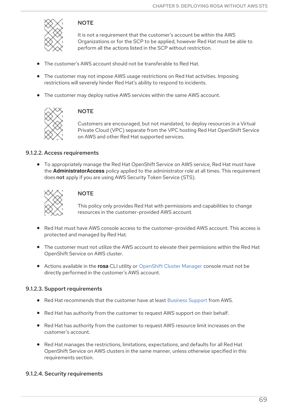

# **NOTE**

It is not a requirement that the customer's account be within the AWS Organizations or for the SCP to be applied, however Red Hat must be able to perform all the actions listed in the SCP without restriction.

- The customer's AWS account should not be transferable to Red Hat.
- The customer may not impose AWS usage restrictions on Red Hat activities. Imposing restrictions will severely hinder Red Hat's ability to respond to incidents.
- The customer may deploy native AWS services within the same AWS account.



## **NOTE**

Customers are encouraged, but not mandated, to deploy resources in a Virtual Private Cloud (VPC) separate from the VPC hosting Red Hat OpenShift Service on AWS and other Red Hat supported services.

#### 9.1.2.2. Access requirements

To appropriately manage the Red Hat OpenShift Service on AWS service, Red Hat must have the **AdministratorAccess** policy applied to the administrator role at all times. This requirement does not apply if you are using AWS Security Token Service (STS).



#### **NOTE**

This policy only provides Red Hat with permissions and capabilities to change resources in the customer-provided AWS account.

- Red Hat must have AWS console access to the customer-provided AWS account. This access is protected and managed by Red Hat.
- The customer must not utilize the AWS account to elevate their permissions within the Red Hat OpenShift Service on AWS cluster.
- Actions available in the **rosa** CLI utility or [OpenShift](https://console.redhat.com/openshift) Cluster Manager console must not be directly performed in the customer's AWS account.

#### 9.1.2.3. Support requirements

- Red Hat recommends that the customer have at least [Business](https://aws.amazon.com/premiumsupport/plans/) Support from AWS.
- Red Hat has authority from the customer to request AWS support on their behalf.
- Red Hat has authority from the customer to request AWS resource limit increases on the customer's account.
- Red Hat manages the restrictions, limitations, expectations, and defaults for all Red Hat OpenShift Service on AWS clusters in the same manner, unless otherwise specified in this requirements section.

#### 9.1.2.4. Security requirements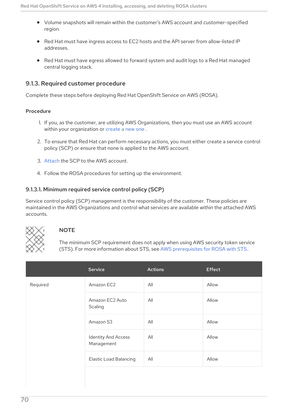- Volume snapshots will remain within the customer's AWS account and customer-specified region.
- Red Hat must have ingress access to EC2 hosts and the API server from allow-listed IP addresses.
- Red Hat must have egress allowed to forward system and audit logs to a Red Hat managed central logging stack.

## 9.1.3. Required customer procedure

Complete these steps before deploying Red Hat OpenShift Service on AWS (ROSA).

#### Procedure

- 1. If you, as the customer, are utilizing AWS Organizations, then you must use an AWS account within your organization or [create](https://docs.aws.amazon.com/organizations/latest/userguide/orgs_manage_accounts_create.html#orgs_manage_accounts_create-new) a new one .
- 2. To ensure that Red Hat can perform necessary actions, you must either create a service control policy (SCP) or ensure that none is applied to the AWS account.
- 3. [Attach](https://docs.aws.amazon.com/organizations/latest/userguide/orgs_introduction.html) the SCP to the AWS account.
- 4. Follow the ROSA procedures for setting up the environment.

## 9.1.3.1. Minimum required service control policy (SCP)

Service control policy (SCP) management is the responsibility of the customer. These policies are maintained in the AWS Organizations and control what services are available within the attached AWS accounts.



## **NOTE**

The minimum SCP requirement does not apply when using AWS security token service (STS). For more information about STS, see AWS [prerequisites](https://docs.openshift.com/rosa/rosa_getting_started_sts/rosa-sts-aws-prereqs.html) for ROSA with STS.

|                                                                                                                                                | <b>Service</b> | Actions | <b>Effect</b> |
|------------------------------------------------------------------------------------------------------------------------------------------------|----------------|---------|---------------|
| Required<br>Amazon EC2<br>Amazon EC2 Auto<br>Scaling<br>Amazon S3<br><b>Identity And Access</b><br>Management<br><b>Elastic Load Balancing</b> |                | All     | Allow         |
|                                                                                                                                                | All            | Allow   |               |
|                                                                                                                                                |                | All     | Allow         |
|                                                                                                                                                |                | All     | Allow         |
|                                                                                                                                                |                | All     | Allow         |
|                                                                                                                                                |                |         |               |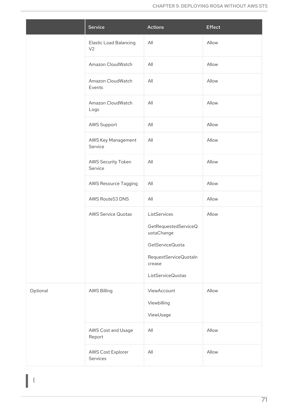|                                                                      | Service                                                                                                                       | Actions                                 | Effect |
|----------------------------------------------------------------------|-------------------------------------------------------------------------------------------------------------------------------|-----------------------------------------|--------|
|                                                                      | <b>Elastic Load Balancing</b><br>V <sub>2</sub>                                                                               | All                                     | Allow  |
|                                                                      | Amazon CloudWatch                                                                                                             | All                                     | Allow  |
|                                                                      | Amazon CloudWatch<br>Events                                                                                                   | All                                     | Allow  |
|                                                                      | Amazon CloudWatch<br>Logs                                                                                                     | All                                     | Allow  |
|                                                                      | <b>AWS Support</b>                                                                                                            | All                                     | Allow  |
|                                                                      | AWS Key Management<br>Service                                                                                                 | All                                     | Allow  |
|                                                                      | AWS Security Token<br>Service                                                                                                 | All                                     | Allow  |
| AWS Resource Tagging<br>AWS Route53 DNS<br><b>AWS Service Quotas</b> |                                                                                                                               | All                                     | Allow  |
|                                                                      | All                                                                                                                           | Allow                                   |        |
|                                                                      | ListServices<br>GetRequestedServiceQ<br>uotaChange<br>GetServiceQuota<br>RequestServiceQuotaIn<br>crease<br>ListServiceQuotas | Allow                                   |        |
| Optional                                                             | <b>AWS Billing</b>                                                                                                            | ViewAccount<br>Viewbilling<br>ViewUsage | Allow  |
|                                                                      | AWS Cost and Usage<br>Report                                                                                                  | All                                     | Allow  |
|                                                                      | AWS Cost Explorer<br>Services                                                                                                 | All                                     | Allow  |

 $\mathbf{R}$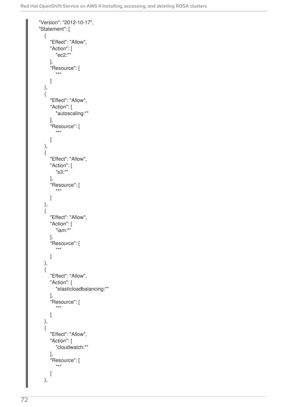```
"Version": "2012-10-17",
"Statement": [
  {
     "Effect": "Allow",
     "Action": [
        "ec2:*"
     ],
     "Resource": [
        \mathbf{u}]
  },
  {
     "Effect": "Allow",
     "Action": [
        "autoscaling:*"
     ],
     "Resource": [
        "]
  },
  {
     "Effect": "Allow",
     "Action": [
        "s3:*"
     ],
     "Resource": [
        ^{\mathrm{H}}]
  },
  {
     "Effect": "Allow",
     "Action": [
        "iam:*"
     ],
     "Resource": [
        ^{\dagger\text{H}}]
  },
  {
     "Effect": "Allow",
     "Action": [
        "elasticloadbalancing:*"
     ],
     "Resource": [
        "]
  },
  {
     "Effect": "Allow",
     "Action": [
        "cloudwatch:*"
     ],
     "Resource": [
        "]
  },
```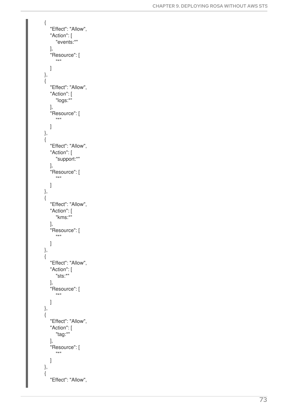```
{
   "Effect": "Allow",
   "Action": [
       "events:*"
   ]
,
   "Resource": [
       "*"
   ]
}
,
{
   "Effect": "Allow",
   "Action": [
       "lo
g
s:*
"
   ]
,
   "Resource": [
       "*"
   ]
}
,
{
   "Effect": "Allow",
   "Action": [
       "support:*"
   ]
,
   "Resource": [
       "*"
   ]
}
,
{
   "Effect": "Allow",
   "Action": [
       "
k
m
s:*
"
   ]
,
   "Resource": [
       "*"
   ]
}
,
{
   "Effect": "Allow",
   "Action": [
       "sts:*"
   ]
,
   "Resource": [
       "*"
   ]
}
,
{
   "Effect": "Allow",
   "Action": [
       "tag:*"
   ]
,
   "Resource": [
       "*"
   ]
}
,
{
   "Effect": "Allow",
```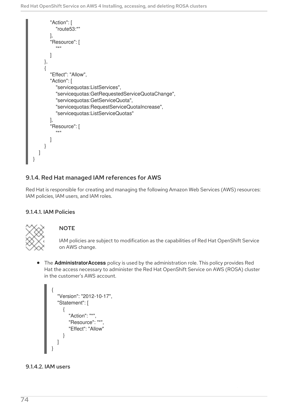

# 9.1.4. Red Hat managed IAM references for AWS

Red Hat is responsible for creating and managing the following Amazon Web Services (AWS) resources: IAM policies, IAM users, and IAM roles.

## 9.1.4.1. IAM Policies



## **NOTE**

IAM policies are subject to modification as the capabilities of Red Hat OpenShift Service on AWS change.

The **AdministratorAccess** policy is used by the administration role. This policy provides Red Hat the access necessary to administer the Red Hat OpenShift Service on AWS (ROSA) cluster in the customer's AWS account.

```
{
   "Version": "2012-10-17",
   "Statement": [
     {
        "Action": "*",
        "Resource": "*",
        "Effect": "Allow"
     }
  ]
}
```
#### 9.1.4.2. IAM users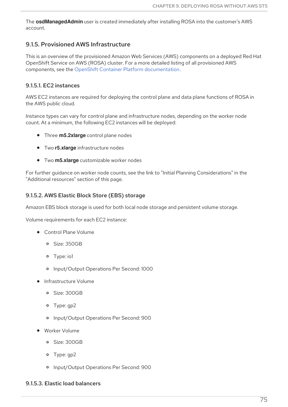The **osdManagedAdmin** user is created immediately after installing ROSA into the customer's AWS account.

# 9.1.5. Provisioned AWS Infrastructure

This is an overview of the provisioned Amazon Web Services (AWS) components on a deployed Red Hat OpenShift Service on AWS (ROSA) cluster. For a more detailed listing of all provisioned AWS components, see the OpenShift Container Platform [documentation.](https://access.redhat.com/documentation/en-us/openshift_container_platform/)

# 9.1.5.1. EC2 instances

AWS EC2 instances are required for deploying the control plane and data plane functions of ROSA in the AWS public cloud.

Instance types can vary for control plane and infrastructure nodes, depending on the worker node count. At a minimum, the following EC2 instances will be deployed:

- **•** Three **m5.2xlarge** control plane nodes
- Two **r5.xlarge** infrastructure nodes
- Two **m5.xlarge** customizable worker nodes

For further guidance on worker node counts, see the link to "Initial Planning Considerations" in the "Additional resources" section of this page.

## 9.1.5.2. AWS Elastic Block Store (EBS) storage

Amazon EBS block storage is used for both local node storage and persistent volume storage.

Volume requirements for each EC2 instance:

- Control Plane Volume
	- Size: 350GB
	- Type: io1
	- Input/Output Operations Per Second: 1000
- **•** Infrastructure Volume
	- Size: 300GB
	- Type: gp2
	- o Input/Output Operations Per Second: 900
- Worker Volume
	- Size: 300GB
	- Type: gp2
	- Input/Output Operations Per Second: 900

## 9.1.5.3. Elastic load balancers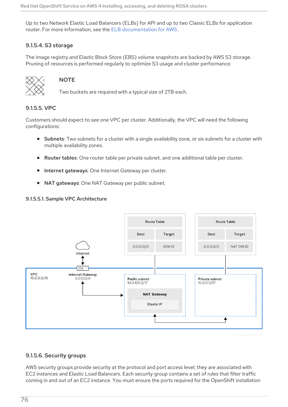Up to two Network Elastic Load Balancers (ELBs) for API and up to two Classic ELBs for application router. For more information, see the ELB [documentation](https://aws.amazon.com/elasticloadbalancing/features/#Details_for_Elastic_Load_Balancing_Products) for AWS.

# 9.1.5.4. S3 storage

The image registry and Elastic Block Store (EBS) volume snapshots are backed by AWS S3 storage. Pruning of resources is performed regularly to optimize S3 usage and cluster performance.



# **NOTE**

Two buckets are required with a typical size of 2TB each.

## 9.1.5.5. VPC

Customers should expect to see one VPC per cluster. Additionally, the VPC will need the following configurations:

- Subnets: Two subnets for a cluster with a single availability zone, or six subnets for a cluster with multiple availability zones.
- Router tables: One router table per private subnet, and one additional table per cluster.
- Internet gateways: One Internet Gateway per cluster.
- NAT gateways: One NAT Gateway per public subnet.

#### 9.1.5.5.1. Sample VPC Architecture



## 9.1.5.6. Security groups

AWS security groups provide security at the protocol and port access level; they are associated with EC2 instances and Elastic Load Balancers. Each security group contains a set of rules that filter traffic coming in and out of an EC2 instance. You must ensure the ports required for the OpenShift installation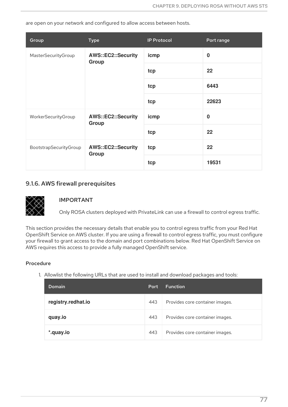are open on your network and configured to allow access between hosts.

| Group                                                        | <b>Type</b>                        | <b>IP Protocol</b> | Port range |
|--------------------------------------------------------------|------------------------------------|--------------------|------------|
| <b>AWS::EC2::Security</b><br>MasterSecurityGroup<br>Group    | icmp                               | $\bf{0}$           |            |
|                                                              | tcp                                | 22                 |            |
|                                                              | tcp                                | 6443               |            |
|                                                              | tcp                                | 22623              |            |
| WorkerSecurityGroup                                          | <b>AWS::EC2::Security</b><br>Group | icmp               | $\bf{0}$   |
|                                                              | tcp                                | 22                 |            |
| <b>AWS::EC2::Security</b><br>BootstrapSecurityGroup<br>Group | tcp                                | 22                 |            |
|                                                              | tcp                                | 19531              |            |

# 9.1.6. AWS firewall prerequisites



#### IMPORTANT

Only ROSA clusters deployed with PrivateLink can use a firewall to control egress traffic.

This section provides the necessary details that enable you to control egress traffic from your Red Hat OpenShift Service on AWS cluster. If you are using a firewall to control egress traffic, you must configure your firewall to grant access to the domain and port combinations below. Red Hat OpenShift Service on AWS requires this access to provide a fully managed OpenShift service.

#### Procedure

1. Allowlist the following URLs that are used to install and download packages and tools:

| <b>Domain</b>      | Port | <b>Function</b>                 |
|--------------------|------|---------------------------------|
| registry.redhat.io | 443  | Provides core container images. |
| quay.io            | 443  | Provides core container images. |
| *.quay.io          | 443  | Provides core container images. |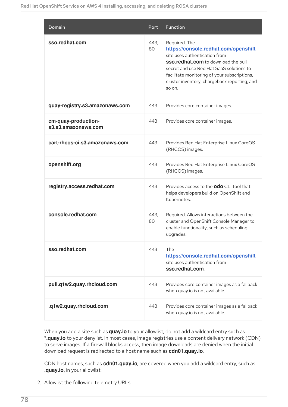| Domain                                     | Port       | <b>Function</b>                                                                                                                                                                                                                                                                     |
|--------------------------------------------|------------|-------------------------------------------------------------------------------------------------------------------------------------------------------------------------------------------------------------------------------------------------------------------------------------|
| sso.redhat.com                             | 443,<br>80 | Required. The<br>https://console.redhat.com/openshift<br>site uses authentication from<br>sso.redhat.com to download the pull<br>secret and use Red Hat SaaS solutions to<br>facilitate monitoring of your subscriptions,<br>cluster inventory, chargeback reporting, and<br>so on. |
| quay-registry.s3.amazonaws.com             | 443        | Provides core container images.                                                                                                                                                                                                                                                     |
| cm-quay-production-<br>s3.s3.amazonaws.com | 443        | Provides core container images.                                                                                                                                                                                                                                                     |
| cart-rhcos-ci.s3.amazonaws.com             | 443        | Provides Red Hat Enterprise Linux CoreOS<br>(RHCOS) images.                                                                                                                                                                                                                         |
| openshift.org                              | 443        | Provides Red Hat Enterprise Linux CoreOS<br>(RHCOS) images.                                                                                                                                                                                                                         |
| registry.access.redhat.com                 | 443        | Provides access to the <b>odo</b> CLI tool that<br>helps developers build on OpenShift and<br>Kubernetes.                                                                                                                                                                           |
| console.redhat.com                         | 443,<br>80 | Required. Allows interactions between the<br>cluster and OpenShift Console Manager to<br>enable functionality, such as scheduling<br>upgrades.                                                                                                                                      |
| sso.redhat.com                             | 443        | The<br>https://console.redhat.com/openshift<br>site uses authentication from<br>sso.redhat.com.                                                                                                                                                                                     |
| pull.q1w2.quay.rhcloud.com                 | 443        | Provides core container images as a fallback<br>when quay.io is not available.                                                                                                                                                                                                      |
| .q1w2.quay.rhcloud.com                     | 443        | Provides core container images as a fallback<br>when quay.io is not available.                                                                                                                                                                                                      |

When you add a site such as **quay.io** to your allowlist, do not add a wildcard entry such as **\*.quay.io** to your denylist. In most cases, image registries use a content delivery network (CDN) to serve images. If a firewall blocks access, then image downloads are denied when the initial download request is redirected to a host name such as **cdn01.quay.io**.

CDN host names, such as **cdn01.quay.io**, are covered when you add a wildcard entry, such as **.quay.io**, in your allowlist.

2. Allowlist the following telemetry URLs: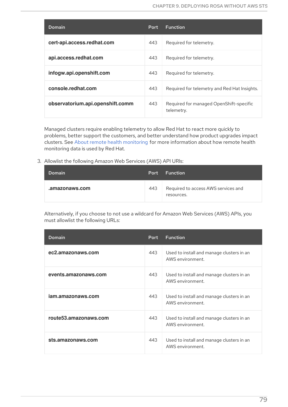| <b>Domain</b>                    | Port | <b>Function</b>                                       |
|----------------------------------|------|-------------------------------------------------------|
| cert-api.access.redhat.com       | 443  | Required for telemetry.                               |
| api.access.redhat.com            | 443  | Required for telemetry.                               |
| infogw.api.openshift.com         | 443  | Required for telemetry.                               |
| console.redhat.com               | 443  | Required for telemetry and Red Hat Insights.          |
| observatorium.api.openshift.comm | 443  | Required for managed OpenShift-specific<br>telemetry. |

Managed clusters require enabling telemetry to allow Red Hat to react more quickly to problems, better support the customers, and better understand how product upgrades impact clusters. See About remote health [monitoring](https://docs.openshift.com/container-platform/4.9/support/remote_health_monitoring/about-remote-health-monitoring.html) for more information about how remote health monitoring data is used by Red Hat.

#### 3. Allowlist the following Amazon Web Services (AWS) API URls:

| <b>Domain</b>  |     | Port Function                                     |
|----------------|-----|---------------------------------------------------|
| .amazonaws.com | 443 | Required to access AWS services and<br>resources. |

Alternatively, if you choose to not use a wildcard for Amazon Web Services (AWS) APIs, you must allowlist the following URLs:

| Domain                | Port | <b>Function</b>                                               |
|-----------------------|------|---------------------------------------------------------------|
| ec2.amazonaws.com     | 443  | Used to install and manage clusters in an<br>AWS environment. |
| events.amazonaws.com  | 443  | Used to install and manage clusters in an<br>AWS environment. |
| iam.amazonaws.com     | 443  | Used to install and manage clusters in an<br>AWS environment. |
| route53.amazonaws.com | 443  | Used to install and manage clusters in an<br>AWS environment. |
| sts.amazonaws.com     | 443  | Used to install and manage clusters in an<br>AWS environment. |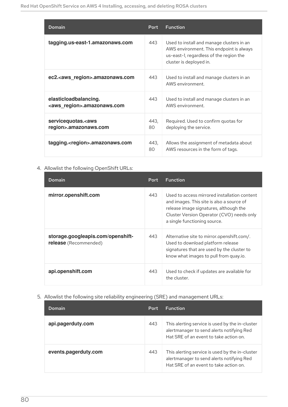| Domain                                                           | Port       | <b>Function</b>                                                                                                                                             |
|------------------------------------------------------------------|------------|-------------------------------------------------------------------------------------------------------------------------------------------------------------|
| tagging.us-east-1.amazonaws.com                                  | 443        | Used to install and manage clusters in an<br>AWS environment. This endpoint is always<br>us-east-1, regardless of the region the<br>cluster is deployed in. |
| ec2. <aws_region>.amazonaws.com</aws_region>                     | 443        | Used to install and manage clusters in an<br>AWS environment.                                                                                               |
| elasticloadbalancing.<br><aws_region>.amazonaws.com</aws_region> | 443        | Used to install and manage clusters in an<br>AWS environment.                                                                                               |
| servicequotas. <aws<br>region&gt;.amazonaws.com</aws<br>         | 443,<br>80 | Required. Used to confirm quotas for<br>deploying the service.                                                                                              |
| tagging. <region>.amazonaws.com</region>                         | 443,<br>80 | Allows the assignment of metadata about<br>AWS resources in the form of tags.                                                                               |

## 4. Allowlist the following OpenShift URLs:

| <b>Domain</b>                                              | Port | <b>Function</b>                                                                                                                                                                                                  |
|------------------------------------------------------------|------|------------------------------------------------------------------------------------------------------------------------------------------------------------------------------------------------------------------|
| mirror.openshift.com                                       | 443  | Used to access mirrored installation content<br>and images. This site is also a source of<br>release image signatures, although the<br>Cluster Version Operator (CVO) needs only<br>a single functioning source. |
| storage.googleapis.com/openshift-<br>release (Recommended) | 443  | Alternative site to mirror.openshift.com/.<br>Used to download platform release<br>signatures that are used by the cluster to<br>know what images to pull from quay.io.                                          |
| api.openshift.com                                          | 443  | Used to check if updates are available for<br>the cluster.                                                                                                                                                       |

5. Allowlist the following site reliability engineering (SRE) and management URLs:

| Domain               | Port | <b>Function</b>                                                                                                                        |
|----------------------|------|----------------------------------------------------------------------------------------------------------------------------------------|
| api.pagerduty.com    | 443  | This alerting service is used by the in-cluster<br>alertmanager to send alerts notifying Red<br>Hat SRE of an event to take action on. |
| events.pagerduty.com | 443  | This alerting service is used by the in-cluster<br>alertmanager to send alerts notifying Red<br>Hat SRE of an event to take action on. |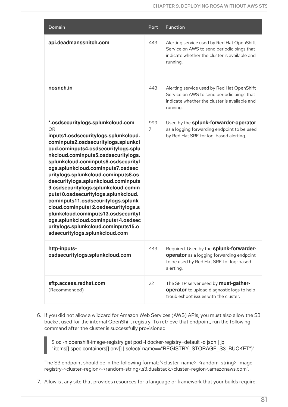| <b>Domain</b>                                                                                                                                                                                                                                                                                                                                                                                                                                                                                                                                                                                                                                                                          | Port                  | <b>Function</b>                                                                                                                                       |
|----------------------------------------------------------------------------------------------------------------------------------------------------------------------------------------------------------------------------------------------------------------------------------------------------------------------------------------------------------------------------------------------------------------------------------------------------------------------------------------------------------------------------------------------------------------------------------------------------------------------------------------------------------------------------------------|-----------------------|-------------------------------------------------------------------------------------------------------------------------------------------------------|
| api.deadmanssnitch.com                                                                                                                                                                                                                                                                                                                                                                                                                                                                                                                                                                                                                                                                 | 443                   | Alerting service used by Red Hat OpenShift<br>Service on AWS to send periodic pings that<br>indicate whether the cluster is available and<br>running. |
| nosnch.in                                                                                                                                                                                                                                                                                                                                                                                                                                                                                                                                                                                                                                                                              | 443                   | Alerting service used by Red Hat OpenShift<br>Service on AWS to send periodic pings that<br>indicate whether the cluster is available and<br>running. |
| *.osdsecuritylogs.splunkcloud.com<br><b>OR</b><br>inputs1.osdsecuritylogs.splunkcloud.<br>cominputs2.osdsecuritylogs.splunkcl<br>oud.cominputs4.osdsecuritylogs.splu<br>nkcloud.cominputs5.osdsecuritylogs.<br>splunkcloud.cominputs6.osdsecurityl<br>ogs.splunkcloud.cominputs7.osdsec<br>uritylogs.splunkcloud.cominputs8.os<br>dsecuritylogs.splunkcloud.cominputs<br>9.osdsecuritylogs.splunkcloud.comin<br>puts10.osdsecuritylogs.splunkcloud.<br>cominputs11.osdsecuritylogs.splunk<br>cloud.cominputs12.osdsecuritylogs.s<br>plunkcloud.cominputs13.osdsecurityl<br>ogs.splunkcloud.cominputs14.osdsec<br>uritylogs.splunkcloud.cominputs15.o<br>sdsecuritylogs.splunkcloud.com | 999<br>$\overline{7}$ | Used by the splunk-forwarder-operator<br>as a logging forwarding endpoint to be used<br>by Red Hat SRE for log-based alerting.                        |
| http-inputs-<br>osdsecuritylogs.splunkcloud.com                                                                                                                                                                                                                                                                                                                                                                                                                                                                                                                                                                                                                                        | 443                   | Required. Used by the splunk-forwarder-<br>operator as a logging forwarding endpoint<br>to be used by Red Hat SRE for log-based<br>alerting.          |
| sftp.access.redhat.com<br>(Recommended)                                                                                                                                                                                                                                                                                                                                                                                                                                                                                                                                                                                                                                                | 22                    | The SFTP server used by must-gather-<br>operator to upload diagnostic logs to help<br>troubleshoot issues with the cluster.                           |

6. If you did not allow a wildcard for Amazon Web Services (AWS) APIs, you must also allow the S3 bucket used for the internal OpenShift registry. To retrieve that endpoint, run the following command after the cluster is successfully provisioned:

\$ oc -n openshift-image-registry get pod -l docker-registry=default -o json | jq '.items[].spec.containers[].env[] | select(.name=="REGISTRY\_STORAGE\_S3\_BUCKET")'

The S3 endpoint should be in the following format: '<cluster-name>-<random-string>-imageregistry-<cluster-region>-<random-string>.s3.dualstack.<cluster-region>.amazonaws.com'.

7. Allowlist any site that provides resources for a language or framework that your builds require.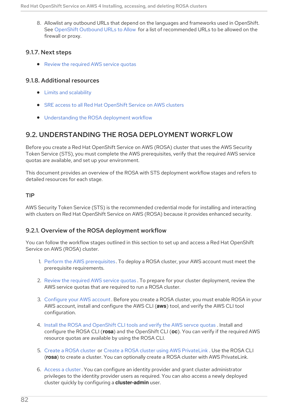8. Allowlist any outbound URLs that depend on the languages and frameworks used in OpenShift. See [OpenShift](https://access.redhat.com/solutions/2998411) Outbound URLs to Allow for a list of recommended URLs to be allowed on the firewall or proxy.

# 9.1.7. Next steps

• Review the [required](https://access.redhat.com/documentation/en-us/red_hat_openshift_service_on_aws/4/html-single/rosa_getting_started_iam/#rosa-required-aws-service-quotas) AWS service quotas

## 9.1.8. Additional resources

- **•** Limits and [scalability](https://access.redhat.com/documentation/en-us/red_hat_openshift_service_on_aws/4/html-single/prepare_your_environment/#rosa-limits-scalability)
- SRE access to all Red Hat [OpenShift](https://access.redhat.com/documentation/en-us/red_hat_openshift_service_on_aws/4/html-single/introduction_to_rosa/#rosa-policy-sre-access_rosa-policy-process-security) Service on AWS clusters
- [Understanding](https://access.redhat.com/documentation/en-us/red_hat_openshift_service_on_aws/4/html-single/rosa_getting_started_iam/#rosa-understanding-the-deployment-workflow) the ROSA deployment workflow

# 9.2. UNDERSTANDING THE ROSA DEPLOYMENT WORKFLOW

Before you create a Red Hat OpenShift Service on AWS (ROSA) cluster that uses the AWS Security Token Service (STS), you must complete the AWS prerequisites, verify that the required AWS service quotas are available, and set up your environment.

This document provides an overview of the ROSA with STS deployment workflow stages and refers to detailed resources for each stage.

## TIP

AWS Security Token Service (STS) is the recommended credential mode for installing and interacting with clusters on Red Hat OpenShift Service on AWS (ROSA) because it provides enhanced security.

# 9.2.1. Overview of the ROSA deployment workflow

You can follow the workflow stages outlined in this section to set up and access a Red Hat OpenShift Service on AWS (ROSA) cluster.

- 1. Perform the AWS [prerequisites](https://access.redhat.com/documentation/en-us/red_hat_openshift_service_on_aws/4/html-single/installing_accessing_and_deleting_rosa_clusters/#prerequisites) . To deploy a ROSA cluster, your AWS account must meet the prerequisite requirements.
- 2. Review the [required](https://access.redhat.com/documentation/en-us/red_hat_openshift_service_on_aws/4/html-single/installing_accessing_and_deleting_rosa_clusters/#rosa-required-aws-service-quotas) AWS service quotas . To prepare for your cluster deployment, review the AWS service quotas that are required to run a ROSA cluster.
- 3. [Configure](https://access.redhat.com/documentation/en-us/red_hat_openshift_service_on_aws/4/html-single/installing_accessing_and_deleting_rosa_clusters/#rosa-config-aws-account) your AWS account. Before you create a ROSA cluster, you must enable ROSA in your AWS account, install and configure the AWS CLI (**aws**) tool, and verify the AWS CLI tool configuration.
- 4. Install the ROSA and [OpenShift](https://access.redhat.com/documentation/en-us/red_hat_openshift_service_on_aws/4/html-single/installing_accessing_and_deleting_rosa_clusters/#rosa-installing-cli) CLI tools and verify the AWS servce quotas . Install and configure the ROSA CLI (**rosa**) and the OpenShift CLI (**oc**). You can verify if the required AWS resource quotas are available by using the ROSA CLI.
- 5. [Create](https://access.redhat.com/documentation/en-us/red_hat_openshift_service_on_aws/4/html-single/installing_accessing_and_deleting_rosa_clusters/#rosa-creating-cluster) a ROSA cluster or Create a ROSA cluster using AWS [PrivateLink](https://access.redhat.com/documentation/en-us/red_hat_openshift_service_on_aws/4/html-single/installing_accessing_and_deleting_rosa_clusters/#rosa-aws-privatelink-creating-cluster) . Use the ROSA CLI (**rosa**) to create a cluster. You can optionally create a ROSA cluster with AWS PrivateLink.
- 6. Access a [cluster](https://access.redhat.com/documentation/en-us/red_hat_openshift_service_on_aws/4/html-single/installing_accessing_and_deleting_rosa_clusters/#rosa-sts-accessing-cluster). You can configure an identity provider and grant cluster administrator privileges to the identity provider users as required. You can also access a newly deployed cluster quickly by configuring a **cluster-admin** user.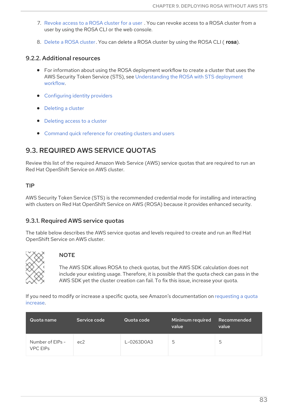- 7. [Revoke](https://access.redhat.com/documentation/en-us/red_hat_openshift_service_on_aws/4/html-single/installing_accessing_and_deleting_rosa_clusters/#rosa-deleting-access-cluster) access to a ROSA cluster for a user . You can revoke access to a ROSA cluster from a user by using the ROSA CLI or the web console.
- 8. Delete a ROSA [cluster](https://access.redhat.com/documentation/en-us/red_hat_openshift_service_on_aws/4/html-single/installing_accessing_and_deleting_rosa_clusters/#rosa-deleting-cluster). You can delete a ROSA cluster by using the ROSA CLI ( **rosa**).

## 9.2.2. Additional resources

- For information about using the ROSA deployment workflow to create a cluster that uses the AWS Security Token Service (STS), see [Understanding](https://access.redhat.com/documentation/en-us/red_hat_openshift_service_on_aws/4/html-single/getting_started/#rosa-sts-overview-of-the-deployment-workflow) the ROSA with STS deployment workflow.
- [Configuring](https://access.redhat.com/documentation/en-us/red_hat_openshift_service_on_aws/4/html-single/installing_accessing_and_deleting_rosa_clusters/#rosa-sts-config-identity-providers) identity providers
- [Deleting](https://access.redhat.com/documentation/en-us/red_hat_openshift_service_on_aws/4/html-single/rosa_getting_started_iam/#rosa-deleting-cluster) a cluster
- [Deleting](https://access.redhat.com/documentation/en-us/red_hat_openshift_service_on_aws/4/html-single/rosa_getting_started_iam/#rosa-deleting-access-cluster) access to a cluster
- [Command](https://access.redhat.com/documentation/en-us/red_hat_openshift_service_on_aws/4/html-single/rosa_getting_started_iam/#rosa-command-reference) quick reference for creating clusters and users

# 9.3. REQUIRED AWS SERVICE QUOTAS

Review this list of the required Amazon Web Service (AWS) service quotas that are required to run an Red Hat OpenShift Service on AWS cluster.

## TIP

AWS Security Token Service (STS) is the recommended credential mode for installing and interacting with clusters on Red Hat OpenShift Service on AWS (ROSA) because it provides enhanced security.

# 9.3.1. Required AWS service quotas

The table below describes the AWS service quotas and levels required to create and run an Red Hat OpenShift Service on AWS cluster.



## **NOTE**

The AWS SDK allows ROSA to check quotas, but the AWS SDK calculation does not include your existing usage. Therefore, it is possible that the quota check can pass in the AWS SDK yet the cluster creation can fail. To fix this issue, increase your quota.

If you need to modify or increase a specific quota, see Amazon's [documentation](https://docs.aws.amazon.com/servicequotas/latest/userguide/request-quota-increase.html) on requesting a quota increase.

| Quota name                          | Service code | Quota code | Minimum required<br>value <sup>1</sup> | Recommended<br>value |
|-------------------------------------|--------------|------------|----------------------------------------|----------------------|
| Number of EIPs -<br><b>VPC EIPS</b> | ec2          | L-0263D0A3 | 5                                      | 5                    |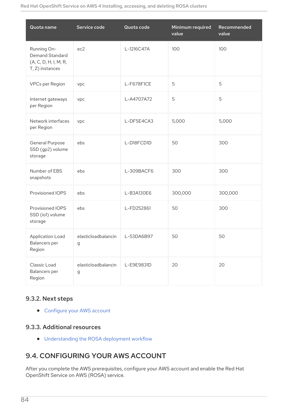| Quota name                                                                 | Service code             | Quota code | Minimum required<br>value | Recommended<br>value |
|----------------------------------------------------------------------------|--------------------------|------------|---------------------------|----------------------|
| Running On-<br>Demand Standard<br>(A, C, D, H, I, M, R,<br>T, Z) instances | ec2                      | L-1216C47A | 100                       | 100                  |
| VPCs per Region                                                            | vpc                      | L-F678F1CE | 5                         | 5                    |
| Internet gateways<br>per Region                                            | vpc                      | L-A4707A72 | 5                         | 5                    |
| Network interfaces<br>per Region                                           | vpc                      | L-DF5E4CA3 | 5,000                     | 5,000                |
| General Purpose<br>SSD (gp2) volume<br>storage                             | ebs                      | L-D18FCD1D | 50                        | 300                  |
| Number of EBS<br>snapshots                                                 | ebs                      | L-309BACF6 | 300                       | 300                  |
| Provisioned IOPS                                                           | ebs                      | L-B3A130E6 | 300,000                   | 300,000              |
| Provisioned IOPS<br>SSD (io1) volume<br>storage                            | ebs                      | L-FD252861 | 50                        | 300                  |
| <b>Application Load</b><br>Balancers per<br>Region                         | elasticloadbalancin<br>g | L-53DA6B97 | 50                        | 50                   |
| Classic Load<br>Balancers per<br>Region                                    | elasticloadbalancin<br>g | L-E9E9831D | 20                        | 20                   |

# 9.3.2. Next steps

[Configure](https://access.redhat.com/documentation/en-us/red_hat_openshift_service_on_aws/4/html-single/installing_accessing_and_deleting_rosa_clusters/#rosa-config-aws-account) your AWS account

# 9.3.3. Additional resources

[Understanding](https://access.redhat.com/documentation/en-us/red_hat_openshift_service_on_aws/4/html-single/installing_accessing_and_deleting_rosa_clusters/#rosa-understanding-the-deployment-workflow) the ROSA deployment workflow

# 9.4. CONFIGURING YOUR AWS ACCOUNT

After you complete the AWS prerequisites, configure your AWS account and enable the Red Hat OpenShift Service on AWS (ROSA) service.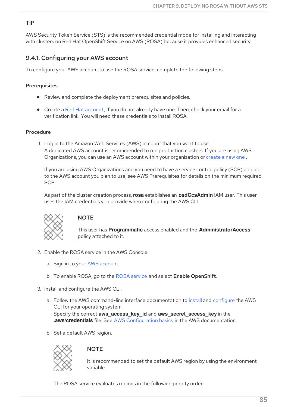# TIP

AWS Security Token Service (STS) is the recommended credential mode for installing and interacting with clusters on Red Hat OpenShift Service on AWS (ROSA) because it provides enhanced security.

# 9.4.1. Configuring your AWS account

To configure your AWS account to use the ROSA service, complete the following steps.

#### Prerequisites

- Review and complete the deployment prerequisites and policies.
- Create a Red Hat [account](https://cloud.redhat.com), if you do not already have one. Then, check your email for a verification link. You will need these credentials to install ROSA.

#### Procedure

1. Log in to the Amazon Web Services (AWS) account that you want to use. A dedicated AWS account is recommended to run production clusters. If you are using AWS Organizations, you can use an AWS account within your organization or [create](https://docs.aws.amazon.com/organizations/latest/userguide/orgs_manage_accounts_create.html#orgs_manage_accounts_create-new) a new one .

If you are using AWS Organizations and you need to have a service control policy (SCP) applied to the AWS account you plan to use, see AWS Prerequisites for details on the minimum required SCP.

As part of the cluster creation process,**rosa** establishes an **osdCcsAdmin** IAM user. This user uses the IAM credentials you provide when configuring the AWS CLI.



# **NOTE**

This user has **Programmatic** access enabled and the **AdministratorAccess** policy attached to it.

- 2. Enable the ROSA service in the AWS Console.
	- a. Sign in to your AWS [account](https://console.aws.amazon.com/rosa/home).
	- b. To enable ROSA, go to the ROSA [service](https://console.aws.amazon.com/rosa/) and select Enable OpenShift.
- 3. Install and configure the AWS CLI.
	- a. Follow the AWS command-line interface documentation to [install](https://docs.aws.amazon.com/cli/latest/userguide/cli-chap-install.html) and [configure](https://docs.aws.amazon.com/cli/latest/userguide/cli-chap-configure.html) the AWS CLI for your operating system. Specify the correct **aws\_access\_key\_id** and **aws\_secret\_access\_key** in the **.aws/credentials** file. See AWS [Configuration](https://docs.aws.amazon.com/cli/latest/userguide/cli-configure-quickstart.html) basics in the AWS documentation.
	- b. Set a default AWS region.



## **NOTE**

It is recommended to set the default AWS region by using the environment variable.

The ROSA service evaluates regions in the following priority order: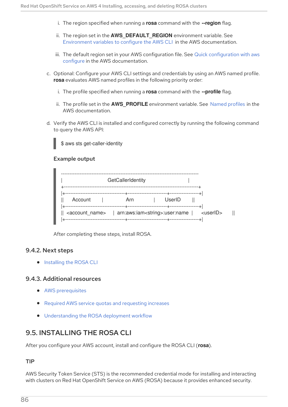- i. The region specified when running a **rosa** command with the **--region** flag.
- ii. The region set in the **AWS\_DEFAULT\_REGION** environment variable. See [Environment](https://docs.aws.amazon.com/cli/latest/userguide/cli-configure-envvars.html) variables to configure the AWS CLI in the AWS documentation.
- iii. The default region set in your AWS configuration file. See Quick configuration with aws configure in the AWS [documentation.](https://docs.aws.amazon.com/cli/latest/userguide/cli-configure-quickstart.html#cli-configure-quickstart-config)
- c. Optional: Configure your AWS CLI settings and credentials by using an AWS named profile. **rosa** evaluates AWS named profiles in the following priority order:
	- i. The profile specified when running a **rosa** command with the **--profile** flag.
	- ii. The profile set in the **AWS PROFILE** environment variable. See Named [profiles](https://docs.aws.amazon.com/cli/latest/userguide/cli-configure-profiles.html) in the AWS documentation.
- d. Verify the AWS CLI is installed and configured correctly by running the following command to query the AWS API:

\$ aws sts get-caller-identity

#### Example output

|                                                                          | GetCallerIdentity |        |                   |  |
|--------------------------------------------------------------------------|-------------------|--------|-------------------|--|
| Account                                                                  | Arn               | UserID |                   |  |
| <account_name>   arn:aws:iam<string>:user:name  </string></account_name> |                   |        | <userid></userid> |  |

After completing these steps, install ROSA.

## 9.4.2. Next steps

[Installing](https://access.redhat.com/documentation/en-us/red_hat_openshift_service_on_aws/4/html-single/installing_accessing_and_deleting_rosa_clusters/#rosa-installing-cli) the ROSA CLI

# 9.4.3. Additional resources

- **•** AWS [prerequisites](https://access.redhat.com/documentation/en-us/red_hat_openshift_service_on_aws/4/html-single/installing_accessing_and_deleting_rosa_clusters/#prerequisites)
- Required AWS service quotas and [requesting](https://access.redhat.com/documentation/en-us/red_hat_openshift_service_on_aws/4/html-single/installing_accessing_and_deleting_rosa_clusters/#rosa-required-aws-service-quotas) increases
- [Understanding](https://access.redhat.com/documentation/en-us/red_hat_openshift_service_on_aws/4/html-single/installing_accessing_and_deleting_rosa_clusters/#rosa-understanding-the-deployment-workflow) the ROSA deployment workflow

# 9.5. INSTALLING THE ROSA CLI

After you configure your AWS account, install and configure the ROSA CLI (**rosa**).

#### TIP

AWS Security Token Service (STS) is the recommended credential mode for installing and interacting with clusters on Red Hat OpenShift Service on AWS (ROSA) because it provides enhanced security.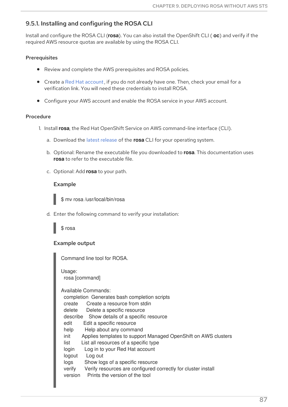# 9.5.1. Installing and configuring the ROSA CLI

Install and configure the ROSA CLI (**rosa**). You can also install the OpenShift CLI ( **oc**) and verify if the required AWS resource quotas are available by using the ROSA CLI.

#### Prerequisites

- Review and complete the AWS prerequisites and ROSA policies.
- Create a Red Hat [account](https://cloud.redhat.com), if you do not already have one. Then, check your email for a verification link. You will need these credentials to install ROSA.
- Configure your AWS account and enable the ROSA service in your AWS account.

#### Procedure

- 1. Install **rosa**, the Red Hat OpenShift Service on AWS command-line interface (CLI).
	- a. Download the latest [release](https://access.redhat.com/products/red-hat-openshift-service-aws/) of the **rosa** CLI for your operating system.
	- b. Optional: Rename the executable file you downloaded to **rosa**. This documentation uses **rosa** to refer to the executable file.
	- c. Optional: Add **rosa** to your path.

#### Example

\$ mv rosa /usr/local/bin/rosa

d. Enter the following command to verify your installation:



## Example output

Command line tool for ROSA. Usage: rosa [command] Available Commands: completion Generates bash completion scripts create Create a resource from stdin delete Delete a specific resource describe Show details of a specific resource edit Edit a specific resource help Help about any command init Applies templates to support Managed OpenShift on AWS clusters list List all resources of a specific type login Log in to your Red Hat account logout Log out logs Show logs of a specific resource verify Verify resources are configured correctly for cluster install version Prints the version of the tool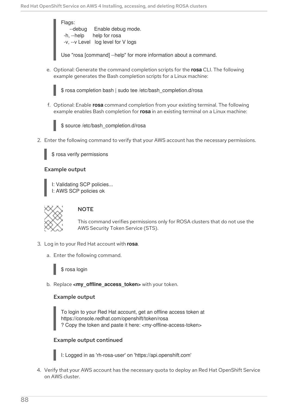#### Flags:

--debug Enable debug mode. -h, --help help for rosa -v, --v Level log level for V logs

Use "rosa [command] --help" for more information about a command.

e. Optional: Generate the command completion scripts for the **rosa** CLI. The following example generates the Bash completion scripts for a Linux machine:

\$ rosa completion bash | sudo tee /etc/bash\_completion.d/rosa

f. Optional: Enable **rosa** command completion from your existing terminal. The following example enables Bash completion for **rosa** in an existing terminal on a Linux machine:



\$ source /etc/bash\_completion.d/rosa

2. Enter the following command to verify that your AWS account has the necessary permissions.

\$ rosa verify permissions

#### Example output

I: Validating SCP policies... I: AWS SCP policies ok



## **NOTE**

This command verifies permissions only for ROSA clusters that do not use the AWS Security Token Service (STS).

- 3. Log in to your Red Hat account with **rosa**.
	- a. Enter the following command.



b. Replace <my offline access token> with your token.

#### Example output

To login to your Red Hat account, get an offline access token at https://console.redhat.com/openshift/token/rosa ? Copy the token and paste it here: <my-offline-access-token>

#### Example output continued

I: Logged in as 'rh-rosa-user' on 'https://api.openshift.com'

4. Verify that your AWS account has the necessary quota to deploy an Red Hat OpenShift Service on AWS cluster.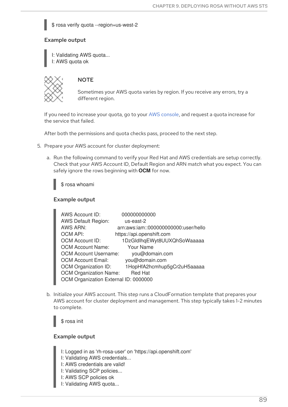\$ rosa verify quota --region=us-west-2

## Example output





## **NOTE**

Sometimes your AWS quota varies by region. If you receive any errors, try a different region.

If you need to increase your quota, go to your AWS [console,](https://aws.amazon.com/console/) and request a quota increase for the service that failed.

After both the permissions and quota checks pass, proceed to the next step.

- 5. Prepare your AWS account for cluster deployment:
	- a. Run the following command to verify your Red Hat and AWS credentials are setup correctly. Check that your AWS Account ID, Default Region and ARN match what you expect. You can safely ignore the rows beginning with **OCM** for now.



## Example output

| <b>AWS Account ID:</b>                | 000000000000                         |
|---------------------------------------|--------------------------------------|
| <b>AWS Default Region:</b>            | us-east-2                            |
| <b>AWS ARN:</b>                       | arn:aws:iam::000000000000:user/hello |
| <b>OCM API:</b>                       | https://api.openshift.com            |
| <b>OCM Account ID:</b>                | 1DzGldlhqEWyt8UUXQhSoWaaaaa          |
| <b>OCM Account Name:</b>              | <b>Your Name</b>                     |
| <b>OCM Account Username:</b>          | you@domain.com                       |
| <b>OCM Account Email:</b>             | you@domain.com                       |
| <b>OCM Organization ID:</b>           | 1HopHfA2hcmhup5gCr2uH5aaaaa          |
| <b>OCM Organization Name:</b>         | <b>Red Hat</b>                       |
| OCM Organization External ID: 0000000 |                                      |

b. Initialize your AWS account. This step runs a CloudFormation template that prepares your AWS account for cluster deployment and management. This step typically takes 1-2 minutes to complete.

\$ rosa init

## Example output

- I: Logged in as 'rh-rosa-user' on 'https://api.openshift.com'
- I: Validating AWS credentials...
- I: AWS credentials are valid!
- I: Validating SCP policies...
- I: AWS SCP policies ok
- I: Validating AWS quota...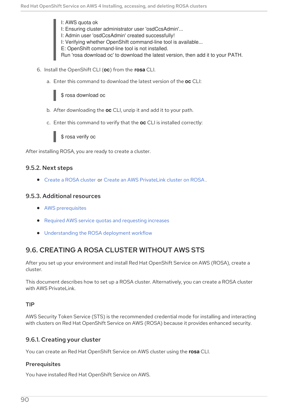I: AWS quota ok

I: Ensuring cluster administrator user 'osdCcsAdmin'...

I: Admin user 'osdCcsAdmin' created successfully!

I: Verifying whether OpenShift command-line tool is available...

E: OpenShift command-line tool is not installed.

Run 'rosa download oc' to download the latest version, then add it to your PATH.

- 6. Install the OpenShift CLI (**oc**) from the **rosa** CLI.
	- a. Enter this command to download the latest version of the **oc** CLI:

\$ rosa download oc

- b. After downloading the **oc** CLI, unzip it and add it to your path.
- c. Enter this command to verify that the **oc** CLI is installed correctly:



After installing ROSA, you are ready to create a cluster.

## 9.5.2. Next steps

[Create](https://access.redhat.com/documentation/en-us/red_hat_openshift_service_on_aws/4/html-single/installing_accessing_and_deleting_rosa_clusters/#rosa-creating-cluster) a ROSA cluster or Create an AWS [PrivateLink](https://access.redhat.com/documentation/en-us/red_hat_openshift_service_on_aws/4/html-single/installing_accessing_and_deleting_rosa_clusters/#rosa-aws-privatelink-creating-cluster) cluster on ROSA .

## 9.5.3. Additional resources

- **•** AWS [prerequisites](https://access.redhat.com/documentation/en-us/red_hat_openshift_service_on_aws/4/html-single/installing_accessing_and_deleting_rosa_clusters/#prerequisites)
- Required AWS service quotas and [requesting](https://access.redhat.com/documentation/en-us/red_hat_openshift_service_on_aws/4/html-single/installing_accessing_and_deleting_rosa_clusters/#rosa-required-aws-service-quotas) increases
- [Understanding](https://access.redhat.com/documentation/en-us/red_hat_openshift_service_on_aws/4/html-single/installing_accessing_and_deleting_rosa_clusters/#rosa-understanding-the-deployment-workflow) the ROSA deployment workflow

# 9.6. CREATING A ROSA CLUSTER WITHOUT AWS STS

After you set up your environment and install Red Hat OpenShift Service on AWS (ROSA), create a cluster.

This document describes how to set up a ROSA cluster. Alternatively, you can create a ROSA cluster with AWS PrivateLink.

#### TIP

AWS Security Token Service (STS) is the recommended credential mode for installing and interacting with clusters on Red Hat OpenShift Service on AWS (ROSA) because it provides enhanced security.

## 9.6.1. Creating your cluster

You can create an Red Hat OpenShift Service on AWS cluster using the **rosa** CLI.

## **Prerequisites**

You have installed Red Hat OpenShift Service on AWS.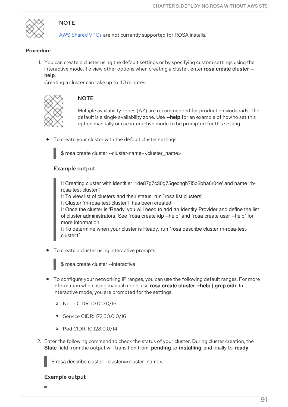

# **NOTE**

AWS [Shared](https://docs.aws.amazon.com/vpc/latest/userguide/vpc-sharing.html) VPCs are not currently supported for ROSA installs.

## Procedure

1. You can create a cluster using the default settings or by specifying custom settings using the interactive mode. To view other options when creating a cluster, enter **rosa create cluster - help**.

Creating a cluster can take up to 40 minutes.



## **NOTE**

Multiple availability zones (AZ) are recommended for production workloads. The default is a single availability zone. Use **--help** for an example of how to set this option manually or use interactive mode to be prompted for this setting.

To create your cluster with the default cluster settings:

\$ rosa create cluster --cluster-name=<cluster\_name>

#### Example output

I: Creating cluster with identifier '1de87g7c30g75qechgh7l5b2bha6r04e' and name 'rhrosa-test-cluster1'

I: To view list of clusters and their status, run `rosa list clusters`

I: Cluster 'rh-rosa-test-cluster1' has been created.

I: Once the cluster is 'Ready' you will need to add an Identity Provider and define the list of cluster administrators. See `rosa create idp --help` and `rosa create user --help` for more information.

I: To determine when your cluster is Ready, run `rosa describe cluster rh-rosa-testcluster1`.

To create a cluster using interactive prompts:

\$ rosa create cluster --interactive

- To configure your networking IP ranges, you can use the following default ranges. For more information when using manual mode, use **rosa create cluster --help | grep cidr**. In interactive mode, you are prompted for the settings.
	- Node CIDR: 10.0.0.0/16
	- Service CIDR: 172.30.0.0/16
	- Pod CIDR: 10.128.0.0/14
- 2. Enter the following command to check the status of your cluster. During cluster creation, the **State** field from the output will transition from **pending** to **installing**, and finally to **ready**.

\$ rosa describe cluster --cluster=<cluster\_name>

#### Example output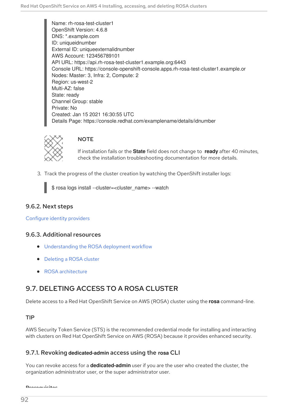Name: rh-rosa-test-cluster1 OpenShift Version: 4.6.8 DNS: \*.example.com ID: uniqueidnumber External ID: uniqueexternalidnumber AWS Account: 123456789101 API URL: https://api.rh-rosa-test-cluster1.example.org:6443 Console URL: https://console-openshift-console.apps.rh-rosa-test-cluster1.example.or Nodes: Master: 3, Infra: 2, Compute: 2 Region: us-west-2 Multi-AZ: false State: ready Channel Group: stable Private: No Created: Jan 15 2021 16:30:55 UTC Details Page: https://console.redhat.com/examplename/details/idnumber



## **NOTE**

If installation fails or the **State** field does not change to **ready** after 40 minutes, check the installation troubleshooting documentation for more details.

3. Track the progress of the cluster creation by watching the OpenShift installer logs:

\$ rosa logs install --cluster=<cluster\_name> --watch

# 9.6.2. Next steps

[Configure](https://access.redhat.com/documentation/en-us/red_hat_openshift_service_on_aws/4/html-single/installing_accessing_and_deleting_rosa_clusters/#rosa-sts-config-identity-providers) identity providers

## 9.6.3. Additional resources

- [Understanding](https://access.redhat.com/documentation/en-us/red_hat_openshift_service_on_aws/4/html-single/installing_accessing_and_deleting_rosa_clusters/#rosa-understanding-the-deployment-workflow) the ROSA deployment workflow
- [Deleting](https://access.redhat.com/documentation/en-us/red_hat_openshift_service_on_aws/4/html-single/installing_accessing_and_deleting_rosa_clusters/#rosa-deleting-cluster) a ROSA cluster
- ROSA [architecture](https://access.redhat.com/documentation/en-us/red_hat_openshift_service_on_aws/4/html-single/introduction_to_rosa/#rosa-architecture-models)

# 9.7. DELETING ACCESS TO A ROSA CLUSTER

Delete access to a Red Hat OpenShift Service on AWS (ROSA) cluster using the **rosa** command-line.

#### TIP

AWS Security Token Service (STS) is the recommended credential mode for installing and interacting with clusters on Red Hat OpenShift Service on AWS (ROSA) because it provides enhanced security.

## 9.7.1. Revoking **dedicated-admin** access using the **rosa** CLI

You can revoke access for a **dedicated-admin** user if you are the user who created the cluster, the organization administrator user, or the super administrator user.

Prerequisites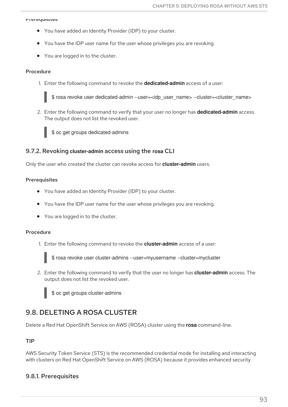#### Prerequisites

- You have added an Identity Provider (IDP) to your cluster.
- You have the IDP user name for the user whose privileges you are revoking.
- You are logged in to the cluster.

#### Procedure

1. Enter the following command to revoke the **dedicated-admin** access of a user:

\$ rosa revoke user dedicated-admin --user=<idp\_user\_name> --cluster=<cluster\_name>

2. Enter the following command to verify that your user no longer has **dedicated-admin** access. The output does not list the revoked user.

\$ oc get groups dedicated-admins

#### 9.7.2. Revoking **cluster-admin** access using the **rosa** CLI

Only the user who created the cluster can revoke access for **cluster-admin** users.

#### Prerequisites

- You have added an Identity Provider (IDP) to your cluster.
- You have the IDP user name for the user whose privileges you are revoking.
- You are logged in to the cluster.

#### Procedure

1. Enter the following command to revoke the **cluster-admin** access of a user:

\$ rosa revoke user cluster-admins --user=myusername --cluster=mycluster

2. Enter the following command to verify that the user no longer has **cluster-admin** access. The output does not list the revoked user.

oc get groups cluster-admins

# 9.8. DELETING A ROSA CLUSTER

Delete a Red Hat OpenShift Service on AWS (ROSA) cluster using the **rosa** command-line.

#### TIP

AWS Security Token Service (STS) is the recommended credential mode for installing and interacting with clusters on Red Hat OpenShift Service on AWS (ROSA) because it provides enhanced security.

# 9.8.1. Prerequisites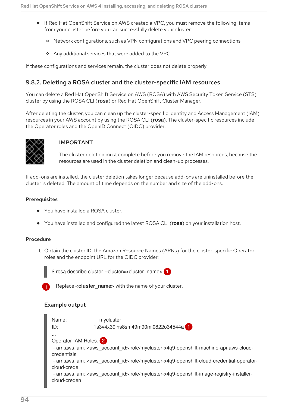- If Red Hat OpenShift Service on AWS created a VPC, you must remove the following items from your cluster before you can successfully delete your cluster:
	- Network configurations, such as VPN configurations and VPC peering connections
	- Any additional services that were added to the VPC

If these configurations and services remain, the cluster does not delete properly.

## 9.8.2. Deleting a ROSA cluster and the cluster-specific IAM resources

You can delete a Red Hat OpenShift Service on AWS (ROSA) with AWS Security Token Service (STS) cluster by using the ROSA CLI (**rosa**) or Red Hat OpenShift Cluster Manager.

After deleting the cluster, you can clean up the cluster-specific Identity and Access Management (IAM) resources in your AWS account by using the ROSA CLI (**rosa**). The cluster-specific resources include the Operator roles and the OpenID Connect (OIDC) provider.



## IMPORTANT

The cluster deletion must complete before you remove the IAM resources, because the resources are used in the cluster deletion and clean-up processes.

If add-ons are installed, the cluster deletion takes longer because add-ons are uninstalled before the cluster is deleted. The amount of time depends on the number and size of the add-ons.

#### **Prerequisites**

- You have installed a ROSA cluster.
- You have installed and configured the latest ROSA CLI (**rosa**) on your installation host.

#### Procedure

1. Obtain the cluster ID, the Amazon Resource Names (ARNs) for the cluster-specific Operator roles and the endpoint URL for the OIDC provider:



[1](#page-97-0)

\$ rosa describe cluster --cluster=<cluster\_name> **1**

<span id="page-97-0"></span>

Replace **<cluster\_name>** with the name of your cluster.

#### Example output

Name: mycluster ID: 1s3v4x39lhs8sm49m90mi0822o34544a **1** ... Operator IAM Roles: **2** - arn:aws:iam::<aws\_account\_id>:role/mycluster-x4q9-openshift-machine-api-aws-cloudcredentials - arn:aws:iam::<aws\_account\_id>:role/mycluster-x4q9-openshift-cloud-credential-operatorcloud-crede - arn:aws:iam::<aws\_account\_id>:role/mycluster-x4q9-openshift-image-registry-installercloud-creden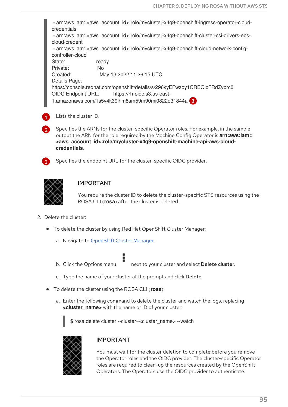<span id="page-98-1"></span><span id="page-98-0"></span>- arn:aws:iam::<aws\_account\_id>:role/mycluster-x4q9-openshift-ingress-operator-cloudcredentials - arn:aws:iam::<aws\_account\_id>:role/mycluster-x4q9-openshift-cluster-csi-drivers-ebscloud-credent - arn:aws:iam::<aws\_account\_id>:role/mycluster-x4q9-openshift-cloud-network-configcontroller-cloud State: ready Private: No Created: May 13 2022 11:26:15 UTC Details Page: https://console.redhat.com/openshift/details/s/296kyEFwzoy1CREQicFRdZybrc0 OIDC Endpoint URL: https://rh-oidc.s3.us-east-1.amazonaws.com/1s5v4k39lhm8sm59m90mi0822o31844a **3**



[2](#page-98-1)

<span id="page-98-2"></span>Lists the cluster ID.

Specifies the ARNs for the cluster-specific Operator roles. For example, in the sample output the ARN for the role required by the Machine Config Operator is **arn:aws:iam::** <aws account id>:role/mycluster-x4q9-openshift-machine-api-aws-cloud**credentials**.



Specifies the endpoint URL for the cluster-specific OIDC provider.



## IMPORTANT

You require the cluster ID to delete the cluster-specific STS resources using the ROSA CLI (**rosa**) after the cluster is deleted.

- 2. Delete the cluster:
	- To delete the cluster by using Red Hat OpenShift Cluster Manager:
		- a. Navigate to [OpenShift](https://console.redhat.com/openshift) Cluster Manager.
		-

b. Click the Options menu **next to your cluster and select Delete cluster.** 

- c. Type the name of your cluster at the prompt and click Delete.
- To delete the cluster using the ROSA CLI (**rosa**):
	- a. Enter the following command to delete the cluster and watch the logs, replacing **<cluster\_name>** with the name or ID of your cluster:

\$ rosa delete cluster --cluster=<cluster\_name> --watch



# IMPORTANT

You must wait for the cluster deletion to complete before you remove the Operator roles and the OIDC provider. The cluster-specific Operator roles are required to clean-up the resources created by the OpenShift Operators. The Operators use the OIDC provider to authenticate.